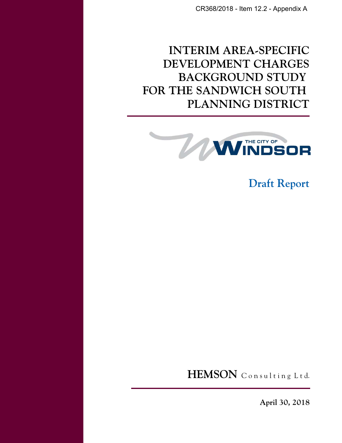CR368/2018 - Item 12.2 - Appendix A

# **INTERIM AREA-SPECIFIC DEVELOPMENT CHARGES BACKGROUND STUDY FOR THE SANDWICH SOUTH PLANNING DISTRICT**



**Draft Report**

HEMSON Consulting Ltd.

**April 30, 2018**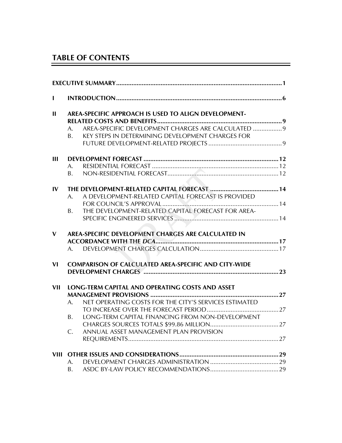# **TABLE OF CONTENTS**

| $\mathbf{I}$ |          |                                                                                                         |  |
|--------------|----------|---------------------------------------------------------------------------------------------------------|--|
| $\mathbf{H}$ |          | AREA-SPECIFIC APPROACH IS USED TO ALIGN DEVELOPMENT-                                                    |  |
|              | A.<br>B. | AREA-SPECIFIC DEVELOPMENT CHARGES ARE CALCULATED  9<br>KEY STEPS IN DETERMINING DEVELOPMENT CHARGES FOR |  |
| Ш            | A.<br>B. |                                                                                                         |  |
| IV           | A.       | A DEVELOPMENT-RELATED CAPITAL FORECAST IS PROVIDED                                                      |  |
|              | B.       | THE DEVELOPMENT-RELATED CAPITAL FORECAST FOR AREA-                                                      |  |
| $\mathbf{V}$ |          | AREA-SPECIFIC DEVELOPMENT CHARGES ARE CALCULATED IN                                                     |  |
|              |          |                                                                                                         |  |
| VI           |          | <b>COMPARISON OF CALCULATED AREA-SPECIFIC AND CITY-WIDE</b>                                             |  |
| VII          |          | LONG-TERM CAPITAL AND OPERATING COSTS AND ASSET                                                         |  |
|              | A.       | NET OPERATING COSTS FOR THE CITY'S SERVICES ESTIMATED                                                   |  |
|              | В.       | LONG-TERM CAPITAL FINANCING FROM NON-DEVELOPMENT                                                        |  |
|              | C.       | ANNUAL ASSET MANAGEMENT PLAN PROVISION                                                                  |  |
|              |          |                                                                                                         |  |
|              |          |                                                                                                         |  |
|              | A.       |                                                                                                         |  |
|              | B.       |                                                                                                         |  |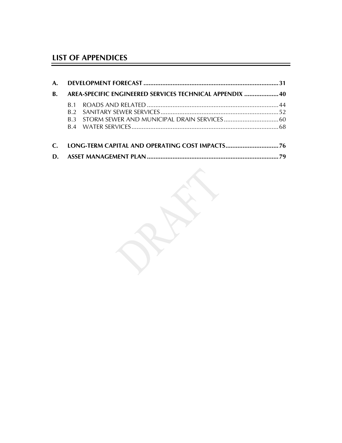# **LIST OF APPENDICES**

| В.            |                | AREA-SPECIFIC ENGINEERED SERVICES TECHNICAL APPENDIX  40 |  |
|---------------|----------------|----------------------------------------------------------|--|
|               | R 1            |                                                          |  |
|               | R <sub>2</sub> |                                                          |  |
|               |                |                                                          |  |
|               |                |                                                          |  |
| $\mathcal{C}$ |                | LONG-TERM CAPITAL AND OPERATING COST IMPACTS76           |  |
| D.            |                |                                                          |  |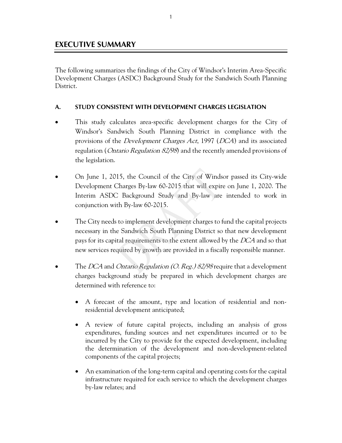# **EXECUTIVE SUMMARY**

The following summarizes the findings of the City of Windsor's Interim Area-Specific Development Charges (ASDC) Background Study for the Sandwich South Planning District.

#### **A. STUDY CONSISTENT WITH DEVELOPMENT CHARGES LEGISLATION**

- This study calculates area-specific development charges for the City of Windsor's Sandwich South Planning District in compliance with the provisions of the Development Charges Act, 1997 (DCA) and its associated regulation (*Ontario Regulation 82/98*) and the recently amended provisions of the legislation.
- On June 1, 2015, the Council of the City of Windsor passed its City-wide Development Charges By-law 60-2015 that will expire on June 1, 2020. The Interim ASDC Background Study and By-law are intended to work in conjunction with By-law 60-2015.
- The City needs to implement development charges to fund the capital projects necessary in the Sandwich South Planning District so that new development pays for its capital requirements to the extent allowed by the DCA and so that new services required by growth are provided in a fiscally responsible manner.
- The DCA and Ontario Regulation (O. Reg.) 82/98 require that a development charges background study be prepared in which development charges are determined with reference to:
	- A forecast of the amount, type and location of residential and nonresidential development anticipated;
	- A review of future capital projects, including an analysis of gross expenditures, funding sources and net expenditures incurred or to be incurred by the City to provide for the expected development, including the determination of the development and non-development-related components of the capital projects;
	- An examination of the long-term capital and operating costs for the capital infrastructure required for each service to which the development charges by-law relates; and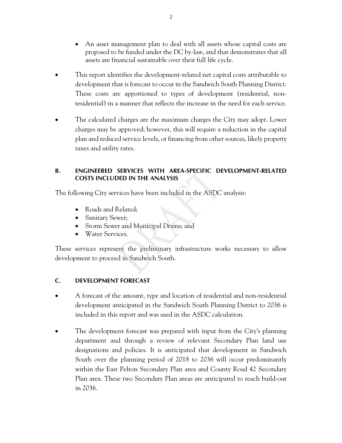- An asset management plan to deal with all assets whose capital costs are proposed to be funded under the DC by-law, and that demonstrates that all assets are financial sustainable over their full life cycle.
- This report identifies the development-related net capital costs attributable to development that is forecast to occur in the Sandwich South Planning District. These costs are apportioned to types of development (residential, nonresidential) in a manner that reflects the increase in the need for each service.
- The calculated charges are the maximum charges the City may adopt. Lower charges may be approved; however, this will require a reduction in the capital plan and reduced service levels, or financing from other sources, likely property taxes and utility rates.

#### **B. ENGINEERED SERVICES WITH AREA-SPECIFIC DEVELOPMENT-RELATED COSTS INCLUDED IN THE ANALYSIS**

The following City services have been included in the ASDC analysis:

- Roads and Related;
- Sanitary Sewer;
- Storm Sewer and Municipal Drains; and
- Water Services.

These services represent the preliminary infrastructure works necessary to allow development to proceed in Sandwich South.

#### **C. DEVELOPMENT FORECAST**

- A forecast of the amount, type and location of residential and non-residential development anticipated in the Sandwich South Planning District to 2036 is included in this report and was used in the ASDC calculation.
- The development forecast was prepared with input from the City's planning department and through a review of relevant Secondary Plan land use designations and policies. It is anticipated that development in Sandwich South over the planning period of 2018 to 2036 will occur predominantly within the East Pelton Secondary Plan area and County Road 42 Secondary Plan area. These two Secondary Plan areas are anticipated to reach build-out in 2036.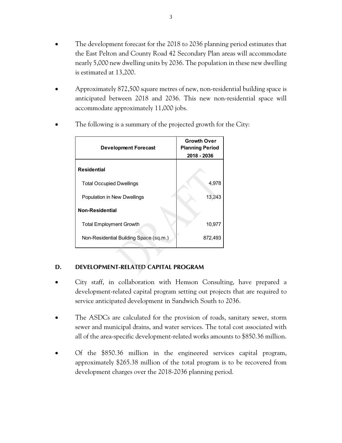- The development forecast for the 2018 to 2036 planning period estimates that the East Pelton and County Road 42 Secondary Plan areas will accommodate nearly 5,000 new dwelling units by 2036. The population in these new dwelling is estimated at 13,200.
- Approximately 872,500 square metres of new, non-residential building space is anticipated between 2018 and 2036. This new non-residential space will accommodate approximately 11,000 jobs.

| <b>Development Forecast</b>            | <b>Growth Over</b><br><b>Planning Period</b><br>2018 - 2036 |  |  |
|----------------------------------------|-------------------------------------------------------------|--|--|
| <b>Residential</b>                     |                                                             |  |  |
| <b>Total Occupied Dwellings</b>        | 4,978                                                       |  |  |
| Population in New Dwellings            | 13,243                                                      |  |  |
| <b>Non-Residential</b>                 |                                                             |  |  |
| <b>Total Employment Growth</b>         | 10,977                                                      |  |  |
| Non-Residential Building Space (sq.m.) | 872,493                                                     |  |  |

The following is a summary of the projected growth for the City:

### **D. DEVELOPMENT-RELATED CAPITAL PROGRAM**

- City staff, in collaboration with Hemson Consulting, have prepared a development-related capital program setting out projects that are required to service anticipated development in Sandwich South to 2036.
- The ASDCs are calculated for the provision of roads, sanitary sewer, storm sewer and municipal drains, and water services. The total cost associated with all of the area-specific development-related works amounts to \$850.36 million.
- Of the \$850.36 million in the engineered services capital program, approximately \$265.38 million of the total program is to be recovered from development charges over the 2018-2036 planning period.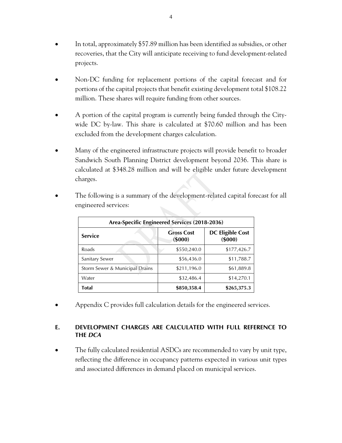- In total, approximately \$57.89 million has been identified as subsidies, or other recoveries, that the City will anticipate receiving to fund development-related projects.
- Non-DC funding for replacement portions of the capital forecast and for portions of the capital projects that benefit existing development total \$108.22 million. These shares will require funding from other sources.
- A portion of the capital program is currently being funded through the Citywide DC by-law. This share is calculated at \$70.60 million and has been excluded from the development charges calculation.
- Many of the engineered infrastructure projects will provide benefit to broader Sandwich South Planning District development beyond 2036. This share is calculated at \$348.28 million and will be eligible under future development charges.

| Area-Specific Engineered Services (2018-2036) |                                    |                                    |  |  |  |  |  |  |
|-----------------------------------------------|------------------------------------|------------------------------------|--|--|--|--|--|--|
| <b>Service</b>                                | <b>Gross Cost</b><br>$($ \$000 $)$ | <b>DC Eligible Cost</b><br>(\$000) |  |  |  |  |  |  |
| Roads                                         | \$550,240.0                        | \$177,426.7                        |  |  |  |  |  |  |
| Sanitary Sewer                                | \$56,436.0                         | \$11,788.7                         |  |  |  |  |  |  |
| Storm Sewer & Municipal Drains                | \$211,196.0                        | \$61,889.8                         |  |  |  |  |  |  |
| Water                                         | \$32,486.4                         | \$14,270.1                         |  |  |  |  |  |  |
| Total                                         | \$850,358.4                        | \$265,375.3                        |  |  |  |  |  |  |

 The following is a summary of the development-related capital forecast for all engineered services:

Appendix C provides full calculation details for the engineered services.

### **E. DEVELOPMENT CHARGES ARE CALCULATED WITH FULL REFERENCE TO THE** *DCA*

 The fully calculated residential ASDCs are recommended to vary by unit type, reflecting the difference in occupancy patterns expected in various unit types and associated differences in demand placed on municipal services.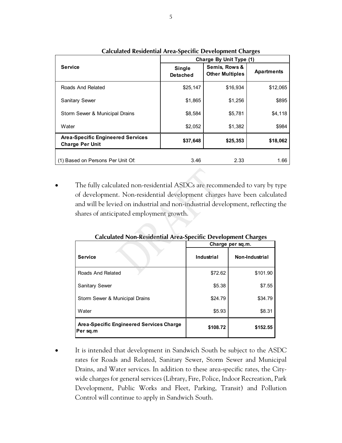|                                                                    | Charge By Unit Type (1)          |                                         |                   |  |  |  |  |
|--------------------------------------------------------------------|----------------------------------|-----------------------------------------|-------------------|--|--|--|--|
| <b>Service</b>                                                     | <b>Single</b><br><b>Detached</b> | Semis, Rows &<br><b>Other Multiples</b> | <b>Apartments</b> |  |  |  |  |
| Roads And Related                                                  | \$25,147                         | \$16,934                                | \$12,065          |  |  |  |  |
| <b>Sanitary Sewer</b>                                              | \$1,865                          | \$1,256                                 | \$895             |  |  |  |  |
| Storm Sewer & Municipal Drains                                     | \$8,584                          | \$5,781                                 | \$4,118           |  |  |  |  |
| Water                                                              | \$2,052                          | \$1,382                                 | \$984             |  |  |  |  |
| <b>Area-Specific Engineered Services</b><br><b>Charge Per Unit</b> | \$37,648                         | \$25,353                                | \$18,062          |  |  |  |  |
| (1) Based on Persons Per Unit Of:                                  | 3.46                             | 2.33                                    | 1.66              |  |  |  |  |

**Calculated Residential Area-Specific Development Charges** 

 The fully calculated non-residential ASDCs are recommended to vary by type of development. Non-residential development charges have been calculated and will be levied on industrial and non-industrial development, reflecting the shares of anticipated employment growth.

|                                                            | $\sigma$<br>Charge per sq.m. |                |  |  |  |
|------------------------------------------------------------|------------------------------|----------------|--|--|--|
| <b>Service</b>                                             | Industrial                   | Non-Industrial |  |  |  |
| Roads And Related                                          | \$72.62                      | \$101.90       |  |  |  |
| <b>Sanitary Sewer</b>                                      | \$5.38                       | \$7.55         |  |  |  |
| Storm Sewer & Municipal Drains                             | \$24.79                      | \$34.79        |  |  |  |
| Water                                                      | \$5.93                       | \$8.31         |  |  |  |
| <b>Area-Specific Engineered Services Charge</b><br>Persq.m | \$108.72                     | \$152.55       |  |  |  |

**Calculated Non-Residential Area-Specific Development Charges** 

 It is intended that development in Sandwich South be subject to the ASDC rates for Roads and Related, Sanitary Sewer, Storm Sewer and Municipal Drains, and Water services. In addition to these area-specific rates, the Citywide charges for general services (Library, Fire, Police, Indoor Recreation, Park Development, Public Works and Fleet, Parking, Transit) and Pollution Control will continue to apply in Sandwich South.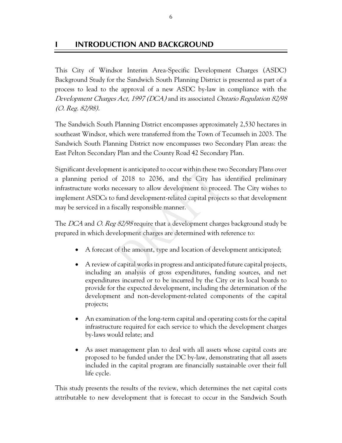# **INTRODUCTION AND BACKGROUND**

This City of Windsor Interim Area-Specific Development Charges (ASDC) Background Study for the Sandwich South Planning District is presented as part of a process to lead to the approval of a new ASDC by-law in compliance with the Development Charges Act, 1997 (DCA) and its associated Ontario Regulation 82/98 (O. Reg. 82/98).

The Sandwich South Planning District encompasses approximately 2,530 hectares in southeast Windsor, which were transferred from the Town of Tecumseh in 2003. The Sandwich South Planning District now encompasses two Secondary Plan areas: the East Pelton Secondary Plan and the County Road 42 Secondary Plan.

Significant development is anticipated to occur within these two Secondary Plans over a planning period of 2018 to 2036, and the City has identified preliminary infrastructure works necessary to allow development to proceed. The City wishes to implement ASDCs to fund development-related capital projects so that development may be serviced in a fiscally responsible manner.

The DCA and O. Reg 82/98 require that a development charges background study be prepared in which development charges are determined with reference to:

- A forecast of the amount, type and location of development anticipated;
- A review of capital works in progress and anticipated future capital projects, including an analysis of gross expenditures, funding sources, and net expenditures incurred or to be incurred by the City or its local boards to provide for the expected development, including the determination of the development and non-development-related components of the capital projects;
- An examination of the long-term capital and operating costs for the capital infrastructure required for each service to which the development charges by-laws would relate; and
- As asset management plan to deal with all assets whose capital costs are proposed to be funded under the DC by-law, demonstrating that all assets included in the capital program are financially sustainable over their full life cycle.

This study presents the results of the review, which determines the net capital costs attributable to new development that is forecast to occur in the Sandwich South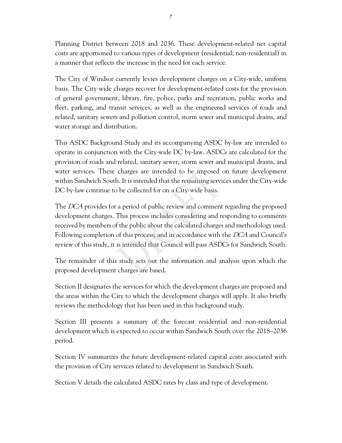Planning District between 2018 and 2036. These development-related net capital costs are apportioned to various types of development (residential; non-residential) in a manner that reflects the increase in the need for each service.

The City of Windsor currently levies development charges on a City-wide, uniform basis. The City-wide charges recover for development-related costs for the provision of general government, library, fire, police, parks and recreation, public works and fleet, parking, and transit services, as well as the engineered services of roads and related, sanitary sewers and pollution control, storm sewer and municipal drains, and water storage and distribution.

This ASDC Background Study and its accompanying ASDC by-law are intended to operate in conjunction with the City-wide DC by-law. ASDCs are calculated for the provision of roads and related, sanitary sewer, storm sewer and municipal drains, and water services. These charges are intended to be imposed on future development within Sandwich South. It is intended that the remaining services under the City-wide DC by-law continue to be collected for on a City-wide basis.

The DCA provides for a period of public review and comment regarding the proposed development charges. This process includes considering and responding to comments received by members of the public about the calculated charges and methodology used. Following completion of this process, and in accordance with the DCA and Council's review of this study, it is intended that Council will pass ASDCs for Sandwich South.

The remainder of this study sets out the information and analysis upon which the proposed development charges are based.

Section II designates the services for which the development charges are proposed and the areas within the City to which the development charges will apply. It also briefly reviews the methodology that has been used in this background study.

Section III presents a summary of the forecast residential and non-residential development which is expected to occur within Sandwich South over the 2018–2036 period.

Section IV summarizes the future development-related capital costs associated with the provision of City services related to development in Sandwich South.

Section V details the calculated ASDC rates by class and type of development.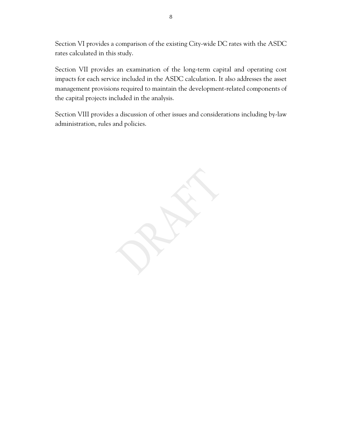Section VI provides a comparison of the existing City-wide DC rates with the ASDC rates calculated in this study.

Section VII provides an examination of the long-term capital and operating cost impacts for each service included in the ASDC calculation. It also addresses the asset management provisions required to maintain the development-related components of the capital projects included in the analysis.

Section VIII provides a discussion of other issues and considerations including by-law administration, rules and policies.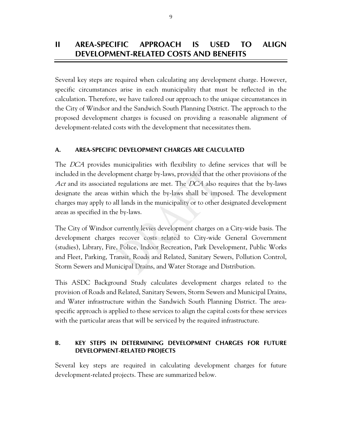# **II AREA-SPECIFIC APPROACH IS USED TO ALIGN DEVELOPMENT-RELATED COSTS AND BENEFITS**

Several key steps are required when calculating any development charge. However, specific circumstances arise in each municipality that must be reflected in the calculation. Therefore, we have tailored our approach to the unique circumstances in the City of Windsor and the Sandwich South Planning District. The approach to the proposed development charges is focused on providing a reasonable alignment of development-related costs with the development that necessitates them.

### **A. AREA-SPECIFIC DEVELOPMENT CHARGES ARE CALCULATED**

The *DCA* provides municipalities with flexibility to define services that will be included in the development charge by-laws, provided that the other provisions of the Act and its associated regulations are met. The DCA also requires that the by-laws designate the areas within which the by-laws shall be imposed. The development charges may apply to all lands in the municipality or to other designated development areas as specified in the by-laws.

The City of Windsor currently levies development charges on a City-wide basis. The development charges recover costs related to City-wide General Government (studies), Library, Fire, Police, Indoor Recreation, Park Development, Public Works and Fleet, Parking, Transit, Roads and Related, Sanitary Sewers, Pollution Control, Storm Sewers and Municipal Drains, and Water Storage and Distribution.

This ASDC Background Study calculates development charges related to the provision of Roads and Related, Sanitary Sewers, Storm Sewers and Municipal Drains, and Water infrastructure within the Sandwich South Planning District. The areaspecific approach is applied to these services to align the capital costs for these services with the particular areas that will be serviced by the required infrastructure.

#### **B. KEY STEPS IN DETERMINING DEVELOPMENT CHARGES FOR FUTURE DEVELOPMENT-RELATED PROJECTS**

Several key steps are required in calculating development charges for future development-related projects. These are summarized below.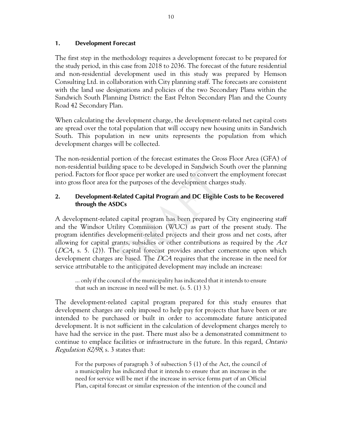#### **1. Development Forecast**

The first step in the methodology requires a development forecast to be prepared for the study period, in this case from 2018 to 2036. The forecast of the future residential and non-residential development used in this study was prepared by Hemson Consulting Ltd. in collaboration with City planning staff. The forecasts are consistent with the land use designations and policies of the two Secondary Plans within the Sandwich South Planning District: the East Pelton Secondary Plan and the County Road 42 Secondary Plan.

When calculating the development charge, the development-related net capital costs are spread over the total population that will occupy new housing units in Sandwich South. This population in new units represents the population from which development charges will be collected.

The non-residential portion of the forecast estimates the Gross Floor Area (GFA) of non-residential building space to be developed in Sandwich South over the planning period. Factors for floor space per worker are used to convert the employment forecast into gross floor area for the purposes of the development charges study.

#### **2. Development-Related Capital Program and DC Eligible Costs to be Recovered through the ASDCs**

A development-related capital program has been prepared by City engineering staff and the Windsor Utility Commission (WUC) as part of the present study. The program identifies development-related projects and their gross and net costs, after allowing for capital grants, subsidies or other contributions as required by the Act (DCA, s. 5. (2)). The capital forecast provides another cornerstone upon which development charges are based. The *DCA* requires that the increase in the need for service attributable to the anticipated development may include an increase:

... only if the council of the municipality has indicated that it intends to ensure that such an increase in need will be met. (s. 5. (1) 3.)

The development-related capital program prepared for this study ensures that development charges are only imposed to help pay for projects that have been or are intended to be purchased or built in order to accommodate future anticipated development. It is not sufficient in the calculation of development charges merely to have had the service in the past. There must also be a demonstrated commitment to continue to emplace facilities or infrastructure in the future. In this regard, Ontario Regulation 82/98, s. 3 states that:

For the purposes of paragraph 3 of subsection 5 (1) of the Act, the council of a municipality has indicated that it intends to ensure that an increase in the need for service will be met if the increase in service forms part of an Official Plan, capital forecast or similar expression of the intention of the council and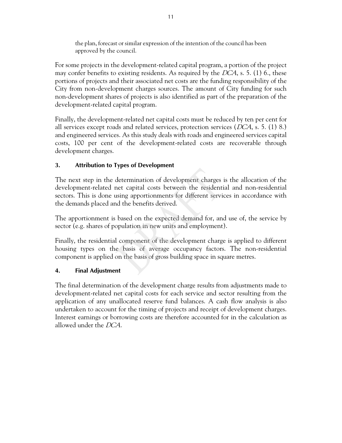the plan, forecast or similar expression of the intention of the council has been approved by the council.

For some projects in the development-related capital program, a portion of the project may confer benefits to existing residents. As required by the  $DCA$ , s. 5. (1) 6., these portions of projects and their associated net costs are the funding responsibility of the City from non-development charges sources. The amount of City funding for such non-development shares of projects is also identified as part of the preparation of the development-related capital program.

Finally, the development-related net capital costs must be reduced by ten per cent for all services except roads and related services, protection services ( $DCA$ , s. 5. (1) 8.) and engineered services. As this study deals with roads and engineered services capital costs, 100 per cent of the development-related costs are recoverable through development charges.

### **3. Attribution to Types of Development**

The next step in the determination of development charges is the allocation of the development-related net capital costs between the residential and non-residential sectors. This is done using apportionments for different services in accordance with the demands placed and the benefits derived.

The apportionment is based on the expected demand for, and use of, the service by sector (e.g. shares of population in new units and employment).

Finally, the residential component of the development charge is applied to different housing types on the basis of average occupancy factors. The non-residential component is applied on the basis of gross building space in square metres.

### **4. Final Adjustment**

The final determination of the development charge results from adjustments made to development-related net capital costs for each service and sector resulting from the application of any unallocated reserve fund balances. A cash flow analysis is also undertaken to account for the timing of projects and receipt of development charges. Interest earnings or borrowing costs are therefore accounted for in the calculation as allowed under the DCA.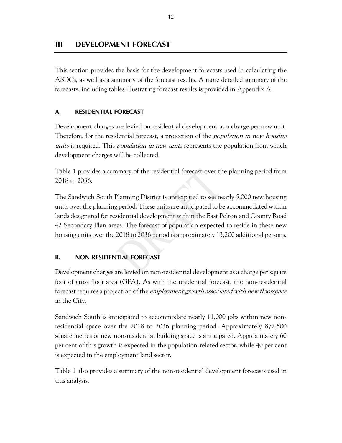# **III DEVELOPMENT FORECAST**

This section provides the basis for the development forecasts used in calculating the ASDCs, as well as a summary of the forecast results. A more detailed summary of the forecasts, including tables illustrating forecast results is provided in Appendix A.

### **A. RESIDENTIAL FORECAST**

Development charges are levied on residential development as a charge per new unit. Therefore, for the residential forecast, a projection of the *population in new housing* units is required. This *population in new units* represents the population from which development charges will be collected.

Table 1 provides a summary of the residential forecast over the planning period from 2018 to 2036.

The Sandwich South Planning District is anticipated to see nearly 5,000 new housing units over the planning period. These units are anticipated to be accommodated within lands designated for residential development within the East Pelton and County Road 42 Secondary Plan areas. The forecast of population expected to reside in these new housing units over the 2018 to 2036 period is approximately 13,200 additional persons.

#### **B. NON-RESIDENTIAL FORECAST**

Development charges are levied on non-residential development as a charge per square foot of gross floor area (GFA). As with the residential forecast, the non-residential forecast requires a projection of the employment growth associated with new floorspace in the City.

Sandwich South is anticipated to accommodate nearly 11,000 jobs within new nonresidential space over the 2018 to 2036 planning period. Approximately 872,500 square metres of new non-residential building space is anticipated. Approximately 60 per cent of this growth is expected in the population-related sector, while 40 per cent is expected in the employment land sector.

Table 1 also provides a summary of the non-residential development forecasts used in this analysis.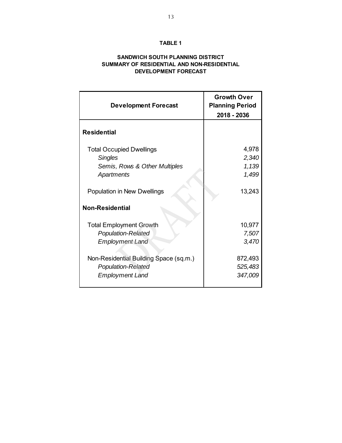#### **TABLE 1**

#### **SANDWICH SOUTH PLANNING DISTRICT SUMMARY OF RESIDENTIAL AND NON-RESIDENTIAL DEVELOPMENT FORECAST**

| <b>Development Forecast</b>                                                                   | <b>Growth Over</b><br><b>Planning Period</b><br>2018 - 2036 |
|-----------------------------------------------------------------------------------------------|-------------------------------------------------------------|
| <b>Residential</b>                                                                            |                                                             |
| <b>Total Occupied Dwellings</b>                                                               | 4,978                                                       |
| <b>Singles</b>                                                                                | 2,340                                                       |
| Semis, Rows & Other Multiples                                                                 | 1,139                                                       |
| <b>Apartments</b>                                                                             | 1,499                                                       |
| Population in New Dwellings<br><b>Non-Residential</b>                                         | 13,243                                                      |
|                                                                                               |                                                             |
| <b>Total Employment Growth</b>                                                                | 10,977                                                      |
| <b>Population-Related</b>                                                                     | 7,507                                                       |
| <b>Employment Land</b>                                                                        | 3,470                                                       |
| Non-Residential Building Space (sq.m.)<br><b>Population-Related</b><br><b>Employment Land</b> | 872,493<br>525,483<br>347,009                               |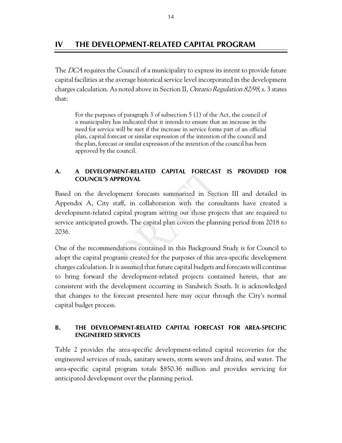# **IV THE DEVELOPMENT-RELATED CAPITAL PROGRAM**

The DCA requires the Council of a municipality to express its intent to provide future capital facilities at the average historical service level incorporated in the development charges calculation. As noted above in Section II, Ontario Regulation 82/98, s. 3 states that:

For the purposes of paragraph 3 of subsection 5 (1) of the Act, the council of a municipality has indicated that it intends to ensure that an increase in the need for service will be met if the increase in service forms part of an official plan, capital forecast or similar expression of the intention of the council and the plan, forecast or similar expression of the intention of the council has been approved by the council.

#### **A. A DEVELOPMENT-RELATED CAPITAL FORECAST IS PROVIDED FOR COUNCIL'S APPROVAL**

Based on the development forecasts summarized in Section III and detailed in Appendix A, City staff, in collaboration with the consultants have created a development-related capital program setting out those projects that are required to service anticipated growth. The capital plan covers the planning period from 2018 to 2036.

One of the recommendations contained in this Background Study is for Council to adopt the capital programs created for the purposes of this area-specific development charges calculation. It is assumed that future capital budgets and forecasts will continue to bring forward the development-related projects contained herein, that are consistent with the development occurring in Sandwich South. It is acknowledged that changes to the forecast presented here may occur through the City's normal capital budget process.

#### **B. THE DEVELOPMENT-RELATED CAPITAL FORECAST FOR AREA-SPECIFIC ENGINEERED SERVICES**

Table 2 provides the area-specific development-related capital recoveries for the engineered services of roads, sanitary sewers, storm sewers and drains, and water. The area-specific capital program totals \$850.36 million and provides servicing for anticipated development over the planning period.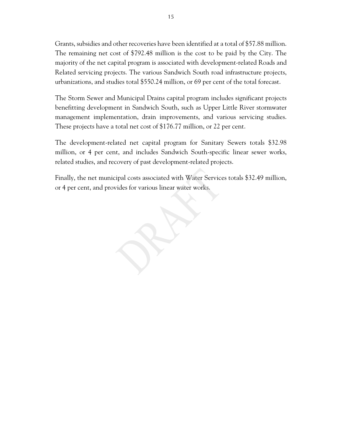Grants, subsidies and other recoveries have been identified at a total of \$57.88 million. The remaining net cost of \$792.48 million is the cost to be paid by the City. The majority of the net capital program is associated with development-related Roads and Related servicing projects. The various Sandwich South road infrastructure projects, urbanizations, and studies total \$550.24 million, or 69 per cent of the total forecast.

The Storm Sewer and Municipal Drains capital program includes significant projects benefitting development in Sandwich South, such as Upper Little River stormwater management implementation, drain improvements, and various servicing studies. These projects have a total net cost of \$176.77 million, or 22 per cent.

The development-related net capital program for Sanitary Sewers totals \$32.98 million, or 4 per cent, and includes Sandwich South-specific linear sewer works, related studies, and recovery of past development-related projects.

Finally, the net municipal costs associated with Water Services totals \$32.49 million, or 4 per cent, and provides for various linear water works.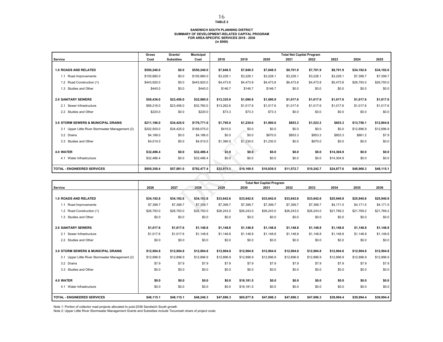#### **SANDWICH SOUTH PLANNING DISTRICT SUMMARY OF DEVELOPMENT-RELATED CAPITAL PROGRAM FOR AREA-SPECIFIC SERVICES 2018 - 2036 (in \$000)**

|                                                  | Gross       | Grants/          | <b>Municipal</b> |            |            |            | <b>Total Net Capital Program</b> |            |            |            |            |
|--------------------------------------------------|-------------|------------------|------------------|------------|------------|------------|----------------------------------|------------|------------|------------|------------|
| Service                                          | Cost        | <b>Subsidies</b> | Cost             | 2018       | 2019       | 2020       | 2021                             | 2022       | 2023       | 2024       | 2025       |
|                                                  |             |                  |                  |            |            |            |                                  |            |            |            |            |
| <b>1.0 ROADS AND RELATED</b>                     | \$550,240.0 | \$0.0            | \$550,240.0      | \$7.848.5  | \$7,848.5  | \$7,848.5  | \$9,701.9                        | \$7,701.9  | \$8,701.9  | \$34,192.6 | \$34,192.6 |
| Road Improvements<br>1.1                         | \$105,880.0 | \$0.0            | \$105,880.0      | \$3,228.1  | \$3,228.1  | \$3,228.1  | \$3,228.1                        | \$3,228.1  | \$3,228.1  | \$7,399.7  | \$7,399.7  |
| 1.2 Road Construction (1)                        | \$443,920.0 | \$0.0            | \$443,920.0      | \$4,473.8  | \$4,473.8  | \$4,473.8  | \$6,473.8                        | \$4,473.8  | \$5,473.8  | \$26,793.0 | \$26,793.0 |
| 1.3 Studies and Other                            | \$440.0     | \$0.0            | \$440.0          | \$146.7    | \$146.7    | \$146.7    | \$0.0                            | \$0.0      | \$0.0      | \$0.0      | \$0.0      |
|                                                  |             |                  |                  |            |            |            |                                  |            |            |            |            |
| <b>2.0 SANITARY SEWERS</b>                       | \$56,436.0  | \$23,456.0       | \$32,980.0       | \$13,335.9 | \$1,090.9  | \$1,090.9  | \$1,017.6                        | \$1,017.6  | \$1,017.6  | \$1,017.6  | \$1,017.6  |
| Sewer Infrastructure<br>2.1                      | \$56,216.0  | \$23,456.0       | \$32,760.0       | \$13,262.6 | \$1,017.6  | \$1,017.6  | \$1,017.6                        | \$1,017.6  | \$1,017.6  | \$1,017.6  | \$1,017.6  |
| 2.2 Studies and Other                            | \$220.0     | \$0.0            | \$220.0          | \$73.3     | \$73.3     | \$73.3     | \$0.0                            | \$0.0      | \$0.0      | \$0.0      | \$0.0      |
|                                                  |             |                  |                  |            |            |            |                                  |            |            |            |            |
| 3.0 STORM SEWERS & MUNICIPAL DRAINS              | \$211.196.0 | \$34,425.0       | \$176,771.0      | \$1.795.0  | \$1,230.0  | \$1,900.0  | \$853.3                          | \$1.523.3  | \$853.3    | \$13,758.1 | \$12,904.8 |
| 3.1 Upper Little River Stormwater Management (2) | \$202,500.0 | \$34,425.0       | \$168,075.0      | \$415.0    | \$0.0      | \$0.0      | \$0.0                            | \$0.0      | \$0.0      | \$12,896.9 | \$12,896.9 |
| 3.2 Drains                                       | \$4,186.0   | \$0.0            | \$4,186.0        | \$0.0      | \$0.0      | \$670.0    | \$853.3                          | \$853.3    | \$853.3    | \$861.2    | \$7.9      |
| 3.3 Studies and Other                            | \$4,510.0   | \$0.0            | \$4,510.0        | \$1,380.0  | \$1,230.0  | \$1,230.0  | \$0.0                            | \$670.0    | \$0.0      | \$0.0      | \$0.0      |
|                                                  |             |                  |                  |            |            |            |                                  |            |            |            |            |
| <b>4.0 WATER</b>                                 | \$32,486.4  | \$0.0            | \$32,486.4       | \$0.0      | \$0.0      | \$0.0      | \$0.0                            | \$0.0      | \$14,304.9 | \$0.0      | \$0.0      |
| 4.1 Water Infrastructure                         | \$32,486.4  | \$0.0            | \$32,486.4       | \$0.0      | \$0.0      | \$0.0      | \$0.0                            | \$0.0      | \$14,304.9 | \$0.0      | \$0.0      |
|                                                  |             |                  |                  |            |            |            |                                  |            |            |            |            |
| <b>TOTAL - ENGINEERED SERVICES</b>               | \$850,358.4 | \$57,881.0       | \$792,477.4      | \$22,979.5 | \$10,169.5 | \$10,839.5 | \$11,572.7                       | \$10,242.7 | \$24,877.6 | \$48,968.3 | \$48,115.1 |

|                                                  | <b>Total Net Capital Program</b> |            |            |            |            |            |            |            |            |            |            |
|--------------------------------------------------|----------------------------------|------------|------------|------------|------------|------------|------------|------------|------------|------------|------------|
| Service                                          | 2026                             | 2027       | 2028       | 2029       | 2030       | 2031       | 2032       | 2033       | 2034       | 2035       | 2036       |
|                                                  |                                  |            |            |            |            |            |            |            |            |            |            |
| <b>1.0 ROADS AND RELATED</b>                     | \$34,192.6                       | \$34,192.6 | \$34,192.6 | \$33,642.6 | \$33,642.6 | \$33,642.6 | \$33,642.6 | \$33,642.6 | \$25,940.8 | \$25,940.8 | \$25,940.8 |
| 1.1 Road Improvements                            | \$7,399.7                        | \$7,399.7  | \$7,399.7  | \$7,399.7  | \$7,399.7  | \$7,399.7  | \$7,399.7  | \$7,399.7  | \$4,171.5  | \$4,171.5  | \$4,171.5  |
| 1.2 Road Construction (1)                        | \$26,793.0                       | \$26,793.0 | \$26,793.0 | \$26.243.0 | \$26,243.0 | \$26,243.0 | \$26,243.0 | \$26,243.0 | \$21,769.2 | \$21,769.2 | \$21,769.2 |
| 1.3 Studies and Other                            | \$0.0                            | \$0.0      | \$0.0      | \$0.0      | \$0.0      | \$0.0      | \$0.0      | \$0.0      | \$0.0      | \$0.0      | \$0.0      |
|                                                  |                                  |            |            |            |            |            |            |            |            |            |            |
| <b>2.0 SANITARY SEWERS</b>                       | \$1.017.6                        | \$1.017.6  | \$1,148.8  | \$1.148.8  | \$1,148.8  | \$1.148.8  | \$1,148.8  | \$1,148.8  | \$1,148.8  | \$1.148.8  | \$1,148.8  |
| Sewer Infrastructure<br>2.1                      | \$1,017.6                        | \$1,017.6  | \$1,148.8  | \$1,148.8  | \$1,148.8  | \$1,148.8  | \$1,148.8  | \$1,148.8  | \$1,148.8  | \$1,148.8  | \$1,148.8  |
| 2.2 Studies and Other                            | \$0.0                            | \$0.0      | \$0.0      | \$0.0      | \$0.0      | \$0.0      | \$0.0      | \$0.0      | \$0.0      | \$0.0      | \$0.0      |
|                                                  |                                  |            |            |            |            |            |            |            |            |            |            |
| 3.0 STORM SEWERS & MUNICIPAL DRAINS              | \$12.904.8                       | \$12,904.8 | \$12,904.8 | \$12.904.8 | \$12,904.8 | \$12,904.8 | \$12,904.8 | \$12,904.8 | \$12,904.8 | \$12,904.8 | \$12,904.8 |
| 3.1 Upper Little River Stormwater Management (2) | \$12,896.9                       | \$12,896.9 | \$12,896.9 | \$12,896.9 | \$12,896.9 | \$12,896.9 | \$12,896.9 | \$12,896.9 | \$12,896.9 | \$12,896.9 | \$12,896.9 |
| 3.2 Drains                                       | \$7.9                            | \$7.9      | \$7.9      | \$7.9      | \$7.9      | \$7.9      | \$7.9      | \$7.9      | \$7.9      | \$7.9      | \$7.9      |
| 3.3 Studies and Other                            | \$0.0                            | \$0.0      | \$0.0      | \$0.0      | \$0.0      | \$0.0      | \$0.0      | \$0.0      | \$0.0      | \$0.0      | \$0.0      |
|                                                  |                                  |            |            |            |            |            |            |            |            |            |            |
| 4.0 WATER                                        | \$0.0                            | \$0.0      | \$0.0      | \$0.0      | \$18,181.5 | \$0.0      | \$0.0      | \$0.0      | \$0.0      | \$0.0      | \$0.0      |
| Water Infrastructure<br>4.1                      | \$0.0                            | \$0.0      | \$0.0      | \$0.0      | \$18,181.5 | \$0.0      | \$0.0      | \$0.0      | \$0.0      | \$0.0      | \$0.0      |
|                                                  |                                  |            |            |            |            |            |            |            |            |            |            |
| <b>TOTAL - ENGINEERED SERVICES</b>               | \$48.115.1                       | \$48,115.1 | \$48,246.3 | \$47,696.3 | \$65,877.8 | \$47.696.3 | \$47,696.3 | \$47,696.3 | \$39,994.4 | \$39,994.4 | \$39,994.4 |

Note 1: Portion of collector road projects allocated to post-2036 Sandwich South growth Note 2: Upper Little River Stormwater Management Grants and Subsidies include Tecumseh share of project costs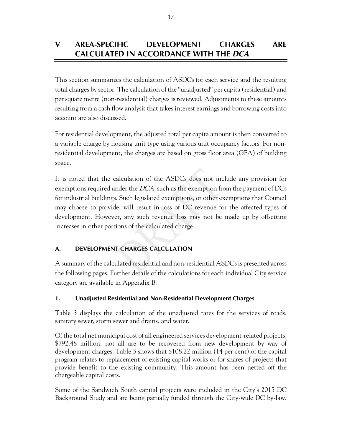# **V AREA-SPECIFIC DEVELOPMENT CHARGES ARE CALCULATED IN ACCORDANCE WITH THE** *DCA*

This section summarizes the calculation of ASDCs for each service and the resulting total charges by sector. The calculation of the "unadjusted" per capita (residential) and per square metre (non-residential) charges is reviewed. Adjustments to these amounts resulting from a cash flow analysis that takes interest earnings and borrowing costs into account are also discussed.

For residential development, the adjusted total per capita amount is then converted to a variable charge by housing unit type using various unit occupancy factors. For nonresidential development, the charges are based on gross floor area (GFA) of building space.

It is noted that the calculation of the ASDCs does not include any provision for exemptions required under the DCA, such as the exemption from the payment of DCs for industrial buildings. Such legislated exemptions, or other exemptions that Council may choose to provide, will result in loss of DC revenue for the affected types of development. However, any such revenue loss may not be made up by offsetting increases in other portions of the calculated charge.

## **A. DEVELOPMENT CHARGES CALCULATION**

A summary of the calculated residential and non-residential ASDCs is presented across the following pages. Further details of the calculations for each individual City service category are available in Appendix B.

### **1. Unadjusted Residential and Non-Residential Development Charges**

Table 3 displays the calculation of the unadjusted rates for the services of roads, sanitary sewer, storm sewer and drains, and water.

Of the total net municipal cost of all engineered services development-related projects, \$792.48 million, not all are to be recovered from new development by way of development charges. Table 3 shows that \$108.22 million (14 per cent) of the capital program relates to replacement of existing capital works or for shares of projects that provide benefit to the existing community. This amount has been netted off the chargeable capital costs.

Some of the Sandwich South capital projects were included in the City's 2015 DC Background Study and are being partially funded through the City-wide DC by-law.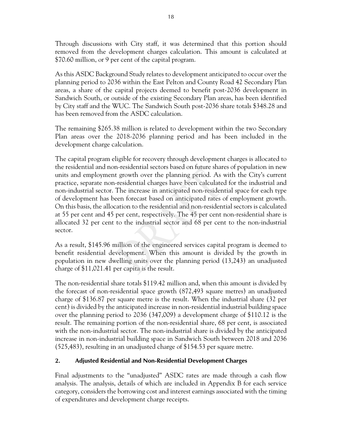Through discussions with City staff, it was determined that this portion should removed from the development charges calculation. This amount is calculated at \$70.60 million, or 9 per cent of the capital program.

As this ASDC Background Study relates to development anticipated to occur over the planning period to 2036 within the East Pelton and County Road 42 Secondary Plan areas, a share of the capital projects deemed to benefit post-2036 development in Sandwich South, or outside of the existing Secondary Plan areas, has been identified by City staff and the WUC. The Sandwich South post-2036 share totals \$348.28 and has been removed from the ASDC calculation.

The remaining \$265.38 million is related to development within the two Secondary Plan areas over the 2018-2036 planning period and has been included in the development charge calculation.

The capital program eligible for recovery through development charges is allocated to the residential and non-residential sectors based on future shares of population in new units and employment growth over the planning period. As with the City's current practice, separate non-residential charges have been calculated for the industrial and non-industrial sector. The increase in anticipated non-residential space for each type of development has been forecast based on anticipated rates of employment growth. On this basis, the allocation to the residential and non-residential sectors is calculated at 55 per cent and 45 per cent, respectively. The 45 per cent non-residential share is allocated 32 per cent to the industrial sector and 68 per cent to the non-industrial sector.

As a result, \$145.96 million of the engineered services capital program is deemed to benefit residential development. When this amount is divided by the growth in population in new dwelling units over the planning period (13,243) an unadjusted charge of \$11,021.41 per capita is the result.

The non-residential share totals \$119.42 million and, when this amount is divided by the forecast of non-residential space growth (872,493 square metres) an unadjusted charge of \$136.87 per square metre is the result. When the industrial share (32 per cent) is divided by the anticipated increase in non-residential industrial building space over the planning period to 2036 (347,009) a development charge of \$110.12 is the result. The remaining portion of the non-residential share, 68 per cent, is associated with the non-industrial sector. The non-industrial share is divided by the anticipated increase in non-industrial building space in Sandwich South between 2018 and 2036 (525,483), resulting in an unadjusted charge of \$154.53 per square metre.

### **2. Adjusted Residential and Non-Residential Development Charges**

Final adjustments to the "unadjusted" ASDC rates are made through a cash flow analysis. The analysis, details of which are included in Appendix B for each service category, considers the borrowing cost and interest earnings associated with the timing of expenditures and development charge receipts.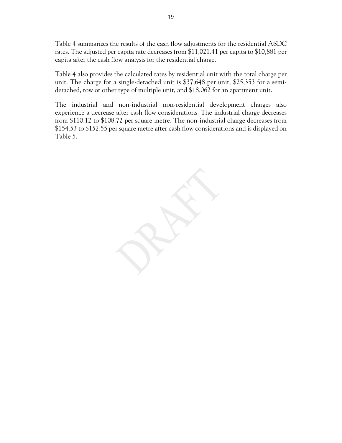Table 4 summarizes the results of the cash flow adjustments for the residential ASDC rates. The adjusted per capita rate decreases from \$11,021.41 per capita to \$10,881 per capita after the cash flow analysis for the residential charge.

Table 4 also provides the calculated rates by residential unit with the total charge per unit. The charge for a single-detached unit is \$37,648 per unit, \$25,353 for a semidetached, row or other type of multiple unit, and \$18,062 for an apartment unit.

The industrial and non-industrial non-residential development charges also experience a decrease after cash flow considerations. The industrial charge decreases from \$110.12 to \$108.72 per square metre. The non-industrial charge decreases from \$154.53 to \$152.55 per square metre after cash flow considerations and is displayed on Table 5.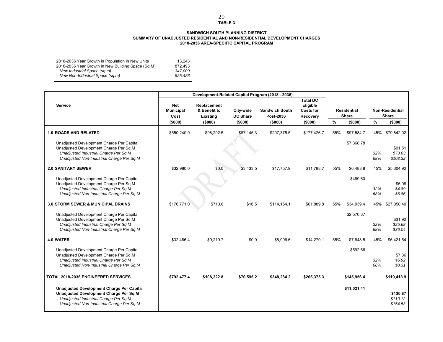#### **TABLE 3 SANDWICH SOUTH PLANNING DISTRICT**

#### **SUMMARY OF UNADJUSTED RESIDENTIAL AND NON-RESIDENTIAL DEVELOPMENT CHARGES 2018-2036 AREA-SPECIFIC CAPITAL PROGRAM**

| 2018-2036 Year Growth in Population in New Units<br>2018-2036 Year Growth in New Building Space (Sq.M)<br>New Industrial Space (sq.m) | 13.243<br>872.493<br>347.009 |
|---------------------------------------------------------------------------------------------------------------------------------------|------------------------------|
| New Non-Industrial Space (sq.m)                                                                                                       | 525.483                      |
|                                                                                                                                       |                              |

|                                                                                                                                                                                 |                                            |                                                           |                                         | Development-Related Capital Program (2018 - 2036) |                                                                        |     |                                        |            |                                                   |
|---------------------------------------------------------------------------------------------------------------------------------------------------------------------------------|--------------------------------------------|-----------------------------------------------------------|-----------------------------------------|---------------------------------------------------|------------------------------------------------------------------------|-----|----------------------------------------|------------|---------------------------------------------------|
| <b>Service</b>                                                                                                                                                                  | Net<br><b>Municipal</b><br>Cost<br>(\$000) | Replacement<br>& Benefit to<br><b>Existing</b><br>(\$000) | City-wide<br><b>DC Share</b><br>(\$000) | <b>Sandwich South</b><br>Post-2036<br>(\$000)     | <b>Total DC</b><br>Eligible<br><b>Costs for</b><br>Recovery<br>(\$000) | %   | <b>Residential</b><br>Share<br>(\$000) | %          | <b>Non-Residential</b><br><b>Share</b><br>(\$000) |
| <b>1.0 ROADS AND RELATED</b>                                                                                                                                                    | \$550,240.0                                | \$98,292.5                                                | \$67,145.3                              | \$207,375.5                                       | \$177,426.7                                                            | 55% | \$97,584.7                             | 45%        | \$79,842.02                                       |
| Unadjusted Development Charge Per Capita<br>Unadjusted Development Charge Per Sq.M<br>Unadjusted Industrial Charge Per Sq.M<br>Unadjusted Non-Industrial Charge Per Sq.M        |                                            |                                                           |                                         |                                                   |                                                                        |     | \$7,368.78                             | 32%<br>68% | \$91.51<br>\$73.63<br>\$103.32                    |
| <b>2.0 SANITARY SEWER</b>                                                                                                                                                       | \$32,980.0                                 | \$0.0                                                     | \$3,433.5                               | \$17,757.9                                        | \$11,788.7                                                             | 55% | \$6.483.8                              | 45%        | \$5,304.92                                        |
| Unadjusted Development Charge Per Capita<br>Unadjusted Development Charge Per Sq.M<br>Unadjusted Industrial Charge Per Sq.M<br>Unadjusted Non-Industrial Charge Per Sq.M        |                                            |                                                           |                                         |                                                   |                                                                        |     | \$489.60                               | 32%<br>68% | \$6.08<br>\$4.89<br>\$6.86                        |
| 3.0 STORM SEWER & MUNICIPAL DRAINS                                                                                                                                              | \$176,771.0                                | \$710.6                                                   | \$16.5                                  | \$114,154.1                                       | \$61,889.8                                                             | 55% | \$34,039.4                             | 45%        | \$27,850.40                                       |
| Unadjusted Development Charge Per Capita<br>Unadjusted Development Charge Per Sq.M<br>Unadjusted Industrial Charge Per Sq.M<br>Unadjusted Non-Industrial Charge Per Sq.M        |                                            |                                                           |                                         |                                                   |                                                                        |     | \$2,570.37                             | 32%<br>68% | \$31.92<br>\$25.68<br>\$36.04                     |
| 4.0 WATER                                                                                                                                                                       | \$32,486.4                                 | \$9,219.7                                                 | \$0.0                                   | \$8,996.6                                         | \$14,270.1                                                             | 55% | \$7,848.5                              | 45%        | \$6,421.54                                        |
| Unadjusted Development Charge Per Capita<br>Unadjusted Development Charge Per Sq.M<br>Unadjusted Industrial Charge Per Sq.M<br>Unadjusted Non-Industrial Charge Per Sq.M        |                                            |                                                           |                                         |                                                   |                                                                        |     | \$592.66                               | 32%<br>68% | \$7.36<br>\$5.92<br>\$8.31                        |
| <b>TOTAL 2018-2036 ENGINEERED SERVICES</b>                                                                                                                                      | \$792,477.4                                | \$108,222.8                                               | \$70,595.2                              | \$348,284.2                                       | \$265,375.3                                                            |     | \$145,956.4                            |            | \$119,418.9                                       |
| <b>Unadjusted Development Charge Per Capita</b><br>Unadjusted Development Charge Per Sq.M<br>Unadjusted Industrial Charge Per Sq.M<br>Unadjusted Non-Industrial Charge Per Sq.M |                                            |                                                           |                                         |                                                   |                                                                        |     | \$11,021.41                            |            | \$136.87<br>\$110.12<br>\$154.53                  |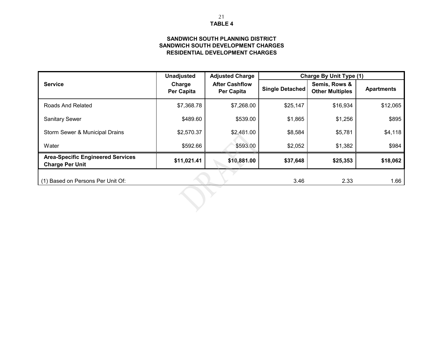#### **TABLE 4**21

#### **SANDWICH SOUTH DEVELOPMENT CHARGES SANDWICH SOUTH PLANNING DISTRICTRESIDENTIAL DEVELOPMENT CHARGES**

|                                                                    | <b>Unadjusted</b>           | <b>Adjusted Charge</b>              | <b>Charge By Unit Type (1)</b> |                                         |                   |  |  |  |
|--------------------------------------------------------------------|-----------------------------|-------------------------------------|--------------------------------|-----------------------------------------|-------------------|--|--|--|
| <b>Service</b>                                                     | Charge<br><b>Per Capita</b> | <b>After Cashflow</b><br>Per Capita | Single Detached                | Semis, Rows &<br><b>Other Multiples</b> | <b>Apartments</b> |  |  |  |
| Roads And Related                                                  | \$7,368.78                  | \$7,268.00                          | \$25,147                       | \$16,934                                | \$12,065          |  |  |  |
| <b>Sanitary Sewer</b>                                              | \$489.60                    | \$539.00                            | \$1,865                        | \$1,256                                 | \$895             |  |  |  |
| Storm Sewer & Municipal Drains                                     | \$2,570.37                  | \$2,481.00                          | \$8,584                        | \$5,781                                 | \$4,118           |  |  |  |
| Water                                                              | \$592.66                    | \$593.00                            | \$2,052                        | \$1,382                                 | \$984             |  |  |  |
| <b>Area-Specific Engineered Services</b><br><b>Charge Per Unit</b> | \$11,021.41                 | \$10,881.00                         | \$37,648                       | \$25,353                                | \$18,062          |  |  |  |
| (1) Based on Persons Per Unit Of:                                  |                             |                                     | 3.46                           | 2.33                                    | 1.66              |  |  |  |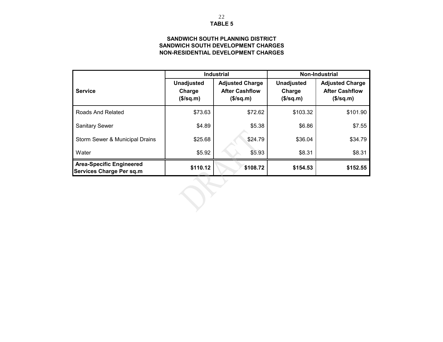#### **TABLE 5**22

#### **NON-RESIDENTIAL DEVELOPMENT CHARGESSANDWICH SOUTH DEVELOPMENT CHARGES SANDWICH SOUTH PLANNING DISTRICT**

|                                                                    |                                             | <b>Industrial</b>                                               | <b>Non-Industrial</b>                       |                                                                 |  |  |
|--------------------------------------------------------------------|---------------------------------------------|-----------------------------------------------------------------|---------------------------------------------|-----------------------------------------------------------------|--|--|
| <b>Service</b>                                                     | <b>Unadjusted</b><br>Charge<br>$($\sqrt{$}$ | <b>Adjusted Charge</b><br><b>After Cashflow</b><br>$($\sqrt{$}$ | <b>Unadjusted</b><br>Charge<br>$($\sqrt{$}$ | <b>Adjusted Charge</b><br><b>After Cashflow</b><br>$($\sqrt{$}$ |  |  |
| Roads And Related                                                  | \$73.63                                     | \$72.62                                                         | \$103.32                                    | \$101.90                                                        |  |  |
| <b>Sanitary Sewer</b>                                              | \$4.89                                      | \$5.38                                                          | \$6.86                                      | \$7.55                                                          |  |  |
| Storm Sewer & Municipal Drains                                     | \$25.68                                     | \$24.79                                                         | \$36.04                                     | \$34.79                                                         |  |  |
| Water                                                              | \$5.92                                      | \$5.93                                                          | \$8.31                                      | \$8.31                                                          |  |  |
| <b>Area-Specific Engineered</b><br><b>Services Charge Per sq.m</b> | \$110.12                                    | \$108.72                                                        | \$154.53                                    | \$152.55                                                        |  |  |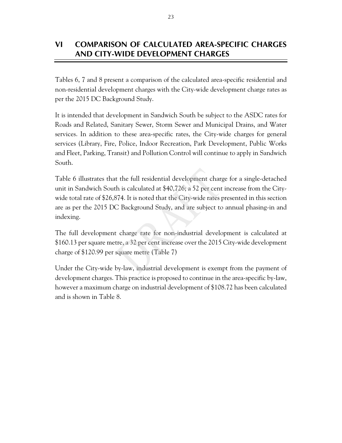# **VI COMPARISON OF CALCULATED AREA-SPECIFIC CHARGES AND CITY-WIDE DEVELOPMENT CHARGES**

Tables 6, 7 and 8 present a comparison of the calculated area-specific residential and non-residential development charges with the City-wide development charge rates as per the 2015 DC Background Study.

It is intended that development in Sandwich South be subject to the ASDC rates for Roads and Related, Sanitary Sewer, Storm Sewer and Municipal Drains, and Water services. In addition to these area-specific rates, the City-wide charges for general services (Library, Fire, Police, Indoor Recreation, Park Development, Public Works and Fleet, Parking, Transit) and Pollution Control will continue to apply in Sandwich South.

Table 6 illustrates that the full residential development charge for a single-detached unit in Sandwich South is calculated at \$40,726; a 52 per cent increase from the Citywide total rate of \$26,874. It is noted that the City-wide rates presented in this section are as per the 2015 DC Background Study, and are subject to annual phasing-in and indexing.

The full development charge rate for non-industrial development is calculated at \$160.13 per square metre, a 32 per cent increase over the 2015 City-wide development charge of \$120.99 per square metre (Table 7)

Under the City-wide by-law, industrial development is exempt from the payment of development charges. This practice is proposed to continue in the area-specific by-law, however a maximum charge on industrial development of \$108.72 has been calculated and is shown in Table 8.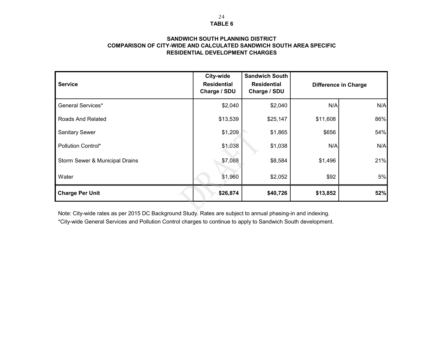#### **SANDWICH SOUTH PLANNING DISTRICTCOMPARISON OF CITY-WIDE AND CALCULATED SANDWICH SOUTH AREA SPECIFIC RESIDENTIAL DEVELOPMENT CHARGES**

| <b>Service</b>                 | City-wide<br><b>Residential</b><br>Charge / SDU | <b>Sandwich South</b><br><b>Residential</b><br>Charge / SDU |          | <b>Difference in Charge</b> |
|--------------------------------|-------------------------------------------------|-------------------------------------------------------------|----------|-----------------------------|
| <b>General Services*</b>       | \$2,040                                         | \$2,040                                                     | N/A      | N/A                         |
| Roads And Related              | \$13,539                                        | \$25,147                                                    | \$11,608 | 86%                         |
| <b>Sanitary Sewer</b>          | \$1,209                                         | \$1,865                                                     | \$656    | 54%                         |
| <b>Pollution Control*</b>      | \$1,038                                         | \$1,038                                                     | N/A      | N/A                         |
| Storm Sewer & Municipal Drains | \$7,088                                         | \$8,584                                                     | \$1,496  | 21%                         |
| Water                          | \$1,960                                         | \$2,052                                                     | \$92     | 5%                          |
| <b>Charge Per Unit</b>         | \$26,874                                        | \$40,726                                                    | \$13,852 | 52%                         |

Note: City-wide rates as per 2015 DC Background Study. Rates are subject to annual phasing-in and indexing.

\*City-wide General Services and Pollution Control charges to continue to apply to Sandwich South development.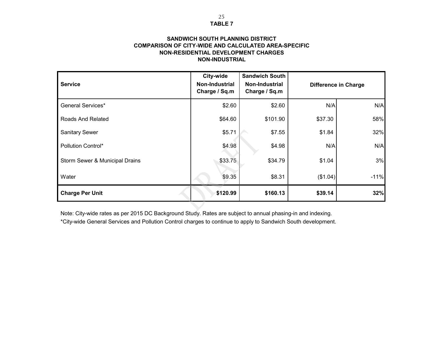#### **SANDWICH SOUTH PLANNING DISTRICTCOMPARISON OF CITY-WIDE AND CALCULATED AREA-SPECIFIC NON-RESIDENTIAL DEVELOPMENT CHARGESNON-INDUSTRIAL**

| <b>Service</b>                 | City-wide<br><b>Non-Industrial</b><br>Charge / Sq.m | <b>Sandwich South</b><br>Non-Industrial<br>Charge / Sq.m |          | <b>Difference in Charge</b> |
|--------------------------------|-----------------------------------------------------|----------------------------------------------------------|----------|-----------------------------|
| General Services*              | \$2.60                                              | \$2.60                                                   | N/A      | N/A                         |
| Roads And Related              | \$64.60                                             | \$101.90                                                 | \$37.30  | 58%                         |
| <b>Sanitary Sewer</b>          | \$5.71                                              | \$7.55                                                   | \$1.84   | 32%                         |
| Pollution Control*             | \$4.98                                              | \$4.98                                                   | N/A      | N/A                         |
| Storm Sewer & Municipal Drains | \$33.75                                             | \$34.79                                                  | \$1.04   | 3%                          |
| Water                          | \$9.35                                              | \$8.31                                                   | (\$1.04) | $-11%$                      |
| <b>Charge Per Unit</b>         | \$120.99                                            | \$160.13                                                 | \$39.14  | 32%                         |

Note: City-wide rates as per 2015 DC Background Study. Rates are subject to annual phasing-in and indexing. \*City-wide General Services and Pollution Control charges to continue to apply to Sandwich South development.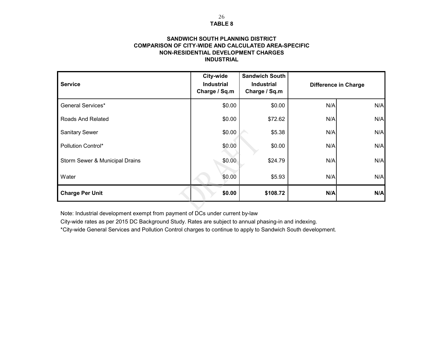# **TABLE 8**

#### **INDUSTRIALCOMPARISON OF CITY-WIDE AND CALCULATED AREA-SPECIFIC SANDWICH SOUTH PLANNING DISTRICTNON-RESIDENTIAL DEVELOPMENT CHARGES**

| <b>Service</b>                 | City-wide<br><b>Industrial</b><br>Charge / Sq.m | <b>Sandwich South</b><br><b>Industrial</b><br>Charge / Sq.m |     | <b>Difference in Charge</b> |
|--------------------------------|-------------------------------------------------|-------------------------------------------------------------|-----|-----------------------------|
| <b>General Services*</b>       | \$0.00                                          | \$0.00                                                      | N/A | N/A                         |
| Roads And Related              | \$0.00                                          | \$72.62                                                     | N/A | N/A                         |
| <b>Sanitary Sewer</b>          | \$0.00                                          | \$5.38                                                      | N/A | N/A                         |
| <b>Pollution Control*</b>      | \$0.00                                          | \$0.00                                                      | N/A | N/A                         |
| Storm Sewer & Municipal Drains | \$0.00                                          | \$24.79                                                     | N/A | N/A                         |
| Water                          | \$0.00                                          | \$5.93                                                      | N/A | N/A                         |
| <b>Charge Per Unit</b>         | \$0.00                                          | \$108.72                                                    | N/A | N/A                         |

Note: Industrial development exempt from payment of DCs under current by-law

City-wide rates as per 2015 DC Background Study. Rates are subject to annual phasing-in and indexing.

\*City-wide General Services and Pollution Control charges to continue to apply to Sandwich South development.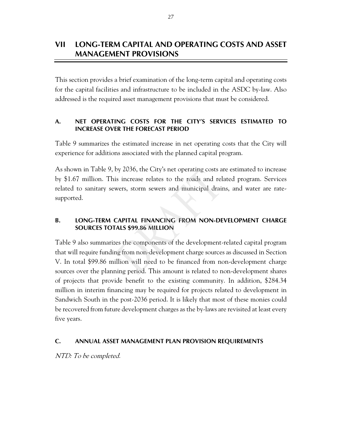This section provides a brief examination of the long-term capital and operating costs for the capital facilities and infrastructure to be included in the ASDC by-law. Also addressed is the required asset management provisions that must be considered.

#### **A. NET OPERATING COSTS FOR THE CITY'S SERVICES ESTIMATED TO INCREASE OVER THE FORECAST PERIOD**

Table 9 summarizes the estimated increase in net operating costs that the City will experience for additions associated with the planned capital program.

As shown in Table 9, by 2036, the City's net operating costs are estimated to increase by \$1.67 million. This increase relates to the roads and related program. Services related to sanitary sewers, storm sewers and municipal drains, and water are ratesupported.

### **B. LONG-TERM CAPITAL FINANCING FROM NON-DEVELOPMENT CHARGE SOURCES TOTALS \$99.86 MILLION**

Table 9 also summarizes the components of the development-related capital program that will require funding from non-development charge sources as discussed in Section V. In total \$99.86 million will need to be financed from non-development charge sources over the planning period. This amount is related to non-development shares of projects that provide benefit to the existing community. In addition, \$284.34 million in interim financing may be required for projects related to development in Sandwich South in the post-2036 period. It is likely that most of these monies could be recovered from future development charges as the by-laws are revisited at least every five years.

#### **C. ANNUAL ASSET MANAGEMENT PLAN PROVISION REQUIREMENTS**

NTD: To be completed.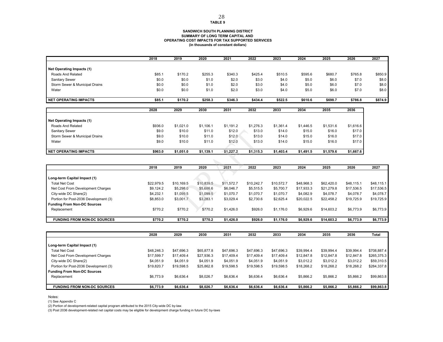#### **SANDWICH SOUTH PLANNING DISTRICT SUMMARY OF LONG TERM CAPITAL AND OPERATING COST IMPACTS FOR TAX SUPPORTED SERVICES (in thousands of constant dollars)**

|                                | 2018   | 2019    | 2020    | 2021    | 2022    | 2023    | 2024    | 2025    | 2026    | 2027    |
|--------------------------------|--------|---------|---------|---------|---------|---------|---------|---------|---------|---------|
|                                |        |         |         |         |         |         |         |         |         |         |
| Net Operating Impacts (1)      |        |         |         |         |         |         |         |         |         |         |
| Roads And Related              | \$85.1 | \$170.2 | \$255.3 | \$340.3 | \$425.4 | \$510.5 | \$595.6 | \$680.7 | \$765.8 | \$850.9 |
| Sanitary Sewer                 | \$0.0  | \$0.0   | \$1.0   | \$2.0   | \$3.0   | \$4.0   | \$5.0   | \$6.0   | \$7.0   | \$8.0   |
| Storm Sewer & Municipal Drains | \$0.0  | \$0.0   | \$1.0   | \$2.0   | \$3.0   | \$4.0   | \$5.0   | \$6.0   | \$7.0   | \$8.0   |
| Water                          | \$0.0  | \$0.0   | \$1.0   | \$2.0   | \$3.0   | \$4.0   | \$5.0   | \$6.0   | \$7.0   | \$8.0   |
|                                |        |         |         |         |         |         |         |         |         |         |
| <b>NET OPERATING IMPACTS</b>   | \$85.1 | \$170.2 | \$258.3 | \$346.3 | \$434.4 | \$522.5 | \$610.6 | \$698.7 | \$786.8 | \$874.9 |

|                                | 2028    | 2029      | 2030      | 2031      | 2032      | 2033      | 2034      | 2035      | 2036      |
|--------------------------------|---------|-----------|-----------|-----------|-----------|-----------|-----------|-----------|-----------|
|                                |         |           |           |           |           |           |           |           |           |
| Net Operating Impacts (1)      |         |           |           |           |           |           |           |           |           |
| Roads And Related              | \$936.0 | \$1,021.0 | \$1,106.1 | \$1,191.2 | \$1,276.3 | \$1,361.4 | \$1,446.5 | \$1,531.6 | \$1,616.6 |
| Sanitary Sewer                 | \$9.0   | \$10.0    | \$11.0    | \$12.0    | \$13.0    | \$14.0    | \$15.0    | \$16.0    | \$17.0    |
| Storm Sewer & Municipal Drains | \$9.0   | \$10.0    | \$11.0    | \$12.0    | \$13.0    | \$14.0    | \$15.0    | \$16.0    | \$17.0    |
| Water                          | \$9.0   | \$10.0    | \$11.0    | \$12.0    | \$13.0    | \$14.0    | \$15.0    | \$16.0    | \$17.0    |
|                                |         |           |           |           |           |           |           |           |           |
| <b>NET OPERATING IMPACTS</b>   | \$963.0 | \$1,051.0 | \$1,139.1 | \$1,227.2 | \$1,315.3 | \$1,403.4 | \$1,491.5 | \$1,579.6 | \$1,667.6 |

|                                       | 2018       | 2019       | 2020       | 2021       | 2022       | 2023       | 2024       | 2025       | 2026       | 2027       |
|---------------------------------------|------------|------------|------------|------------|------------|------------|------------|------------|------------|------------|
|                                       |            |            |            |            |            |            |            |            |            |            |
| Long-term Capital Impact (1)          |            |            |            |            |            |            |            |            |            |            |
| <b>Total Net Cost</b>                 | \$22,979.5 | \$10,169.5 | \$10,839.5 | \$11,572.7 | \$10,242.7 | \$10,572.7 | \$48,968.3 | \$62,420.0 | \$48.115.1 | \$48,115.1 |
| Net Cost From Development Charges     | \$9,124.2  | \$5,298.0  | \$5,686.6  | \$6,046.7  | \$5,515.5  | \$5,700.7  | \$17,933.3 | \$21,279.8 | \$17,536.5 | \$17,536.5 |
| City-wide DC Share(2)                 | \$4.232.1  | \$1,099.5  | \$1,099.5  | \$1,070.7  | \$1,070.7  | \$1,070.7  | \$4,082.9  | \$4,078.7  | \$4,078.7  | \$4,078.7  |
| Portion for Post-2036 Development (3) | \$8,853.0  | \$3,001.7  | \$3,283.1  | \$3,029.4  | \$2,730.6  | \$2,625.4  | \$20,022.5 | \$22,458.2 | \$19,725.9 | \$19,725.9 |
| <b>Funding From Non-DC Sources</b>    |            |            |            |            |            |            |            |            |            |            |
| Replacement                           | \$770.2    | \$770.2    | \$770.2    | \$1,426.0  | \$926.0    | \$1,176.0  | \$6,929.6  | \$14,603.2 | \$6,773.9  | \$6,773.9  |
| <b>FUNDING FROM NON-DC SOURCES</b>    | \$770.2    | \$770.2    | \$770.2    | \$1.426.0  | \$926.0    | \$1,176.0  | \$6,929.6  | \$14,603.2 | \$6,773.9  | \$6,773.9  |

|                                       | 2028       | 2029       | 2030       | 2031       | 2032       | 2033       | 2034       | 2035       | 2036       | Total       |
|---------------------------------------|------------|------------|------------|------------|------------|------------|------------|------------|------------|-------------|
|                                       |            |            |            |            |            |            |            |            |            |             |
| Long-term Capital Impact (1)          |            |            |            |            |            |            |            |            |            |             |
| <b>Total Net Cost</b>                 | \$48,246.3 | \$47,696.3 | \$65,877.8 | \$47,696.3 | \$47,696.3 | \$47,696.3 | \$39.994.4 | \$39,994.4 | \$39,994.4 | \$708,887.4 |
| Net Cost From Development Charges     | \$17,599.7 | \$17,409.4 | \$27,936.3 | \$17,409.4 | \$17,409.4 | \$17,409.4 | \$12,847.8 | \$12,847.8 | \$12,847.8 | \$265,375.3 |
| City-wide DC Share(2)                 | \$4,051.9  | \$4,051.9  | \$4,051.9  | \$4,051.9  | \$4,051.9  | \$4,051.9  | \$3,012.2  | \$3,012.2  | \$3,012.2  | \$59,310.5  |
| Portion for Post-2036 Development (3) | \$19,820.7 | \$19,598.5 | \$25,862.8 | \$19,598.5 | \$19,598.5 | \$19,598.5 | \$18,268.2 | \$18,268.2 | \$18,268.2 | \$284,337.8 |
| <b>Funding From Non-DC Sources</b>    |            |            |            |            |            |            |            |            |            |             |
| Replacement                           | \$6,773.9  | \$6.636.4  | \$8,026.7  | \$6,636.4  | \$6.636.4  | \$6,636.4  | \$5,866.2  | \$5,866.2  | \$5,866.2  | \$99,863.8  |
|                                       |            |            |            |            |            |            |            |            |            |             |
| <b>FUNDING FROM NON-DC SOURCES</b>    | \$6,773.9  | \$6,636.4  | \$8.026.7  | \$6.636.4  | \$6,636.4  | \$6,636.4  | \$5,866.2  | \$5.866.2  | \$5,866.2  | \$99,863.8  |

Notes:

(1) See Appendix C

(2) Portion of development-related capital program attributed to the 2015 City-wide DC by-law.

(3) Post 2036 development-related net capital costs may be eligible for development charge funding in future DC by-laws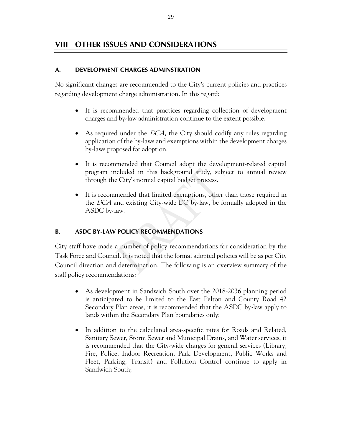# **VIII OTHER ISSUES AND CONSIDERATIONS**

#### **A. DEVELOPMENT CHARGES ADMINSTRATION**

No significant changes are recommended to the City's current policies and practices regarding development charge administration. In this regard:

- It is recommended that practices regarding collection of development charges and by-law administration continue to the extent possible.
- As required under the  $DCA$ , the City should codify any rules regarding application of the by-laws and exemptions within the development charges by-laws proposed for adoption.
- It is recommended that Council adopt the development-related capital program included in this background study, subject to annual review through the City's normal capital budget process.
- It is recommended that limited exemptions, other than those required in the DCA and existing City-wide DC by-law, be formally adopted in the ASDC by-law.

### **B. ASDC BY-LAW POLICY RECOMMENDATIONS**

City staff have made a number of policy recommendations for consideration by the Task Force and Council. It is noted that the formal adopted policies will be as per City Council direction and determination. The following is an overview summary of the staff policy recommendations:

- As development in Sandwich South over the 2018-2036 planning period is anticipated to be limited to the East Pelton and County Road 42 Secondary Plan areas, it is recommended that the ASDC by-law apply to lands within the Secondary Plan boundaries only;
- In addition to the calculated area-specific rates for Roads and Related, Sanitary Sewer, Storm Sewer and Municipal Drains, and Water services, it is recommended that the City-wide charges for general services (Library, Fire, Police, Indoor Recreation, Park Development, Public Works and Fleet, Parking, Transit) and Pollution Control continue to apply in Sandwich South;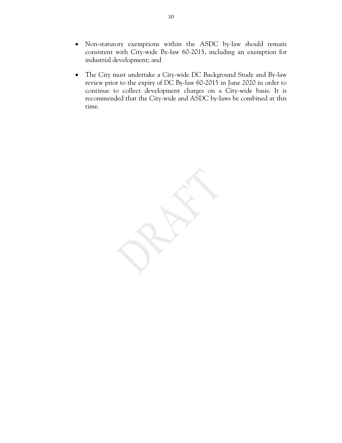- Non-statutory exemptions within the ASDC by-law should remain consistent with City-wide By-law 60-2015, including an exemption for industrial development; and
- The City must undertake a City-wide DC Background Study and By-law review prior to the expiry of DC By-law 60-2015 in June 2020 in order to continue to collect development charges on a City-wide basis. It is recommended that the City-wide and ASDC by-laws be combined at this time.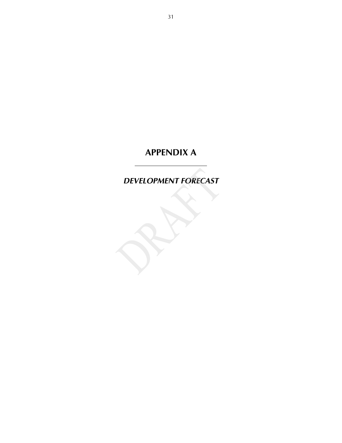# **APPENDIX A**

*DEVELOPMENT FORECAST* 

31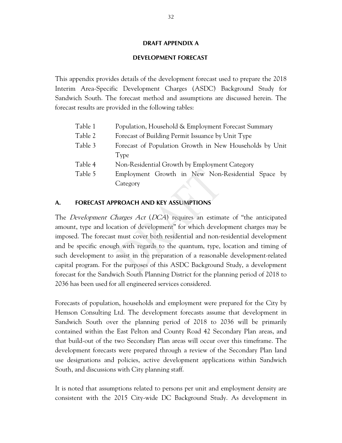#### **DRAFT APPENDIX A**

#### **DEVELOPMENT FORECAST**

This appendix provides details of the development forecast used to prepare the 2018 Interim Area-Specific Development Charges (ASDC) Background Study for Sandwich South. The forecast method and assumptions are discussed herein. The forecast results are provided in the following tables:

| Table 1 | Population, Household & Employment Forecast Summary     |  |  |  |  |
|---------|---------------------------------------------------------|--|--|--|--|
| Table 2 | Forecast of Building Permit Issuance by Unit Type       |  |  |  |  |
| Table 3 | Forecast of Population Growth in New Households by Unit |  |  |  |  |
|         | Type                                                    |  |  |  |  |
| Table 4 | Non-Residential Growth by Employment Category           |  |  |  |  |
| Table 5 | Employment Growth in New Non-Residential Space by       |  |  |  |  |
|         | Category                                                |  |  |  |  |
|         |                                                         |  |  |  |  |

#### **A. FORECAST APPROACH AND KEY ASSUMPTIONS**

The *Development Charges Act* (*DCA*) requires an estimate of "the anticipated amount, type and location of development" for which development charges may be imposed. The forecast must cover both residential and non-residential development and be specific enough with regards to the quantum, type, location and timing of such development to assist in the preparation of a reasonable development-related capital program. For the purposes of this ASDC Background Study, a development forecast for the Sandwich South Planning District for the planning period of 2018 to 2036 has been used for all engineered services considered.

Forecasts of population, households and employment were prepared for the City by Hemson Consulting Ltd. The development forecasts assume that development in Sandwich South over the planning period of 2018 to 2036 will be primarily contained within the East Pelton and County Road 42 Secondary Plan areas, and that build-out of the two Secondary Plan areas will occur over this timeframe. The development forecasts were prepared through a review of the Secondary Plan land use designations and policies, active development applications within Sandwich South, and discussions with City planning staff.

It is noted that assumptions related to persons per unit and employment density are consistent with the 2015 City-wide DC Background Study. As development in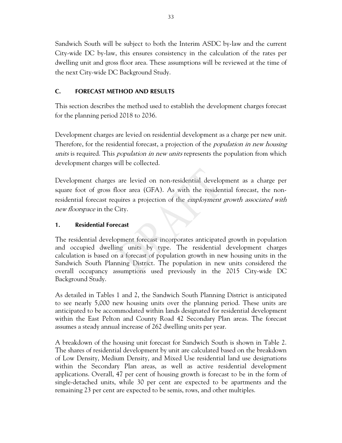Sandwich South will be subject to both the Interim ASDC by-law and the current City-wide DC by-law, this ensures consistency in the calculation of the rates per dwelling unit and gross floor area. These assumptions will be reviewed at the time of the next City-wide DC Background Study.

### **C. FORECAST METHOD AND RESULTS**

This section describes the method used to establish the development charges forecast for the planning period 2018 to 2036.

Development charges are levied on residential development as a charge per new unit. Therefore, for the residential forecast, a projection of the *population in new housing* units is required. This *population in new units* represents the population from which development charges will be collected.

Development charges are levied on non-residential development as a charge per square foot of gross floor area (GFA). As with the residential forecast, the nonresidential forecast requires a projection of the *employment growth associated with* new *floorspace* in the City.

### **1. Residential Forecast**

The residential development forecast incorporates anticipated growth in population and occupied dwelling units by type. The residential development charges calculation is based on a forecast of population growth in new housing units in the Sandwich South Planning District. The population in new units considered the overall occupancy assumptions used previously in the 2015 City-wide DC Background Study.

As detailed in Tables 1 and 2, the Sandwich South Planning District is anticipated to see nearly 5,000 new housing units over the planning period. These units are anticipated to be accommodated within lands designated for residential development within the East Pelton and County Road 42 Secondary Plan areas. The forecast assumes a steady annual increase of 262 dwelling units per year.

A breakdown of the housing unit forecast for Sandwich South is shown in Table 2. The shares of residential development by unit are calculated based on the breakdown of Low Density, Medium Density, and Mixed Use residential land use designations within the Secondary Plan areas, as well as active residential development applications. Overall, 47 per cent of housing growth is forecast to be in the form of single-detached units, while 30 per cent are expected to be apartments and the remaining 23 per cent are expected to be semis, rows, and other multiples.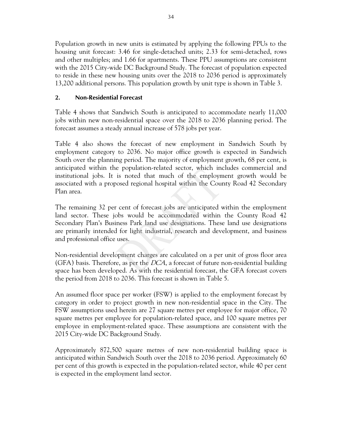Population growth in new units is estimated by applying the following PPUs to the housing unit forecast: 3.46 for single-detached units; 2.33 for semi-detached, rows and other multiples; and 1.66 for apartments. These PPU assumptions are consistent with the 2015 City-wide DC Background Study. The forecast of population expected to reside in these new housing units over the 2018 to 2036 period is approximately 13,200 additional persons. This population growth by unit type is shown in Table 3.

# **2. Non-Residential Forecast**

Table 4 shows that Sandwich South is anticipated to accommodate nearly 11,000 jobs within new non-residential space over the 2018 to 2036 planning period. The forecast assumes a steady annual increase of 578 jobs per year.

Table 4 also shows the forecast of new employment in Sandwich South by employment category to 2036. No major office growth is expected in Sandwich South over the planning period. The majority of employment growth, 68 per cent, is anticipated within the population-related sector, which includes commercial and institutional jobs. It is noted that much of the employment growth would be associated with a proposed regional hospital within the County Road 42 Secondary Plan area.

The remaining 32 per cent of forecast jobs are anticipated within the employment land sector. These jobs would be accommodated within the County Road 42 Secondary Plan's Business Park land use designations. These land use designations are primarily intended for light industrial, research and development, and business and professional office uses.

Non-residential development charges are calculated on a per unit of gross floor area (GFA) basis. Therefore, as per the DCA, a forecast of future non-residential building space has been developed. As with the residential forecast, the GFA forecast covers the period from 2018 to 2036. This forecast is shown in Table 5.

An assumed floor space per worker (FSW) is applied to the employment forecast by category in order to project growth in new non-residential space in the City. The FSW assumptions used herein are 27 square metres per employee for major office, 70 square metres per employee for population-related space, and 100 square metres per employee in employment-related space. These assumptions are consistent with the 2015 City-wide DC Background Study.

Approximately 872,500 square metres of new non-residential building space is anticipated within Sandwich South over the 2018 to 2036 period. Approximately 60 per cent of this growth is expected in the population-related sector, while 40 per cent is expected in the employment land sector.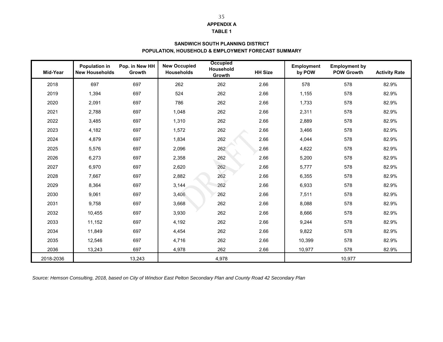## **APPENDIX A**

### **TABLE 1**

### **POPULATION, HOUSEHOLD & EMPLOYMENT FORECAST SUMMARY SANDWICH SOUTH PLANNING DISTRICT**

| Mid-Year  | <b>Population in</b><br><b>New Households</b> | Pop. in New HH<br>Growth | <b>New Occupied</b><br><b>Households</b> | <b>Occupied</b><br>Household<br>Growth | <b>HH Size</b> | <b>Employment</b><br>by POW | <b>Employment by</b><br><b>POW Growth</b> | <b>Activity Rate</b> |
|-----------|-----------------------------------------------|--------------------------|------------------------------------------|----------------------------------------|----------------|-----------------------------|-------------------------------------------|----------------------|
| 2018      | 697                                           | 697                      | 262                                      | 262                                    | 2.66           | 578                         | 578                                       | 82.9%                |
| 2019      | 1,394                                         | 697                      | 524                                      | 262                                    | 2.66           | 1,155                       | 578                                       | 82.9%                |
| 2020      | 2,091                                         | 697                      | 786                                      | 262                                    | 2.66           | 1,733                       | 578                                       | 82.9%                |
| 2021      | 2,788                                         | 697                      | 1,048                                    | 262                                    | 2.66           | 2,311                       | 578                                       | 82.9%                |
| 2022      | 3,485                                         | 697                      | 1,310                                    | 262                                    | 2.66           | 2,889                       | 578                                       | 82.9%                |
| 2023      | 4,182                                         | 697                      | 1,572                                    | 262                                    | 2.66           | 3,466                       | 578                                       | 82.9%                |
| 2024      | 4,879                                         | 697                      | 1,834                                    | 262                                    | 2.66           | 4,044                       | 578                                       | 82.9%                |
| 2025      | 5,576                                         | 697                      | 2,096                                    | 262                                    | 2.66           | 4,622                       | 578                                       | 82.9%                |
| 2026      | 6,273                                         | 697                      | 2,358                                    | 262                                    | 2.66           | 5,200                       | 578                                       | 82.9%                |
| 2027      | 6,970                                         | 697                      | 2,620                                    | 262                                    | 2.66           | 5,777                       | 578                                       | 82.9%                |
| 2028      | 7,667                                         | 697                      | 2,882                                    | 262                                    | 2.66           | 6,355                       | 578                                       | 82.9%                |
| 2029      | 8,364                                         | 697                      | 3,144                                    | 262                                    | 2.66           | 6,933                       | 578                                       | 82.9%                |
| 2030      | 9,061                                         | 697                      | 3,406                                    | 262                                    | 2.66           | 7,511                       | 578                                       | 82.9%                |
| 2031      | 9,758                                         | 697                      | 3,668                                    | 262                                    | 2.66           | 8,088                       | 578                                       | 82.9%                |
| 2032      | 10,455                                        | 697                      | 3,930                                    | 262                                    | 2.66           | 8,666                       | 578                                       | 82.9%                |
| 2033      | 11,152                                        | 697                      | 4,192                                    | 262                                    | 2.66           | 9,244                       | 578                                       | 82.9%                |
| 2034      | 11,849                                        | 697                      | 4,454                                    | 262                                    | 2.66           | 9,822                       | 578                                       | 82.9%                |
| 2035      | 12,546                                        | 697                      | 4,716                                    | 262                                    | 2.66           | 10,399                      | 578                                       | 82.9%                |
| 2036      | 13,243                                        | 697                      | 4,978                                    | 262                                    | 2.66           | 10,977                      | 578                                       | 82.9%                |
| 2018-2036 |                                               | 13,243                   |                                          | 4,978                                  |                |                             | 10,977                                    |                      |

*Source: Hemson Consulting, 2018, based on City of Windsor East Pelton Secondary Plan and County Road 42 Secondary Plan*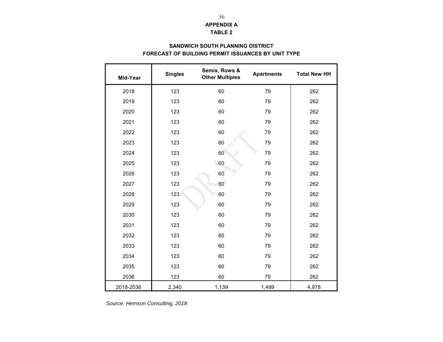# **TABLE 2 APPENDIX A**

# **FORECAST OF BUILDING PERMIT ISSUANCES BY UNIT TYPE SANDWICH SOUTH PLANNING DISTRICT**

| Mid-Year  | <b>Singles</b> | Semis, Rows &<br><b>Other Multiples</b> | <b>Apartments</b> | <b>Total New HH</b> |
|-----------|----------------|-----------------------------------------|-------------------|---------------------|
| 2018      | 123            | 60                                      | 79                | 262                 |
| 2019      | 123            | 60                                      | 79                | 262                 |
| 2020      | 123            | 60                                      | 79                | 262                 |
| 2021      | 123            | 60                                      | 79                | 262                 |
| 2022      | 123            | 60                                      | 79                | 262                 |
| 2023      | 123            | 60                                      | 79                | 262                 |
| 2024      | 123            | 60                                      | 79                | 262                 |
| 2025      | 123            | 60                                      | 79                | 262                 |
| 2026      | 123            | 60                                      | 79                | 262                 |
| 2027      | 123            | 60                                      | 79                | 262                 |
| 2028      | 123            | 60                                      | 79                | 262                 |
| 2029      | 123            | 60                                      | 79                | 262                 |
| 2030      | 123            | 60                                      | 79                | 262                 |
| 2031      | 123            | 60                                      | 79                | 262                 |
| 2032      | 123            | 60                                      | 79                | 262                 |
| 2033      | 123            | 60                                      | 79                | 262                 |
| 2034      | 123            | 60                                      | 79                | 262                 |
| 2035      | 123            | 60                                      | 79                | 262                 |
| 2036      | 123            | 60                                      | 79                | 262                 |
| 2018-2036 | 2,340          | 1,139                                   | 1,499             | 4,978               |

*Source: Hemson Consulting, 2018*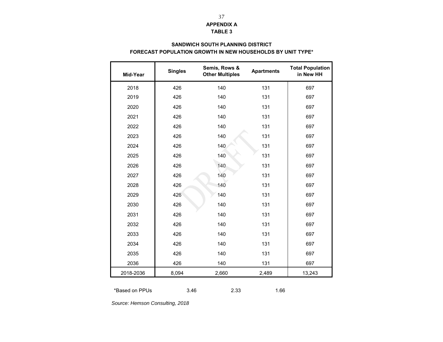# **APPENDIX A TABLE 3**

### **SANDWICH SOUTH PLANNING DISTRICT FORECAST POPULATION GROWTH IN NEW HOUSEHOLDS BY UNIT TYPE\***

| Mid-Year  | <b>Singles</b> | Semis, Rows &<br><b>Other Multiples</b> | <b>Apartments</b> | <b>Total Population</b><br>in New HH |
|-----------|----------------|-----------------------------------------|-------------------|--------------------------------------|
| 2018      | 426            | 140                                     | 131               | 697                                  |
| 2019      | 426            | 140                                     | 131               | 697                                  |
| 2020      | 426            | 140                                     | 131               | 697                                  |
| 2021      | 426            | 140                                     | 131               | 697                                  |
| 2022      | 426            | 140                                     | 131               | 697                                  |
| 2023      | 426            | 140                                     | 131               | 697                                  |
| 2024      | 426            | 140                                     | 131               | 697                                  |
| 2025      | 426            | 140                                     | 131               | 697                                  |
| 2026      | 426            | 140                                     | 131               | 697                                  |
| 2027      | 426            | 140                                     | 131               | 697                                  |
| 2028      | 426            | 140                                     | 131               | 697                                  |
| 2029      | 426            | 140                                     | 131               | 697                                  |
| 2030      | 426            | 140                                     | 131               | 697                                  |
| 2031      | 426            | 140                                     | 131               | 697                                  |
| 2032      | 426            | 140                                     | 131               | 697                                  |
| 2033      | 426            | 140                                     | 131               | 697                                  |
| 2034      | 426            | 140                                     | 131               | 697                                  |
| 2035      | 426            | 140                                     | 131               | 697                                  |
| 2036      | 426            | 140                                     | 131               | 697                                  |
| 2018-2036 | 8,094          | 2,660                                   | 2,489             | 13,243                               |

\*Based on PPUs 3.462.33 1.66

*Source: Hemson Consulting, 2018*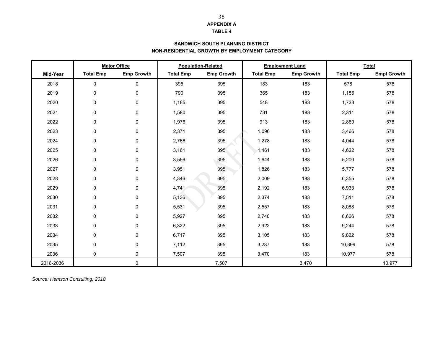## **APPENDIX A**

### **TABLE 4**

### **SANDWICH SOUTH PLANNING DISTRICT NON-RESIDENTIAL GROWTH BY EMPLOYMENT CATEGORY**

|           |                  | <b>Major Office</b> |                  | <b>Population-Related</b> |                  | <b>Employment Land</b> |                  | <b>Total</b>       |  |  |
|-----------|------------------|---------------------|------------------|---------------------------|------------------|------------------------|------------------|--------------------|--|--|
| Mid-Year  | <b>Total Emp</b> | <b>Emp Growth</b>   | <b>Total Emp</b> | <b>Emp Growth</b>         | <b>Total Emp</b> | <b>Emp Growth</b>      | <b>Total Emp</b> | <b>Empl Growth</b> |  |  |
| 2018      | 0                | $\mathbf 0$         | 395              | 395                       | 183              | 183                    | 578              | 578                |  |  |
| 2019      | 0                | 0                   | 790              | 395                       | 365              | 183                    | 1,155            | 578                |  |  |
| 2020      | 0                | 0                   | 1,185            | 395                       | 548              | 183                    | 1,733            | 578                |  |  |
| 2021      | 0                | 0                   | 1,580            | 395                       | 731              | 183                    | 2,311            | 578                |  |  |
| 2022      | 0                | 0                   | 1,976            | 395                       | 913              | 183                    | 2,889            | 578                |  |  |
| 2023      | 0                | 0                   | 2,371            | 395                       | 1,096            | 183                    | 3,466            | 578                |  |  |
| 2024      | $\Omega$         | $\mathbf 0$         | 2,766            | 395                       | 1,278            | 183                    | 4,044            | 578                |  |  |
| 2025      | 0                | 0                   | 3,161            | 395                       | 1,461            | 183                    | 4,622            | 578                |  |  |
| 2026      | 0                | 0                   | 3,556            | 395                       | 1,644            | 183                    | 5,200            | 578                |  |  |
| 2027      | 0                | $\mathbf 0$         | 3,951            | 395                       | 1,826            | 183                    | 5,777            | 578                |  |  |
| 2028      | 0                | 0                   | 4,346            | 395                       | 2,009            | 183                    | 6,355            | 578                |  |  |
| 2029      | 0                | 0                   | 4,741            | 395                       | 2,192            | 183                    | 6,933            | 578                |  |  |
| 2030      | 0                | 0                   | 5,136            | 395                       | 2,374            | 183                    | 7,511            | 578                |  |  |
| 2031      | 0                | 0                   | 5,531            | 395                       | 2,557            | 183                    | 8,088            | 578                |  |  |
| 2032      | 0                | 0                   | 5,927            | 395                       | 2,740            | 183                    | 8,666            | 578                |  |  |
| 2033      | $\mathbf 0$      | 0                   | 6,322            | 395                       | 2,922            | 183                    | 9,244            | 578                |  |  |
| 2034      | 0                | 0                   | 6,717            | 395                       | 3,105            | 183                    | 9,822            | 578                |  |  |
| 2035      | 0                | 0                   | 7,112            | 395                       | 3,287            | 183                    | 10,399           | 578                |  |  |
| 2036      | 0                | 0                   | 7,507            | 395                       | 3,470            | 183                    | 10,977           | 578                |  |  |
| 2018-2036 |                  | 0                   |                  | 7,507                     |                  | 3,470                  |                  | 10,977             |  |  |

*Source: Hemson Consulting, 2018*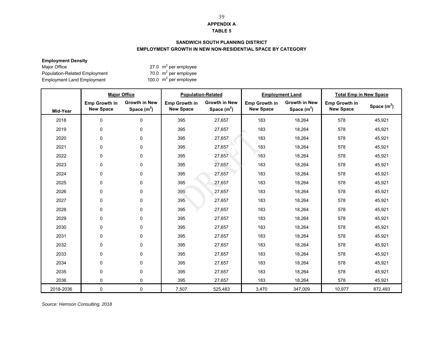### **APPENDIX A**

#### **TABLE 5**

### **SANDWICH SOUTH PLANNING DISTRICT EMPLOYMENT GROWTH IN NEW NON-RESIDENTIAL SPACE BY CATEGORY**

### **Employment Density**

Employment Bensity<br>
Major Office 27.0 m<sup>2</sup> per employee<br>
Population-Related Employment 27.0 m<sup>2</sup> per employee<br>
Employment Land Employment 200.0 m<sup>2</sup> per employee Population-Related Employment Employment Land Employment

|           | <b>Major Office</b>                      |                                      |                                   | <b>Population-Related</b>            |                                          | <b>Employment Land</b>                | <b>Total Emp in New Space</b>            |               |
|-----------|------------------------------------------|--------------------------------------|-----------------------------------|--------------------------------------|------------------------------------------|---------------------------------------|------------------------------------------|---------------|
| Mid-Year  | <b>Emp Growth in</b><br><b>New Space</b> | <b>Growth in New</b><br>Space $(m2)$ | Emp Growth in<br><b>New Space</b> | <b>Growth in New</b><br>Space $(m2)$ | <b>Emp Growth in</b><br><b>New Space</b> | <b>Growth in New</b><br>Space $(m^2)$ | <b>Emp Growth in</b><br><b>New Space</b> | Space $(m^2)$ |
| 2018      | $\pmb{0}$                                | $\mathbf 0$                          | 395                               | 27,657                               | 183                                      | 18,264                                | 578                                      | 45,921        |
| 2019      | 0                                        | 0                                    | 395                               | 27,657                               | 183                                      | 18,264                                | 578                                      | 45,921        |
| 2020      | $\mathbf 0$                              | 0                                    | 395                               | 27,657                               | 183                                      | 18,264                                | 578                                      | 45,921        |
| 2021      | 0                                        | 0                                    | 395                               | 27,657                               | 183                                      | 18,264                                | 578                                      | 45,921        |
| 2022      | $\mathbf 0$                              | 0                                    | 395                               | 27,657                               | 183                                      | 18,264                                | 578                                      | 45,921        |
| 2023      | 0                                        | 0                                    | 395                               | 27,657                               | 183                                      | 18,264                                | 578                                      | 45,921        |
| 2024      | $\mathbf 0$                              | 0                                    | 395                               | 27,657                               | 183                                      | 18,264                                | 578                                      | 45,921        |
| 2025      | 0                                        | 0                                    | 395                               | 27,657                               | 183                                      | 18,264                                | 578                                      | 45,921        |
| 2026      | $\mathbf 0$                              | 0                                    | 395                               | 27,657                               | 183                                      | 18,264                                | 578                                      | 45,921        |
| 2027      | 0                                        | $\Omega$                             | 395                               | 27,657                               | 183                                      | 18,264                                | 578                                      | 45,921        |
| 2028      | $\mathbf 0$                              | 0                                    | 395                               | 27,657                               | 183                                      | 18,264                                | 578                                      | 45,921        |
| 2029      | 0                                        | 0                                    | 395                               | 27,657                               | 183                                      | 18,264                                | 578                                      | 45,921        |
| 2030      | $\mathbf 0$                              | 0                                    | 395                               | 27,657                               | 183                                      | 18,264                                | 578                                      | 45,921        |
| 2031      | $\mathbf 0$                              | 0                                    | 395                               | 27,657                               | 183                                      | 18,264                                | 578                                      | 45,921        |
| 2032      | $\mathbf 0$                              | 0                                    | 395                               | 27,657                               | 183                                      | 18,264                                | 578                                      | 45,921        |
| 2033      | 0                                        | 0                                    | 395                               | 27,657                               | 183                                      | 18,264                                | 578                                      | 45,921        |
| 2034      | $\pmb{0}$                                | 0                                    | 395                               | 27,657                               | 183                                      | 18,264                                | 578                                      | 45,921        |
| 2035      | $\mathbf 0$                              | $\Omega$                             | 395                               | 27,657                               | 183                                      | 18,264                                | 578                                      | 45,921        |
| 2036      | $\mathbf 0$                              | 0                                    | 395                               | 27,657                               | 183                                      | 18,264                                | 578                                      | 45,921        |
| 2018-2036 | $\mathbf 0$                              | 0                                    | 7,507                             | 525,483                              | 3,470                                    | 347,009                               | 10,977                                   | 872,493       |

*Source: Hemson Consulting, 2018*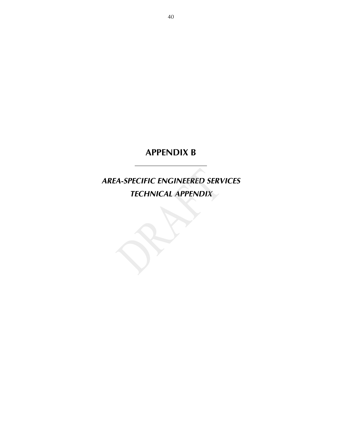# *AREA-SPECIFIC ENGINEERED SERVICES TECHNICAL APPENDIX*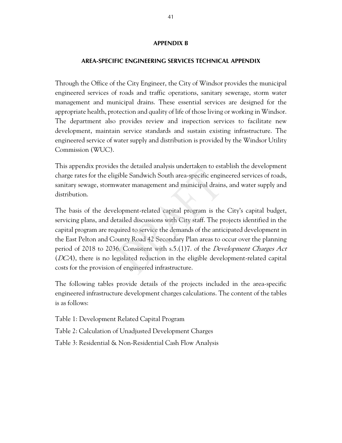## **AREA-SPECIFIC ENGINEERING SERVICES TECHNICAL APPENDIX**

Through the Office of the City Engineer, the City of Windsor provides the municipal engineered services of roads and traffic operations, sanitary sewerage, storm water management and municipal drains. These essential services are designed for the appropriate health, protection and quality of life of those living or working in Windsor. The department also provides review and inspection services to facilitate new development, maintain service standards and sustain existing infrastructure. The engineered service of water supply and distribution is provided by the Windsor Utility Commission (WUC).

This appendix provides the detailed analysis undertaken to establish the development charge rates for the eligible Sandwich South area-specific engineered services of roads, sanitary sewage, stormwater management and municipal drains, and water supply and distribution.

The basis of the development-related capital program is the City's capital budget, servicing plans, and detailed discussions with City staff. The projects identified in the capital program are required to service the demands of the anticipated development in the East Pelton and County Road 42 Secondary Plan areas to occur over the planning period of 2018 to 2036. Consistent with s.5.(1)7. of the Development Charges Act (DCA), there is no legislated reduction in the eligible development-related capital costs for the provision of engineered infrastructure.

The following tables provide details of the projects included in the area-specific engineered infrastructure development charges calculations. The content of the tables is as follows:

Table 1: Development Related Capital Program

Table 2: Calculation of Unadjusted Development Charges

Table 3: Residential & Non-Residential Cash Flow Analysis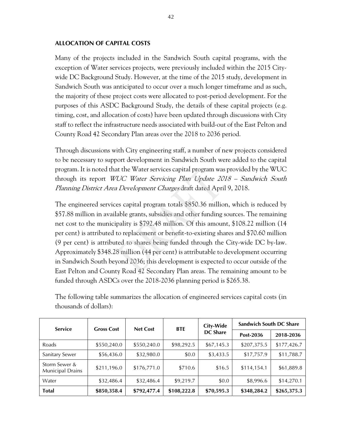# **ALLOCATION OF CAPITAL COSTS**

Many of the projects included in the Sandwich South capital programs, with the exception of Water services projects, were previously included within the 2015 Citywide DC Background Study. However, at the time of the 2015 study, development in Sandwich South was anticipated to occur over a much longer timeframe and as such, the majority of these project costs were allocated to post-period development. For the purposes of this ASDC Background Study, the details of these capital projects (e.g. timing, cost, and allocation of costs) have been updated through discussions with City staff to reflect the infrastructure needs associated with build-out of the East Pelton and County Road 42 Secondary Plan areas over the 2018 to 2036 period.

Through discussions with City engineering staff, a number of new projects considered to be necessary to support development in Sandwich South were added to the capital program. It is noted that the Water services capital program was provided by the WUC through its report WUC Water Servicing Plan Update 2018 – Sandwich South Planning District Area Development Charges draft dated April 9, 2018.

The engineered services capital program totals \$850.36 million, which is reduced by \$57.88 million in available grants, subsidies and other funding sources. The remaining net cost to the municipality is \$792.48 million. Of this amount, \$108.22 million (14 per cent) is attributed to replacement or benefit-to-existing shares and \$70.60 million (9 per cent) is attributed to shares being funded through the City-wide DC by-law. Approximately \$348.28 million (44 per cent) is attributable to development occurring in Sandwich South beyond 2036; this development is expected to occur outside of the East Pelton and County Road 42 Secondary Plan areas. The remaining amount to be funded through ASDCs over the 2018-2036 planning period is \$265.38.

| <b>Service</b>                    | <b>Gross Cost</b> | <b>Net Cost</b> | <b>BTE</b>  | <b>City-Wide</b> | <b>Sandwich South DC Share</b> |             |  |  |
|-----------------------------------|-------------------|-----------------|-------------|------------------|--------------------------------|-------------|--|--|
|                                   |                   |                 |             | <b>DC Share</b>  | Post-2036                      | 2018-2036   |  |  |
| Roads                             | \$550,240.0       | \$550,240.0     | \$98,292.5  | \$67,145.3       | \$207,375.5                    | \$177,426.7 |  |  |
| Sanitary Sewer                    | \$56,436.0        | \$32,980.0      | \$0.0       | \$3,433.5        | \$17,757.9                     | \$11,788.7  |  |  |
| Storm Sewer &<br>Municipal Drains | \$211,196.0       | \$176,771.0     | \$710.6     | \$16.5           | \$114,154.1                    | \$61,889.8  |  |  |
| Water                             | \$32,486.4        | \$32,486.4      | \$9,219.7   | \$0.0            | \$8,996.6                      | \$14,270.1  |  |  |
| <b>Total</b>                      | \$850,358.4       | \$792,477.4     | \$108,222.8 | \$70,595.3       | \$348,284.2                    | \$265,375.3 |  |  |

The following table summarizes the allocation of engineered services capital costs (in thousands of dollars):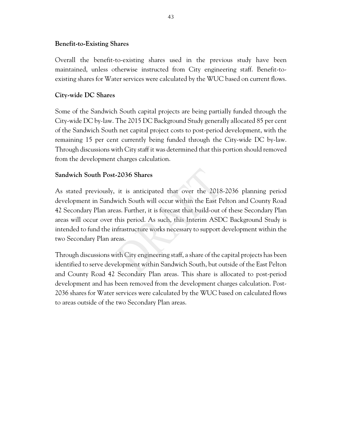# **Benefit-to-Existing Shares**

Overall the benefit-to-existing shares used in the previous study have been maintained, unless otherwise instructed from City engineering staff. Benefit-toexisting shares for Water services were calculated by the WUC based on current flows.

# **City-wide DC Shares**

Some of the Sandwich South capital projects are being partially funded through the City-wide DC by-law. The 2015 DC Background Study generally allocated 85 per cent of the Sandwich South net capital project costs to post-period development, with the remaining 15 per cent currently being funded through the City-wide DC by-law. Through discussions with City staff it was determined that this portion should removed from the development charges calculation.

# **Sandwich South Post-2036 Shares**

As stated previously, it is anticipated that over the 2018-2036 planning period development in Sandwich South will occur within the East Pelton and County Road 42 Secondary Plan areas. Further, it is forecast that build-out of these Secondary Plan areas will occur over this period. As such, this Interim ASDC Background Study is intended to fund the infrastructure works necessary to support development within the two Secondary Plan areas.

Through discussions with City engineering staff, a share of the capital projects has been identified to serve development within Sandwich South, but outside of the East Pelton and County Road 42 Secondary Plan areas. This share is allocated to post-period development and has been removed from the development charges calculation. Post-2036 shares for Water services were calculated by the WUC based on calculated flows to areas outside of the two Secondary Plan areas.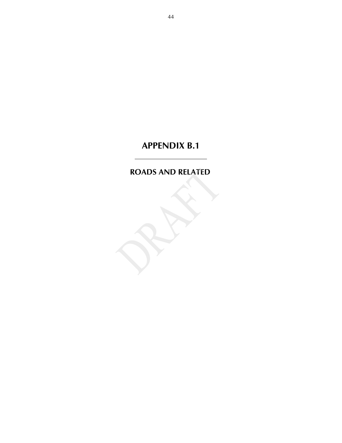# **ROADS AND RELATED**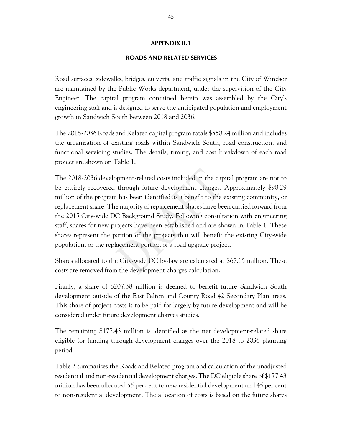## **ROADS AND RELATED SERVICES**

Road surfaces, sidewalks, bridges, culverts, and traffic signals in the City of Windsor are maintained by the Public Works department, under the supervision of the City Engineer. The capital program contained herein was assembled by the City's engineering staff and is designed to serve the anticipated population and employment growth in Sandwich South between 2018 and 2036.

The 2018-2036 Roads and Related capital program totals \$550.24 million and includes the urbanization of existing roads within Sandwich South, road construction, and functional servicing studies. The details, timing, and cost breakdown of each road project are shown on Table 1.

The 2018-2036 development-related costs included in the capital program are not to be entirely recovered through future development charges. Approximately \$98.29 million of the program has been identified as a benefit to the existing community, or replacement share. The majority of replacement shares have been carried forward from the 2015 City-wide DC Background Study. Following consultation with engineering staff, shares for new projects have been established and are shown in Table 1. These shares represent the portion of the projects that will benefit the existing City-wide population, or the replacement portion of a road upgrade project.

Shares allocated to the City-wide DC by-law are calculated at \$67.15 million. These costs are removed from the development charges calculation.

Finally, a share of \$207.38 million is deemed to benefit future Sandwich South development outside of the East Pelton and County Road 42 Secondary Plan areas. This share of project costs is to be paid for largely by future development and will be considered under future development charges studies.

The remaining \$177.43 million is identified as the net development-related share eligible for funding through development charges over the 2018 to 2036 planning period.

Table 2 summarizes the Roads and Related program and calculation of the unadjusted residential and non-residential development charges. The DC eligible share of \$177.43 million has been allocated 55 per cent to new residential development and 45 per cent to non-residential development. The allocation of costs is based on the future shares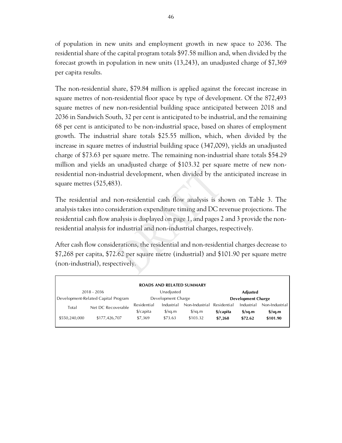of population in new units and employment growth in new space to 2036. The residential share of the capital program totals \$97.58 million and, when divided by the forecast growth in population in new units (13,243), an unadjusted charge of \$7,369 per capita results.

The non-residential share, \$79.84 million is applied against the forecast increase in square metres of non-residential floor space by type of development. Of the 872,493 square metres of new non-residential building space anticipated between 2018 and 2036 in Sandwich South, 32 per cent is anticipated to be industrial, and the remaining 68 per cent is anticipated to be non-industrial space, based on shares of employment growth. The industrial share totals \$25.55 million, which, when divided by the increase in square metres of industrial building space (347,009), yields an unadjusted charge of \$73.63 per square metre. The remaining non-industrial share totals \$54.29 million and yields an unadjusted charge of \$103.32 per square metre of new nonresidential non-industrial development, when divided by the anticipated increase in square metres (525,483).

The residential and non-residential cash flow analysis is shown on Table 3. The analysis takes into consideration expenditure timing and DC revenue projections. The residential cash flow analysis is displayed on page 1, and pages 2 and 3 provide the nonresidential analysis for industrial and non-industrial charges, respectively.

After cash flow considerations, the residential and non-residential charges decrease to \$7,268 per capita, \$72.62 per square metre (industrial) and \$101.90 per square metre (non-industrial), respectively.

|               |                                     |                      |                           | <b>ROADS AND RELATED SUMMARY</b> |                           |                  |                                  |  |
|---------------|-------------------------------------|----------------------|---------------------------|----------------------------------|---------------------------|------------------|----------------------------------|--|
|               | 2018 - 2036                         |                      | Unadjusted                |                                  | <b>Adjusted</b>           |                  |                                  |  |
|               | Development-Related Capital Program |                      | Development Charge        |                                  | <b>Development Charge</b> |                  |                                  |  |
| Total         | Net DC Recoverable                  | Residential          | Industrial                | Non-Industrial                   | Residential               | Industrial       | Non-Industrial                   |  |
|               |                                     | $\frac{2}{2}$ capita | $\frac{\sqrt{2}}{2}$ sq.m | $\frac{\sqrt{2}}{2}$             | \$/capita                 | $\frac{s}{sa.m}$ | $\frac{\text{S}}{\text{S}}$ sq.m |  |
| \$550,240,000 | \$177,426,707                       | \$7,369              | \$73.63                   | \$103.32                         | \$7,268                   | \$72.62          | \$101.90                         |  |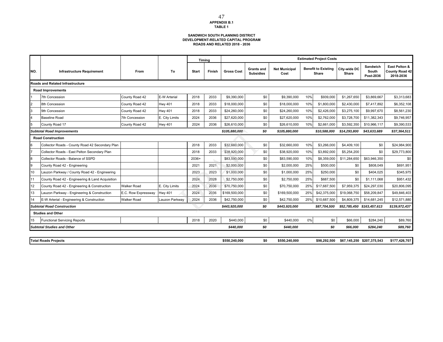### **SANDWICH SOUTH PLANNING DISTRICT DEVELOPMENT-RELATED CAPITAL PROGRAM ROADS AND RELATED 2018 - 2036**

|     |                                                 |                     |                |              | Timing |                   |                                       |                              |     | <b>Estimated Project Costs</b>      |                       |                                |                                                     |
|-----|-------------------------------------------------|---------------------|----------------|--------------|--------|-------------------|---------------------------------------|------------------------------|-----|-------------------------------------|-----------------------|--------------------------------|-----------------------------------------------------|
| NO. | <b>Infrastructure Requirement</b>               | From                | To             | <b>Start</b> | Finish | <b>Gross Cost</b> | <b>Grants and</b><br><b>Subsidies</b> | <b>Net Municipal</b><br>Cost |     | <b>Benefit to Existing</b><br>Share | City-wide DC<br>Share | Sandwich<br>South<br>Post-2036 | East Pelton &<br><b>County Road 42</b><br>2018-2036 |
|     | <b>Roads and Related Infrastructure</b>         |                     |                |              |        |                   |                                       |                              |     |                                     |                       |                                |                                                     |
|     | <b>Road Improvements</b>                        |                     |                |              |        |                   |                                       |                              |     |                                     |                       |                                |                                                     |
|     | 7th Concession                                  | County Road 42      | E-W Arterial   | 2018         | 2033   | \$9,390,000       | \$0                                   | \$9,390,000                  | 10% | \$939,000                           | \$1,267,650           | \$3,869,667                    | \$3,313,683                                         |
|     | 8th Concession                                  | County Road 42      | <b>Hwy 401</b> | 2018         | 2033   | \$18,000,000      | \$0                                   | \$18,000,000                 | 10% | \$1,800,000                         | \$2,430,000           | \$7,417,892                    | \$6,352,108                                         |
| 3   | 9th Concession                                  | County Road 42      | <b>Hwy 401</b> | 2018         | 2033   | \$24,260,000      | \$0                                   | \$24,260,000                 | 10% | \$2,426,000                         | \$3,275,100           | \$9,997,670                    | \$8,561,230                                         |
|     | <b>Baseline Road</b>                            | 7th Concession      | E. City Limits | 2024         | 2036   | \$27,620,000      | \$0                                   | \$27,620,000                 | 10% | \$2,762,000                         | \$3,728,700           | \$11,382,343                   | \$9,746,957                                         |
|     | County Road 17                                  | County Road 42      | <b>Hwy 401</b> | 2024         | 2036   | \$26,610,000      | \$0                                   | \$26,610,000                 | 10% | \$2,661,000                         | \$3,592,350           | \$10,966,117                   | \$9,390,533                                         |
|     | <b>Subtotal Road Improvements</b>               |                     |                |              |        | \$105,880,000     | \$0                                   | \$105,880,000                |     | \$10,588,000                        | \$14,293,800          | \$43,633,689                   | \$37,364,511                                        |
|     | <b>Road Construction</b>                        |                     |                |              |        |                   |                                       |                              |     |                                     |                       |                                |                                                     |
|     | Collector Roads - County Road 42 Secondary Plan |                     |                | 2018         | 2033   | \$32,660,000      | \$0                                   | \$32,660,000                 | 10% | \$3,266,000                         | \$4,409,100           | \$0                            | \$24,984,900                                        |
|     | Collector Roads - East Pelton Secondary Plan    |                     |                | 2018         | 2033   | \$38,920,000      | \$0                                   | \$38,920,000                 | 10% | \$3,892,000                         | \$5,254,200           | \$0                            | \$29,773,800                                        |
| 8   | Collector Roads - Balance of SSPD               |                     |                | 2036+        |        | \$83,590,000      | \$0                                   | \$83,590,000                 | 10% | \$8,359,000                         | \$11,284,650          | \$63,946,350                   | \$0                                                 |
| 9   | County Road 42 - Engineering                    |                     |                | 2021         | 2021   | \$2,000,000       | \$0                                   | \$2,000,000                  | 25% | \$500,000                           | \$0                   | \$808,049                      | \$691,951                                           |
| 10  | Lauzon Parkway / County Road 42 - Engineering   |                     |                | 2023         | 2023   | \$1,000,000       | \$0                                   | \$1,000,000                  | 25% | \$250,000                           | \$0                   | \$404,025                      | \$345,975                                           |
| 11  | County Road 42 - Engineering & Land Acquisition |                     |                | 2024         | 2028   | \$2,750,000       | \$0                                   | \$2,750,000                  | 25% | \$687,500                           | \$0                   | \$1,111,068                    | \$951,432                                           |
| 12  | County Road 42 - Engineering & Construction     | <b>Walker Road</b>  | E. City Limits | 2024         | 2036   | \$70,750,000      | \$0                                   | \$70,750,000                 | 25% | \$17,687,500                        | \$7,959,375           | \$24,297,030                   | \$20,806,095                                        |
| 13  | Lauzon Parkway - Engineering & Construction     | E.C. Row Expressway | <b>Hwy 401</b> | 2024         | 2036   | \$169,500,000     | \$0                                   | \$169,500,000                | 25% | \$42,375,000                        | \$19,068,750          | \$58,209,847                   | \$49,846,403                                        |
| 14  | E-W Arterial - Engineering & Construction       | <b>Walker Road</b>  | Lauzon Parkway | 2024         | 2036   | \$42,750,000      | \$0                                   | \$42,750,000                 | 25% | \$10,687,500                        | \$4,809,375           | \$14,681,245                   | \$12,571,880                                        |
|     | <b>Subtotal Road Construction</b>               |                     |                |              |        | \$443,920,000     | \$0                                   | \$443,920,000                |     | \$87,704,500                        |                       | \$52,785,450 \$163,457,613     | \$139,972,437                                       |
|     | <b>Studies and Other</b>                        |                     |                |              |        |                   |                                       |                              |     |                                     |                       |                                |                                                     |
| 15  | <b>Functional Servicing Reports</b>             |                     |                | 2018         | 2020   | \$440,000         | \$0                                   | \$440,000                    | 0%  | \$0                                 | \$66,000              | \$284,240                      | \$89,760                                            |
|     | <b>Subtotal Studies and Other</b>               |                     |                |              |        | \$440,000         | \$0                                   | \$440,000                    |     | \$0                                 | \$66,000              | \$284,240                      | \$89,760                                            |
|     |                                                 |                     |                |              |        |                   |                                       |                              |     |                                     |                       |                                |                                                     |
|     | <b>Total Roads Projects</b>                     |                     |                |              |        | \$550,240,000     | \$0                                   | \$550,240,000                |     | \$98.292.500                        |                       | \$67,145,250 \$207,375,543     | \$177,426,707                                       |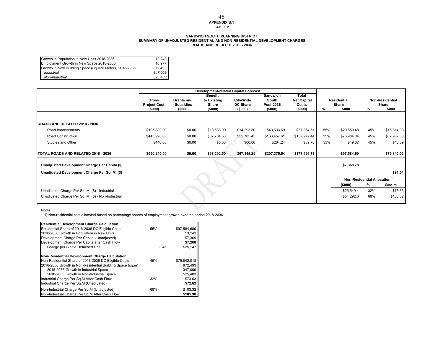#### **APPENDIX B.1 TABLE 2** 48

#### **ROADS AND RELATED 2018 - 2036SANDWICH SOUTH PLANNING DISTRICTSUMMARY OF UNADJUSTED RESIDENTIAL AND NON-RESIDENTIAL DEVELOPMENT CHARGES**

| Growth in Population in New Units 2018-2036            | 13.243  |
|--------------------------------------------------------|---------|
| Employment Growth in New Space 2018-2036               | 10.977  |
| Growth in New Building Space (Square Meters) 2018-2036 | 872.493 |
| Industrial                                             | 347.009 |
| Non-Industrial                                         | 525.483 |

|                                                    |                                |                             |                  | <b>Development-related Capital Forecast</b> |                      |                    |               |                            |     |                        |
|----------------------------------------------------|--------------------------------|-----------------------------|------------------|---------------------------------------------|----------------------|--------------------|---------------|----------------------------|-----|------------------------|
|                                                    |                                |                             | <b>Benefit</b>   |                                             | <b>Sandwich</b>      | <b>Total</b>       |               |                            |     |                        |
|                                                    | Gross                          | Grants and                  | to Existing      | City-Wide                                   | South                | <b>Net Capital</b> |               | <b>Residential</b>         |     | <b>Non-Residential</b> |
|                                                    | <b>Project Cost</b><br>(\$000) | <b>Subsidies</b><br>(\$000) | Share<br>(\$000) | DC Share<br>(\$000)                         | Post-2036<br>(\$000) | Costs<br>(\$000)   | $\frac{9}{6}$ | Share<br>\$000             | %   | Share<br>\$000         |
|                                                    |                                |                             |                  |                                             |                      |                    |               |                            |     |                        |
| <b>IROADS AND RELATED 2018 - 2036</b>              |                                |                             |                  |                                             |                      |                    |               |                            |     |                        |
| Road Improvements                                  | \$105,880.00                   | \$0.00                      | \$10,588.00      | \$14,293.80                                 | \$43,633.69          | \$37,364.51        | 55%           | \$20,550.48                | 45% | \$16,814.03            |
| <b>Road Construction</b>                           | \$443,920.00                   | \$0.00                      | \$87,704.50      | \$52,785.45                                 | \$163,457.61         | \$139,972.44       | 55%           | \$76,984.84                | 45% | \$62,987.60            |
| Studies and Other                                  | \$440.00                       | \$0.00                      | \$0.00           | \$66.00                                     | \$284.24             | \$89.76            | 55%           | \$49.37                    | 45% | \$40.39                |
| TOTAL ROADS AND RELATED 2018 - 2036                | \$550,240.00                   | \$0.00                      | \$98,292.50      | \$67,145.25                                 | \$207,375.54         | \$177,426.71       |               | \$97,584.69                |     | \$79,842.02            |
| Unadjusted Development Charge Per Capita (\$)      |                                |                             |                  |                                             |                      |                    |               | \$7,368.78                 |     |                        |
|                                                    |                                |                             |                  |                                             |                      |                    |               |                            |     |                        |
| Unadjusted Development Charge Per Sq. M. (\$)      |                                |                             |                  |                                             |                      |                    |               |                            |     | \$91.51                |
|                                                    |                                |                             |                  |                                             |                      |                    |               | Non-Residential Allocation |     |                        |
|                                                    |                                |                             |                  |                                             |                      |                    |               | (\$000)                    | %   | \$/sq m                |
| Unadjusted Charge Per Sq. M. (\$) - Industrial     |                                |                             |                  |                                             |                      |                    |               | \$25,549.4                 | 32% | \$73.63                |
| Unadjusted Charge Per Sq. M. (\$) - Non-Industrial |                                |                             |                  |                                             |                      |                    |               | \$54,292.6                 | 68% | \$103.32               |

Notes:

1) Non-residential cost allocated based on percentage shares of employment growth over the period 2018-2036

| <b>Residential Development Charge Calculation</b>         |      |              |
|-----------------------------------------------------------|------|--------------|
| Residential Share of 2018-2036 DC Eligible Costs          | 55%  | \$97.584.689 |
| 2018-2036 Growth in Population in New Units               |      | 13.243       |
| Development Charge Per Capital (Unadjusted)               |      | \$7,369      |
| Development Charge Per Capita after Cash Flow             |      | \$7,268      |
| Charge per Single Detached Unit                           | 3.46 | \$25.147     |
| Non-Residential Development Charge Calculation            |      |              |
| Non-Residential Share of 2018-2036 DC Eligible Costs      | 45%  | \$79,842,018 |
| 2018-2036 Growth in Non-Residential Building Space (sq.m) |      | 872.493      |
| 2018-2036 Growth in Industrial Space                      |      | 347.009      |
| 2018-2036 Growth in Non-Industrial Space                  |      | 525,483      |
| Industrial Charge Per Sq.M After Cash Flow                | 32%  | \$73.63      |
| Industrial Charge Per Sq.M (Unadjusted)                   |      | \$72.62      |
| Non-Industrial Charge Per Sq.M (Unadjusted)               | 68%  | \$103.32     |
| Non-Industrial Charge Per Sq.M After Cash Flow            |      | \$101.90     |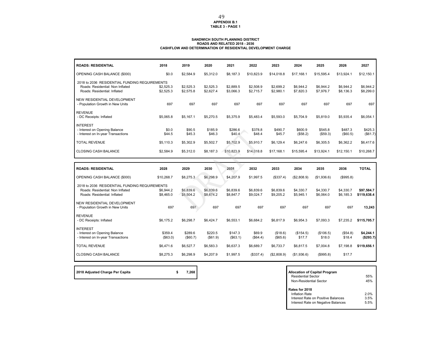# **APPENDIX B.1 TABLE 3 - PAGE 1**

#### **ROADS AND RELATED 2018 - 2036 CASHFLOW AND DETERMINATION OF RESIDENTIAL DEVELOPMENT CHARGE SANDWICH SOUTH PLANNING DISTRICT**

| <b>ROADS: RESIDENTIAL</b>                                                                                         | 2018                   | 2019                   | 2020                   | 2021                   | 2022                   | 2023                   | 2024                   | 2025                   | 2026                   | 2027                      |
|-------------------------------------------------------------------------------------------------------------------|------------------------|------------------------|------------------------|------------------------|------------------------|------------------------|------------------------|------------------------|------------------------|---------------------------|
| OPENING CASH BALANCE (\$000)                                                                                      | \$0.0                  | \$2,584.9              | \$5,312.0              | \$8,187.3              | \$10.823.9             | \$14,018.8             | \$17.168.1             | \$15,595.4             | \$13,924.1             | \$12,150.1                |
| 2018 to 2036 RESIDENTIAL FUNDING REQUIREMENTS<br>Roads: Residential: Non Inflated<br>Roads: Residential: Inflated | \$2.525.3<br>\$2,525.3 | \$2,525.3<br>\$2,575.8 | \$2,525.3<br>\$2,627.4 | \$2.889.5<br>\$3,066.3 | \$2,508.9<br>\$2,715.7 | \$2,699.2<br>\$2,980.1 | \$6.944.2<br>\$7,820.3 | \$6.944.2<br>\$7,976.7 | \$6,944.2<br>\$8,136.3 | \$6,944.2<br>\$8,299.0    |
| NEW RESIDENTIAL DEVELOPMENT<br>- Population Growth in New Units                                                   | 697                    | 697                    | 697                    | 697                    | 697                    | 697                    | 697                    | 697                    | 697                    | 697                       |
| <b>REVENUE</b><br>- DC Receipts: Inflated                                                                         | \$5.065.8              | \$5.167.1              | \$5,270.5              | \$5,375.9              | \$5,483.4              | \$5.593.0              | \$5,704.9              | \$5,819.0              | \$5,935.4              | \$6,054.1                 |
| <b>INTEREST</b><br>- Interest on Opening Balance<br>- Interest on In-year Transactions                            | \$0.0<br>\$44.5        | \$90.5<br>\$45.3       | \$185.9<br>\$46.3      | \$286.6<br>\$40.4      | \$378.8<br>\$48.4      | \$490.7<br>\$45.7      | \$600.9<br>(\$58.2)    | \$545.8<br>(\$59.3)    | \$487.3<br>(\$60.5)    | \$425.3<br>(\$61.7)       |
| <b>TOTAL REVENUE</b>                                                                                              | \$5,110.3              | \$5,302.9              | \$5,502.7              | \$5,702.9              | \$5,910.7              | \$6.129.4              | \$6,247.6              | \$6,305.5              | \$6.362.2              | \$6,417.6                 |
| <b>CLOSING CASH BALANCE</b>                                                                                       | \$2,584.9              | \$5,312.0              | \$8,187.3              | \$10,823.9             | \$14,018.8             | \$17.168.1             | \$15.595.4             | \$13.924.1             | \$12,150.1             | \$10,268.7                |
|                                                                                                                   |                        |                        |                        |                        |                        |                        |                        |                        |                        |                           |
| <b>ROADS: RESIDENTIAL</b>                                                                                         | 2028                   | 2029                   | 2030                   | 2031                   | 2032                   | 2033                   | 2034                   | 2035                   | 2036                   | <b>TOTAL</b>              |
| OPENING CASH BALANCE (\$000)                                                                                      | \$10,268.7             | \$8,275.3              | \$6,298.9              | \$4,207.9              | \$1,997.5              | (\$337.4)              | (\$2,808.9)            | (\$1,936.6)            | (\$995.8)              |                           |
| 2018 to 2036 RESIDENTIAL FUNDING REQUIREMENTS<br>Roads: Residential: Non Inflated<br>Roads: Residential: Inflated | \$6,944.2<br>\$8,465.0 | \$6,839.6<br>\$8,504.2 | \$6,839.6<br>\$8,674.2 | \$6,839.6<br>\$8,847.7 | \$6,839.6<br>\$9,024.7 | \$6,839.6<br>\$9,205.2 | \$4,330.7<br>\$5,945.1 | \$4,330.7<br>\$6,064.0 | \$4,330.7<br>\$6,185.3 | \$97.584.7<br>\$119,638.4 |
| <b>NEW RESIDENTIAL DEVELOPMENT</b><br>- Population Growth in New Units                                            | 697                    | 697                    | 697                    | 697                    | 697                    | 697                    | 697                    | 697                    | 697                    | 13,243                    |
| <b>REVENUE</b><br>- DC Receipts: Inflated                                                                         | \$6,175.2              | \$6,298.7              | \$6,424.7              | \$6.553.1              | \$6.684.2              | \$6.817.9              | \$6.954.3              | \$7,093.3              | \$7,235.2              | \$115,705.7               |
| <b>INTEREST</b><br>- Interest on Opening Balance<br>- Interest on In-year Transactions                            | \$359.4<br>(\$63.0)    | \$289.6<br>(\$60.7)    | \$220.5<br>(\$61.9)    | \$147.3<br>(\$63.1)    | \$69.9<br>(\$64.4)     | (\$18.6)<br>(\$65.6)   | (\$154.5)<br>\$17.7    | (\$106.5)<br>\$18.0    | (\$54.8)<br>\$18.4     | \$4,244.1<br>(\$293.7)    |
| <b>TOTAL REVENUE</b>                                                                                              | \$6,471.6              | \$6,527.7              | \$6,583.3              | \$6,637.3              | \$6,689.7              | \$6,733.7              | \$6,817.5              | \$7,004.8              | \$7,198.8              | \$119,656.1               |

\$8,275.3 \$6,298.9 \$4,207.9 \$1,997.5 (\$337.4) (\$2,808.9) (\$1,936.6) (\$995.8) \$17.7

**2018 Adjusted Charge Per Capita 12018 Adjusted Charge Per Capital Programme Accordance 12018** 

CLOSING CASH BALANCE

| <b>Allocation of Capital Program</b> |      |
|--------------------------------------|------|
| <b>Residential Sector</b>            | 55%  |
| Non-Residential Sector               | 45%  |
| Rates for 2018                       |      |
| Inflation Rate                       | 20%  |
| Interest Rate on Positive Balances   | 3.5% |
| Interest Rate on Negative Balances   | 5.5% |
|                                      |      |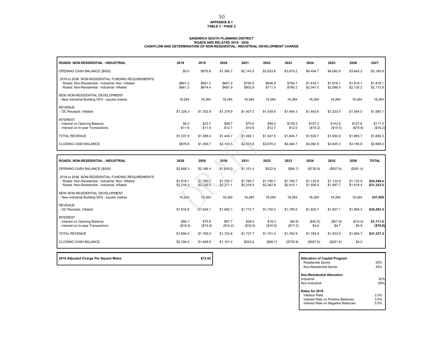# **APPENDIX B.1 TABLE 3 - PAGE 2**

# SANDWICH SOUTH PLANNING DISTRICT<br>ROADS AND DETERMINATION OF NON-RELATED 2018 - 2036<br>CASHFLOW AND DETERMINATION OF NON-RESIDENTIAL: INDUSTRIAL DEVELOPMENT CHARGE

| <b>ROADS: NON-RESIDENTIAL - INDUSTRIAL</b>                                                                                                               | 2018                   | 2019                   | 2020                   | 2021                   | 2022                   | 2023                   | 2024                   | 2025                   | 2026                   | 2027                     |
|----------------------------------------------------------------------------------------------------------------------------------------------------------|------------------------|------------------------|------------------------|------------------------|------------------------|------------------------|------------------------|------------------------|------------------------|--------------------------|
| OPENING CASH BALANCE (\$000)                                                                                                                             | \$0.0                  | \$676.8                | \$1,390.7              | \$2,143.5              | \$2,833.8              | \$3,670.2              | \$4,494.7              | \$4,082.9              | \$3,645.3              | \$3,180.8                |
| 2018 to 2036 NON-RESIDENTIAL FUNDING REQUIREMENTS<br>Roads: Non-Residential - Industrial: Non: Inflated<br>Roads: Non-Residential - Industrial: Inflated | \$661.2<br>\$661.2     | \$661.2<br>\$674.4     | \$661.2<br>\$687.9     | \$756.5<br>\$802.8     | \$656.9<br>\$711.0     | \$706.7<br>\$780.2     | \$1,818.1<br>\$2,047.5 | \$1,818.1<br>\$2,088.5 | \$1,818.1<br>\$2,130.2 | \$1,818.1<br>\$2,172.8   |
| NEW NON-RESIDENTIAL DEVELOPMENT<br>- New Industrial Building GFA - square metres                                                                         | 18.264                 | 18.264                 | 18.264                 | 18.264                 | 18,264                 | 18.264                 | 18,264                 | 18.264                 | 18,264                 | 18,264                   |
| <b>REVENUE</b><br>- DC Receipts: Inflated                                                                                                                | \$1,326.3              | \$1,352.8              | \$1,379.9              | \$1,407.5              | \$1,435.6              | \$1,464.3              | \$1,493.6              | \$1,523.5              | \$1,554.0              | \$1,585.1                |
| <b>INTEREST</b><br>- Interest on Opening Balance<br>- Interest on In-year Transactions                                                                   | \$0.0<br>\$11.6        | \$23.7<br>\$11.9       | \$48.7<br>\$12.1       | \$75.0<br>\$10.6       | \$99.2<br>\$12.7       | \$128.5<br>\$12.0      | \$157.3<br>(\$15.2)    | \$142.9<br>(\$15.5)    | \$127.6<br>(\$15.8)    | \$111.3<br>(\$16.2)      |
| <b>TOTAL REVENUE</b>                                                                                                                                     | \$1,337.9              | \$1,388.4              | \$1,440.7              | \$1,493.1              | \$1,547.5              | \$1,604.7              | \$1.635.7              | \$1,650.9              | \$1,665.7              | \$1,680.3                |
| <b>CLOSING CASH BALANCE</b>                                                                                                                              | \$676.8                | \$1,390.7              | \$2,143.5              | \$2,833.8              | \$3,670.2              | \$4,494.7              | \$4,082.9              | \$3,645.3              | \$3,180.8              | \$2,688.3                |
|                                                                                                                                                          |                        |                        |                        |                        |                        |                        |                        |                        |                        |                          |
| <b>ROADS: NON-RESIDENTIAL - INDUSTRIAL</b>                                                                                                               | 2028                   | 2029                   | 2030                   | 2031                   | 2032                   | 2033                   | 2034                   | 2035                   | 2036                   | <b>TOTAL</b>             |
| OPENING CASH BALANCE (\$000)                                                                                                                             | \$2,688.3              | \$2,166.4              | \$1,648.9              | \$1,101.4              | \$522.6                | (\$88.7)               | (\$735.9)              | (\$507.6)              | (\$261.4)              |                          |
| 2018 to 2036 NON-RESIDENTIAL FUNDING REQUIREMENTS<br>Roads: Non-Residential - Industrial: Non: Inflated<br>Roads: Non-Residential - Industrial: Inflated | \$1,818.1<br>\$2,216.3 | \$1,790.7<br>\$2,226.5 | \$1,790.7<br>\$2,271.1 | \$1,790.7<br>\$2,316.5 | \$1,790.7<br>\$2,362.8 | \$1,790.7<br>\$2,410.1 | \$1,133.9<br>\$1,556.5 | \$1,133.9<br>\$1,587.7 | \$1,133.9<br>\$1,619.4 | \$25,549.4<br>\$31,323.5 |
| NEW NON-RESIDENTIAL DEVELOPMENT<br>- New Industrial Building GFA - square metres                                                                         | 18,264                 | 18.264                 | 18,264                 | 18,264                 | 18,264                 | 18,264                 | 18,264                 | 18,264                 | 18,264                 | 347,009                  |
| <b>REVENUE</b><br>- DC Receipts: Inflated                                                                                                                | \$1,616.8              | \$1,649.1              | \$1,682.1              | \$1,715.7              | \$1,750.0              | \$1,785.0              | \$1,820.7              | \$1,857.1              | \$1,894.3              | \$30,293.4               |
| <b>INTEREST</b><br>- Interest on Opening Balance<br>- Interest on In-year Transactions                                                                   | \$94.1<br>(\$16.5)     | \$75.8<br>(\$15.9)     | \$57.7<br>(\$16.2)     | \$38.5<br>(\$16.5)     | \$18.3<br>(\$16.9)     | (\$4.9)<br>(\$17.2)    | (\$40.5)<br>\$4.6      | (\$27.9)<br>\$4.7      | (\$14.4)<br>\$4.8      | \$1,111.0<br>( \$76.9)   |
|                                                                                                                                                          |                        |                        |                        |                        |                        |                        |                        |                        |                        |                          |
| <b>TOTAL REVENUE</b>                                                                                                                                     | \$1.694.4              | \$1,709.0              | \$1,723.6              | \$1,737.7              | \$1.751.4              | \$1.762.9              | \$1.784.8              | \$1,833.9              | \$1,884.7              | \$31,327.5               |

**2018 Adjusted Charge Per Square Metre <b>bidge Research 2018 Adjusted Charge Program** 

| <b>Allocation of Capital Program</b><br>Residential Sector<br>Non-Residential Sector | 55%<br>45% |
|--------------------------------------------------------------------------------------|------------|
| <b>Non-Residential Allocation</b><br>Industrial                                      | 32%        |
| Non-Industrial                                                                       | 68%        |
| Rates for 2018                                                                       |            |
| Inflation Rate                                                                       | 2.0%       |
| Interest Rate on Positive Balances                                                   | 3.5%       |
| Interest Rate on Negative Balances                                                   | 5.5%       |
|                                                                                      |            |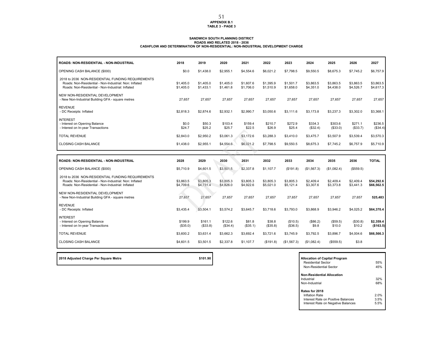#### **APPENDIX B.1 TABLE 3 - PAGE 3**

#### **ROADS AND RELATED 2018 - 2036 CASHFLOW AND DETERMINATION OF NON-RESIDENTIAL: NON-INDUSTRIAL DEVELOPMENT CHARGESANDWICH SOUTH PLANNING DISTRICT**

| <b>ROADS: NON-RESIDENTIAL - NON-INDUSTRIAL</b>                                                                                                                   | 2018                   | 2019                   | 2020                   | 2021                   | 2022                   | 2023                   | 2024                   | 2025                   | 2026                   | 2027                     |
|------------------------------------------------------------------------------------------------------------------------------------------------------------------|------------------------|------------------------|------------------------|------------------------|------------------------|------------------------|------------------------|------------------------|------------------------|--------------------------|
| OPENING CASH BALANCE (\$000)                                                                                                                                     | \$0.0                  | \$1,438.0              | \$2,955.1              | \$4,554.6              | \$6,021.2              | \$7,798.5              | \$9,550.5              | \$8,675.3              | \$7,745.2              | \$6,757.9                |
| 2018 to 2036 NON-RESIDENTIAL FUNDING REQUIREMENTS<br>Roads: Non-Residential - Non-Industrial: Non: Inflated<br>Roads: Non-Residential - Non-Industrial: Inflated | \$1,405.0<br>\$1,405.0 | \$1,405.0<br>\$1,433.1 | \$1,405.0<br>\$1,461.8 | \$1,607.6<br>\$1,706.0 | \$1,395.9<br>\$1,510.9 | \$1,501.7<br>\$1,658.0 | \$3,863.5<br>\$4,351.0 | \$3,863.5<br>\$4,438.0 | \$3,863.5<br>\$4,526.7 | \$3,863.5<br>\$4,617.3   |
| NEW NON-RESIDENTIAL DEVELOPMENT<br>- New Non-Industrial Building GFA - square metres                                                                             | 27,657                 | 27,657                 | 27,657                 | 27,657                 | 27,657                 | 27,657                 | 27,657                 | 27,657                 | 27,657                 | 27,657                   |
| <b>REVENUE</b><br>- DC Receipts: Inflated                                                                                                                        | \$2,818.3              | \$2,874.6              | \$2,932.1              | \$2,990.7              | \$3,050.6              | \$3,111.6              | \$3,173.8              | \$3,237.3              | \$3,302.0              | \$3,368.1                |
| <b>INTEREST</b><br>- Interest on Opening Balance<br>- Interest on In-year Transactions                                                                           | \$0.0<br>\$24.7        | \$50.3<br>\$25.2       | \$103.4<br>\$25.7      | \$159.4<br>\$22.5      | \$210.7<br>\$26.9      | \$272.9<br>\$25.4      | \$334.3<br>(\$32.4)    | \$303.6<br>(\$33.0)    | \$271.1<br>(\$33.7)    | \$236.5<br>(\$34.4)      |
| <b>TOTAL REVENUE</b>                                                                                                                                             | \$2,843.0              | \$2,950.2              | \$3,061.3              | \$3,172.6              | \$3,288.3              | \$3,410.0              | \$3,475.7              | \$3,507.9              | \$3,539.4              | \$3,570.3                |
| <b>CLOSING CASH BALANCE</b>                                                                                                                                      | \$1,438.0              | \$2,955.1              | \$4,554.6              | \$6,021.2              | \$7,798.5              | \$9,550.5              | \$8,675.3              | \$7,745.2              | \$6,757.9              | \$5,710.9                |
|                                                                                                                                                                  |                        |                        |                        |                        |                        |                        |                        |                        |                        |                          |
|                                                                                                                                                                  |                        |                        |                        |                        |                        |                        |                        |                        |                        |                          |
| <b>ROADS: NON-RESIDENTIAL - NON-INDUSTRIAL</b>                                                                                                                   | 2028                   | 2029                   | 2030                   | 2031                   | 2032                   | 2033                   | 2034                   | 2035                   | 2036                   | <b>TOTAL</b>             |
| OPENING CASH BALANCE (\$000)                                                                                                                                     | \$5,710.9              | \$4,601.5              | \$3,501.5              | \$2,337.8              | \$1,107.7              | (\$191.8)              | (\$1,567.3)            | (\$1,082.4)            | (\$559.5)              |                          |
| 2018 to 2036 NON-RESIDENTIAL FUNDING REQUIREMENTS<br>Roads: Non-Residential - Non-Industrial: Non: Inflated<br>Roads: Non-Residential - Non-Industrial: Inflated | \$3,863.5<br>\$4,709.6 | \$3,805.3<br>\$4,731.4 | \$3,805.3<br>\$4,826.0 | \$3,805.3<br>\$4,922.6 | \$3,805.3<br>\$5,021.0 | \$3.805.3<br>\$5,121.4 | \$2,409.4<br>\$3,307.6 | \$2,409.4<br>\$3,373.8 | \$2,409.4<br>\$3,441.3 | \$54.292.6<br>\$66,562.5 |
| NEW NON-RESIDENTIAL DEVELOPMENT<br>- New Non-Industrial Building GFA - square metres                                                                             | 27,657                 | 27,657                 | 27,657                 | 27,657                 | 27,657                 | 27,657                 | 27,657                 | 27,657                 | 27,657                 | 525,483                  |
| <b>REVENUE</b><br>- DC Receipts: Inflated                                                                                                                        | \$3.435.4              | \$3,504.1              | \$3,574.2              | \$3,645.7              | \$3,718.6              | \$3,793.0              | \$3,868.9              | \$3,946.2              | \$4,025.2              | \$64,370.4               |
| <b>INTEREST</b><br>- Interest on Opening Balance<br>- Interest on In-year Transactions                                                                           | \$199.9<br>(\$35.0)    | \$161.1<br>(\$33.8)    | \$122.6<br>(\$34.4)    | \$81.8<br>(\$35.1)     | \$38.8<br>(\$35.8)     | (\$10.5)<br>(\$36.5)   | (\$86.2)<br>\$9.8      | (\$59.5)<br>\$10.0     | (\$30.8)<br>\$10.2     | \$2,359.4<br>(\$163.5)   |
| <b>TOTAL REVENUE</b>                                                                                                                                             | \$3,600.2              | \$3,631.4              | \$3,662.3              | \$3,692.4              | \$3,721.6              | \$3,745.9              | \$3,792.5              | \$3,896.7              | \$4,004.6              | \$66,566.3               |

2018 Adjusted Charge Per Square Metre **by Capital Program \$101.90 Allocation of Capital Program** 

Residential Sector 55% $r \hspace{1.5cm} 45\%$ Non-Residential Sector**Non-Residential Allocation**Industrial 32%**1** Non-Industrial**Rates for 2018** Inflation Rate 2.0% 3.5%Interest Rate on Positive Balances5.5% Interest Rate on Negative Balances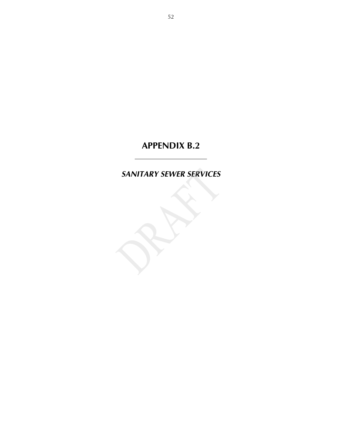# *SANITARY SEWER SERVICES*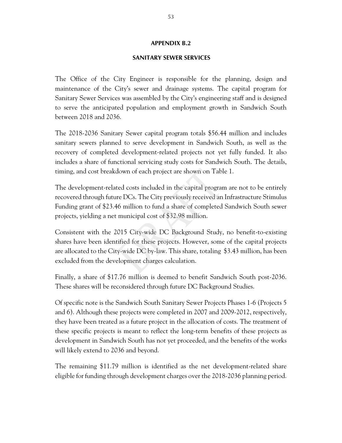### **SANITARY SEWER SERVICES**

The Office of the City Engineer is responsible for the planning, design and maintenance of the City's sewer and drainage systems. The capital program for Sanitary Sewer Services was assembled by the City's engineering staff and is designed to serve the anticipated population and employment growth in Sandwich South between 2018 and 2036.

The 2018-2036 Sanitary Sewer capital program totals \$56.44 million and includes sanitary sewers planned to serve development in Sandwich South, as well as the recovery of completed development-related projects not yet fully funded. It also includes a share of functional servicing study costs for Sandwich South. The details, timing, and cost breakdown of each project are shown on Table 1.

The development-related costs included in the capital program are not to be entirely recovered through future DCs. The City previously received an Infrastructure Stimulus Funding grant of \$23.46 million to fund a share of completed Sandwich South sewer projects, yielding a net municipal cost of \$32.98 million.

Consistent with the 2015 City-wide DC Background Study, no benefit-to-existing shares have been identified for these projects. However, some of the capital projects are allocated to the City-wide DC by-law. This share, totaling \$3.43 million, has been excluded from the development charges calculation.

Finally, a share of \$17.76 million is deemed to benefit Sandwich South post-2036. These shares will be reconsidered through future DC Background Studies.

Of specific note is the Sandwich South Sanitary Sewer Projects Phases 1-6 (Projects 5 and 6). Although these projects were completed in 2007 and 2009-2012, respectively, they have been treated as a future project in the allocation of costs. The treatment of these specific projects is meant to reflect the long-term benefits of these projects as development in Sandwich South has not yet proceeded, and the benefits of the works will likely extend to 2036 and beyond.

The remaining \$11.79 million is identified as the net development-related share eligible for funding through development charges over the 2018-2036 planning period.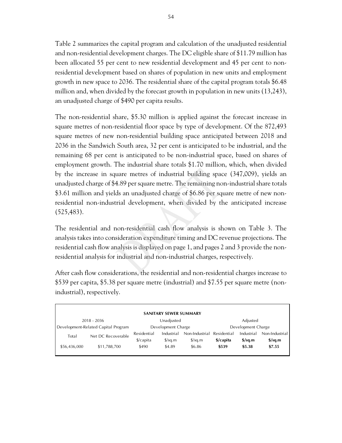Table 2 summarizes the capital program and calculation of the unadjusted residential and non-residential development charges. The DC eligible share of \$11.79 million has been allocated 55 per cent to new residential development and 45 per cent to nonresidential development based on shares of population in new units and employment growth in new space to 2036. The residential share of the capital program totals \$6.48 million and, when divided by the forecast growth in population in new units (13,243), an unadjusted charge of \$490 per capita results.

The non-residential share, \$5.30 million is applied against the forecast increase in square metres of non-residential floor space by type of development. Of the 872,493 square metres of new non-residential building space anticipated between 2018 and 2036 in the Sandwich South area, 32 per cent is anticipated to be industrial, and the remaining 68 per cent is anticipated to be non-industrial space, based on shares of employment growth. The industrial share totals \$1.70 million, which, when divided by the increase in square metres of industrial building space (347,009), yields an unadjusted charge of \$4.89 per square metre. The remaining non-industrial share totals \$3.61 million and yields an unadjusted charge of \$6.86 per square metre of new nonresidential non-industrial development, when divided by the anticipated increase (525,483).

The residential and non-residential cash flow analysis is shown on Table 3. The analysis takes into consideration expenditure timing and DC revenue projections. The residential cash flow analysis is displayed on page 1, and pages 2 and 3 provide the nonresidential analysis for industrial and non-industrial charges, respectively.

After cash flow considerations, the residential and non-residential charges increase to \$539 per capita, \$5.38 per square metre (industrial) and \$7.55 per square metre (nonindustrial), respectively.

| <b>SANITARY SEWER SUMMARY</b> |                                     |                                              |                    |                      |                    |                                  |                                  |  |  |
|-------------------------------|-------------------------------------|----------------------------------------------|--------------------|----------------------|--------------------|----------------------------------|----------------------------------|--|--|
|                               | 2018 - 2036                         |                                              | Unadjusted         |                      | Adjusted           |                                  |                                  |  |  |
|                               | Development-Related Capital Program |                                              | Development Charge |                      | Development Charge |                                  |                                  |  |  |
| Total                         | Net DC Recoverable                  | Residential                                  | Industrial         | Non-Industrial       | Residential        | Industrial                       | Non-Industrial                   |  |  |
|                               |                                     | $\frac{2}{2}$ capita<br>$\frac{\sqrt{2}}{2}$ |                    | $\frac{\sqrt{2}}{2}$ | \$/capita          | $\frac{\text{S}}{\text{S}}$ sq.m | $\frac{\text{S}}{\text{S}}$ sq.m |  |  |
| \$56,436,000                  | \$11,788,700                        | \$490                                        | \$4.89             | \$6.86               | \$539              | \$5.38                           | \$7.55                           |  |  |
|                               |                                     |                                              |                    |                      |                    |                                  |                                  |  |  |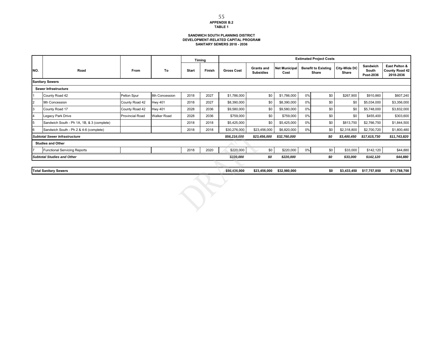### **SANDWICH SOUTH PLANNING DISTRICT DEVELOPMENT-RELATED CAPITAL PROGRAM SANITARY SEWERS 2018 - 2036**

|                      |                                            |                        |                    |       | <b>Timing</b> | <b>Estimated Project Costs</b> |                                       |                              |    |                                     |                              |                                |                                                     |
|----------------------|--------------------------------------------|------------------------|--------------------|-------|---------------|--------------------------------|---------------------------------------|------------------------------|----|-------------------------------------|------------------------------|--------------------------------|-----------------------------------------------------|
| INO.                 | Road                                       | From                   | To                 | Start | Finish        | <b>Gross Cost</b>              | <b>Grants and</b><br><b>Subsidies</b> | <b>Net Municipal</b><br>Cost |    | <b>Benefit to Existing</b><br>Share | <b>City-Wide DC</b><br>Share | Sandwich<br>South<br>Post-2036 | East Pelton &<br><b>County Road 42</b><br>2018-2036 |
|                      | <b>Sanitary Sewers</b>                     |                        |                    |       |               |                                |                                       |                              |    |                                     |                              |                                |                                                     |
| Sewer Infrastructure |                                            |                        |                    |       |               |                                |                                       |                              |    |                                     |                              |                                |                                                     |
|                      | County Road 42                             | Pelton Spur            | 8th Concession     | 2018  | 2027          | \$1,786,000                    | \$0                                   | \$1,786,000                  | 0% | \$0                                 | \$267,900                    | \$910,860                      | \$607,240                                           |
| 2                    | 9th Concession                             | County Road 42         | <b>Hwy 401</b>     | 2018  | 2027          | \$8,390,000                    | \$0                                   | \$8,390,000                  | 0% | \$0                                 | \$0                          | \$5,034,000                    | \$3,356,000                                         |
| 3                    | County Road 17                             | County Road 42         | <b>Hwy 401</b>     | 2028  | 2036          | \$9,580,000                    | \$0                                   | \$9,580,000                  | 0% | \$0                                 | \$0                          | \$5,748,000                    | \$3,832,000                                         |
| 14                   | Legacy Park Drive                          | <b>Provincial Road</b> | <b>Walker Road</b> | 2028  | 2036          | \$759,000                      | \$0                                   | \$759,000                    | 0% | \$0                                 | \$0                          | \$455,400                      | \$303,600                                           |
| 5                    | Sandwich South - Ph 1A, 1B, & 3 (complete) |                        |                    | 2018  | 2018          | \$5,425,000                    | \$0                                   | \$5,425,000                  | 0% | \$0                                 | \$813,750                    | \$2,766,750                    | \$1,844,500                                         |
|                      | Sandwich South - Ph 2 & 4-6 (complete)     |                        |                    | 2018  | 2018          | \$30,276,000                   | \$23,456,000                          | \$6,820,000                  | 0% | \$0                                 | \$2,318,800                  | \$2,700,720                    | \$1,800,480                                         |
|                      | <b>Subtotal Sewer Infrastructure</b>       |                        |                    |       |               | \$56,216,000                   | \$23,456,000                          | \$32,760,000                 |    | \$0                                 | \$3,400,450                  | \$17,615,730                   | \$11,743,820                                        |
|                      | <b>Studies and Other</b>                   |                        |                    |       |               |                                |                                       |                              |    |                                     |                              |                                |                                                     |
|                      | <b>Functional Servicing Reports</b>        |                        |                    | 2018  | 2020          | \$220,000                      | \$0                                   | \$220,000                    | 0% | \$0                                 | \$33,000                     | \$142,120                      | \$44,880                                            |
|                      | <b>Subtotal Studies and Other</b>          |                        |                    |       |               | \$220,000                      | \$0                                   | \$220,000                    |    | \$0                                 | \$33,000                     | \$142,120                      | \$44,880                                            |
|                      |                                            |                        |                    |       |               |                                |                                       |                              |    |                                     |                              |                                |                                                     |
|                      | <b>Total Sanitary Sewers</b>               |                        |                    |       |               | \$56,436,000                   | \$23,456,000                          | \$32,980,000                 |    | \$0                                 | \$3,433,450                  | \$17,757,850                   | \$11,788,700                                        |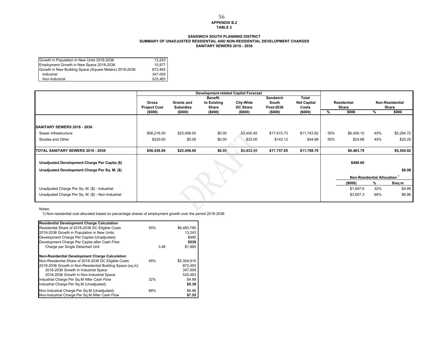#### **APPENDIX B.2 TABLE 2**56

#### **SANDWICH SOUTH PLANNING DISTRICT SUMMARY OF UNADJUSTED RESIDENTIAL AND NON-RESIDENTIAL DEVELOPMENT CHARGES SANITARY SEWERS 2018 - 2036**

| Growth in Population in New Units 2018-2036            | 13.243  |
|--------------------------------------------------------|---------|
| Employment Growth in New Space 2018-2036               | 10.977  |
| Growth in New Building Space (Square Meters) 2018-2036 | 872.493 |
| Industrial                                             | 347.009 |
| Non-Industrial                                         | 525.483 |

|                                                    |                     |                   | <b>Development-related Capital Forecast</b> |                 |             |                    |     |             |                                         |                 |  |
|----------------------------------------------------|---------------------|-------------------|---------------------------------------------|-----------------|-------------|--------------------|-----|-------------|-----------------------------------------|-----------------|--|
|                                                    |                     |                   | <b>Benefit</b>                              |                 | Sandwich    | Total              |     |             |                                         |                 |  |
|                                                    | Gross               | <b>Grants and</b> | to Existing                                 | City-Wide       | South       | <b>Net Capital</b> |     | Residential |                                         | Non-Residential |  |
|                                                    | <b>Project Cost</b> | <b>Subsidies</b>  | Share                                       | <b>DC Share</b> | Post-2036   | Costs              |     | Share       |                                         | Share           |  |
|                                                    | (\$000)             | (\$000)           | (\$000)                                     | (\$000)         | (\$000)     | (\$000)            | %   | \$000       | %                                       | \$000           |  |
|                                                    |                     |                   |                                             |                 |             |                    |     |             |                                         |                 |  |
| <b>SANITARY SEWERS 2018 - 2036</b>                 |                     |                   |                                             |                 |             |                    |     |             |                                         |                 |  |
| Sewer Infrastructure                               | \$56,216.00         | \$23,456.00       | \$0.00                                      | \$3,400.45      | \$17,615.73 | \$11,743.82        | 55% | \$6,459.10  | 45%                                     | \$5,284.72      |  |
| Studies and Other                                  | \$220.00            | \$0.00            | \$0.00                                      | \$33.00         | \$142.12    | \$44.88            | 55% | \$24.68     | 45%                                     | \$20.20         |  |
|                                                    |                     |                   |                                             |                 |             |                    |     |             |                                         |                 |  |
| TOTAL SANITARY SEWERS 2018 - 2036                  | \$56,436.00         | \$23,456.00       | \$0.00                                      | \$3,433.45      | \$17,757.85 | \$11,788.70        |     | \$6,483.79  |                                         | \$5,304.92      |  |
|                                                    |                     |                   |                                             |                 |             |                    |     |             |                                         |                 |  |
| Unadjusted Development Charge Per Capita (\$)      |                     |                   |                                             |                 |             |                    |     | \$489.60    |                                         |                 |  |
| Unadjusted Development Charge Per Sq. M. (\$)      |                     |                   |                                             |                 |             |                    |     |             |                                         | \$6.08          |  |
|                                                    |                     |                   |                                             |                 |             |                    |     |             | Non-Residential Allocation <sup>1</sup> |                 |  |
|                                                    |                     |                   |                                             |                 |             |                    |     | (\$000)     | %                                       | \$/sq m         |  |
| Unadjusted Charge Per Sq. M. (\$) - Industrial     |                     |                   |                                             |                 |             |                    |     | \$1,697.6   | 32%                                     | \$4.89          |  |
| Unadjusted Charge Per Sq. M. (\$) - Non-Industrial |                     |                   |                                             |                 |             |                    |     | \$3,607.3   | 68%                                     | \$6.86          |  |
|                                                    |                     |                   |                                             |                 |             |                    |     |             |                                         |                 |  |

Notes:

1) Non-residential cost allocated based on percentage shares of employment growth over the period 2018-2036

| <b>Residential Development Charge Calculation</b>         |      |             |
|-----------------------------------------------------------|------|-------------|
| Residential Share of 2018-2036 DC Eligible Costs          | 55%  | \$6,483,785 |
| 2018-2036 Growth in Population in New Units               |      | 13.243      |
| Development Charge Per Capital (Unadjusted)               |      | \$490       |
| Development Charge Per Capita after Cash Flow             |      | \$539       |
| Charge per Single Detached Unit                           | 3.46 | \$1.865     |
| Non-Residential Development Charge Calculation            |      |             |
| Non-Residential Share of 2018-2036 DC Eligible Costs      | 45%  | \$5,304,915 |
| 2018-2036 Growth in Non-Residential Building Space (sq.m) |      | 872.493     |
| 2018-2036 Growth in Industrial Space                      |      | 347.009     |
| 2018-2036 Growth in Non-Industrial Space                  |      | 525,483     |
| Industrial Charge Per Sq.M After Cash Flow                | 32%  | \$4.89      |
| Industrial Charge Per Sq.M (Unadjusted)                   |      | \$5.38      |
| Non-Industrial Charge Per Sq.M (Unadjusted)               | 68%  | \$6.86      |
| Non-Industrial Charge Per Sq.M After Cash Flow            |      | \$7.55      |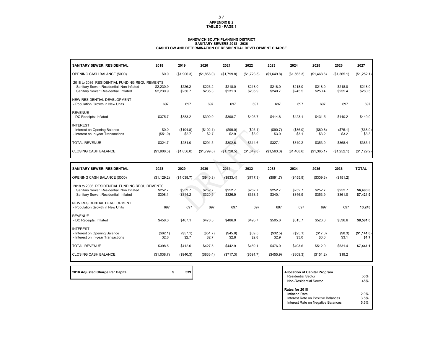#### **APPENDIX B.2TABLE 3 - PAGE 1**

#### **SANDWICH SOUTH PLANNING DISTRICT SANITARY SEWERS 2018 - 2036 CASHFLOW AND DETERMINATION OF RESIDENTIAL DEVELOPMENT CHARGE**

| <b>SANITARY SEWER: RESIDENTIAL</b>                                                 | 2018                   | 2019               | 2020               | 2021               | 2022               | 2023               | 2024               | 2025               | 2026               | 2027               |
|------------------------------------------------------------------------------------|------------------------|--------------------|--------------------|--------------------|--------------------|--------------------|--------------------|--------------------|--------------------|--------------------|
| OPENING CASH BALANCE (\$000)                                                       | \$0.0                  | (\$1,906.3)        | (\$1,856.0)        | (\$1,799.8)        | (\$1,728.5)        | (\$1,649.8)        | (\$1,563.3)        | (\$1,468.6)        | (\$1,365.1)        | (\$1,252.1)        |
| 2018 to 2036 RESIDENTIAL FUNDING REQUIREMENTS                                      |                        |                    |                    |                    |                    |                    |                    |                    |                    |                    |
| Sanitary Sewer: Residential: Non Inflated<br>Sanitary Sewer: Residential: Inflated | \$2,230.9<br>\$2,230.9 | \$226.2<br>\$230.7 | \$226.2<br>\$235.3 | \$218.0<br>\$231.3 | \$218.0<br>\$235.9 | \$218.0<br>\$240.7 | \$218.0<br>\$245.5 | \$218.0<br>\$250.4 | \$218.0<br>\$255.4 | \$218.0<br>\$260.5 |
| NEW RESIDENTIAL DEVELOPMENT<br>- Population Growth in New Units                    | 697                    | 697                | 697                | 697                | 697                | 697                | 697                | 697                | 697                | 697                |
| <b>REVENUE</b><br>- DC Receipts: Inflated                                          | \$375.7                | \$383.2            | \$390.9            | \$398.7            | \$406.7            | \$414.8            | \$423.1            | \$431.5            | \$440.2            | \$449.0            |
| <b>INTEREST</b>                                                                    |                        |                    |                    |                    |                    |                    |                    |                    |                    |                    |
| - Interest on Opening Balance<br>- Interest on In-year Transactions                | \$0.0<br>(\$51.0)      | (\$104.8)<br>\$2.7 | (\$102.1)<br>\$2.7 | (\$99.0)<br>\$2.9  | (\$95.1)<br>\$3.0  | (\$90.7)<br>\$3.0  | (\$86.0)<br>\$3.1  | (\$80.8)<br>\$3.2  | (\$75.1)<br>\$3.2  | (\$68.9)<br>\$3.3  |
| <b>TOTAL REVENUE</b>                                                               | \$324.7                | \$281.0            | \$291.5            | \$302.6            | \$314.6            | \$327.1            | \$340.2            | \$353.9            | \$368.4            | \$383.4            |
| <b>CLOSING CASH BALANCE</b>                                                        | (\$1,906.3)            | (\$1,856.0)        | (\$1,799.8)        | (\$1,728.5)        | (\$1,649.8)        | (\$1,563.3)        | (\$1,468.6)        | (\$1,365.1)        | (\$1,252.1)        | (\$1,129.2)        |

| <b>SANITARY SEWER: RESIDENTIAL</b>        | 2028                                          | 2029        | 2030      | 2031      | 2032      | 2033      | 2034      | 2035      | 2036      | <b>TOTAL</b> |  |
|-------------------------------------------|-----------------------------------------------|-------------|-----------|-----------|-----------|-----------|-----------|-----------|-----------|--------------|--|
| OPENING CASH BALANCE (\$000)              | (\$1,129.2)                                   | (\$1,038.7) | (\$940.3) | (\$833.4) | (\$717.3) | (\$591.7) | (\$455.9) | (\$309.3) | (\$151.2) |              |  |
|                                           | 2018 to 2036 RESIDENTIAL FUNDING REQUIREMENTS |             |           |           |           |           |           |           |           |              |  |
| Sanitary Sewer: Residential: Non Inflated | \$252.7                                       | \$252.7     | \$252.7   | \$252.7   | \$252.7   | \$252.7   | \$252.7   | \$252.7   | \$252.7   | \$6,483.8    |  |
| Sanitary Sewer: Residential: Inflated     | \$308.1                                       | \$314.2     | \$320.5   | \$326.9   | \$333.5   | \$340.1   | \$346.9   | \$353.9   | \$361.0   | \$7,421.9    |  |
| NEW RESIDENTIAL DEVELOPMENT               |                                               |             |           |           |           |           |           |           |           |              |  |
| - Population Growth in New Units          | 697                                           | 697         | 697       | 697       | 697       | 697       | 697       | 697       | 697       | 13,243       |  |
| <b>REVENUE</b>                            |                                               |             |           |           |           |           |           |           |           |              |  |
| - DC Receipts: Inflated                   | \$458.0                                       | \$467.1     | \$476.5   | \$486.0   | \$495.7   | \$505.6   | \$515.7   | \$526.0   | \$536.6   | \$8,581.0    |  |
| <b>INTEREST</b>                           |                                               |             |           |           |           |           |           |           |           |              |  |
| - Interest on Opening Balance             | (\$62.1)                                      | (\$57.1)    | (\$51.7)  | (\$45.8)  | (\$39.5)  | (\$32.5)  | (\$25.1)  | (\$17.0)  | (\$8.3)   | (\$1,141.6)  |  |
| - Interest on In-year Transactions        | \$2.6                                         | \$2.7       | \$2.7     | \$2.8     | \$2.8     | \$2.9     | \$3.0     | \$3.0     | \$3.1     | \$1.7        |  |
| <b>TOTAL REVENUE</b>                      | \$398.5                                       | \$412.6     | \$427.5   | \$442.9   | \$459.1   | \$476.0   | \$493.6   | \$512.0   | \$531.4   | \$7,441.1    |  |
| <b>CLOSING CASH BALANCE</b>               | (\$1,038.7)                                   | (\$940.3)   | (\$833.4) | (\$717.3) | (\$591.7) | (\$455.9) | (\$309.3) | (\$151.2) | \$19.2    |              |  |

**2018 Adjusted Charge Per Capita 12018 Adjusted Charge Per Capita Allocation of Capital Program** 

| <b>Allocation of Capital Program</b><br><b>Residential Sector</b><br>Non-Residential Sector                         | 55%<br>45%           |
|---------------------------------------------------------------------------------------------------------------------|----------------------|
| Rates for 2018<br><b>Inflation Rate</b><br>Interest Rate on Positive Balances<br>Interest Rate on Negative Balances | 2.0%<br>3.5%<br>5.5% |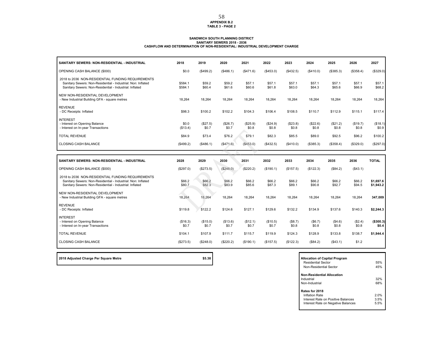#### **APPENDIX B.2 TABLE 3 - PAGE 2**

#### **SANDWICH SOUTH PLANNING DISTRICT SANITARY SEWERS 2018 - 2036CASHFLOW AND DETERMINATION OF NON-RESIDENTIAL: INDUSTRIAL DEVELOPMENT CHARGE**

| SANITARY SEWERS: NON-RESIDENTIAL - INDUSTRIAL                                                                                                                                | 2018               | 2019              | 2020              | 2021              | 2022              | 2023              | 2024              | 2025              | 2026              | 2027                   |
|------------------------------------------------------------------------------------------------------------------------------------------------------------------------------|--------------------|-------------------|-------------------|-------------------|-------------------|-------------------|-------------------|-------------------|-------------------|------------------------|
| OPENING CASH BALANCE (\$000)                                                                                                                                                 | \$0.0              | (\$499.2)         | (\$486.1)         | (\$471.6)         | (\$453.0)         | (\$432.5)         | (\$410.0)         | (\$385.3)         | (\$358.4)         | (\$329.0)              |
| 2018 to 2036 NON-RESIDENTIAL FUNDING REQUIREMENTS<br>Sanitary Sewers: Non-Residential - Industrial: Non: Inflated<br>Sanitary Sewers: Non-Residential - Industrial: Inflated | \$584.1<br>\$584.1 | \$59.2<br>\$60.4  | \$59.2<br>\$61.6  | \$57.1<br>\$60.6  | \$57.1<br>\$61.8  | \$57.1<br>\$63.0  | \$57.1<br>\$64.3  | \$57.1<br>\$65.6  | \$57.1<br>\$66.9  | \$57.1<br>\$68.2       |
| NEW NON-RESIDENTIAL DEVELOPMENT<br>- New Industrial Building GFA - square metres                                                                                             | 18,264             | 18,264            | 18,264            | 18,264            | 18,264            | 18,264            | 18,264            | 18,264            | 18,264            | 18,264                 |
| <b>REVENUE</b><br>- DC Receipts: Inflated                                                                                                                                    | \$98.3             | \$100.2           | \$102.2           | \$104.3           | \$106.4           | \$108.5           | \$110.7           | \$112.9           | \$115.1           | \$117.4                |
| <b>INTEREST</b><br>- Interest on Opening Balance<br>- Interest on In-year Transactions                                                                                       | \$0.0<br>(\$13.4)  | (\$27.5)<br>\$0.7 | (\$26.7)<br>\$0.7 | (\$25.9)<br>\$0.8 | (\$24.9)<br>\$0.8 | (\$23.8)<br>\$0.8 | (\$22.6)<br>\$0.8 | (\$21.2)<br>\$0.8 | (\$19.7)<br>\$0.8 | (\$18.1)<br>\$0.9      |
| <b>TOTAL REVENUE</b>                                                                                                                                                         | \$84.9             | \$73.4            | \$76.2            | \$79.1            | \$82.3            | \$85.5            | \$89.0            | \$92.5            | \$96.2            | \$100.2                |
| <b>CLOSING CASH BALANCE</b>                                                                                                                                                  | (\$499.2)          | (\$486.1)         | (\$471.6)         | (\$453.0)         | (\$432.5)         | (\$410.0)         | (\$385.3)         | (\$358.4)         | (\$329.0)         | (\$297.0)              |
|                                                                                                                                                                              |                    |                   |                   |                   |                   |                   |                   |                   |                   |                        |
|                                                                                                                                                                              |                    |                   |                   |                   |                   |                   |                   |                   |                   |                        |
| SANITARY SEWERS: NON-RESIDENTIAL - INDUSTRIAL                                                                                                                                | 2028               | 2029              | 2030              | 2031              | 2032              | 2033              | 2034              | 2035              | 2036              | <b>TOTAL</b>           |
| OPENING CASH BALANCE (\$000)                                                                                                                                                 | (\$297.0)          | (\$273.5)         | (\$248.0)         | (\$220.2)         | (\$190.1)         | (\$157.5)         | (\$122.3)         | (\$84.2)          | (\$43.1)          |                        |
| 2018 to 2036 NON-RESIDENTIAL FUNDING REQUIREMENTS<br>Sanitary Sewers: Non-Residential - Industrial: Non: Inflated<br>Sanitary Sewers: Non-Residential - Industrial: Inflated | \$66.2<br>\$80.7   | \$66.2<br>\$82.3  | \$66.2<br>\$83.9  | \$66.2<br>\$85.6  | \$66.2<br>\$87.3  | \$66.2<br>\$89.1  | \$66.2<br>\$90.8  | \$66.2<br>\$92.7  | \$66.2<br>\$94.5  | \$1,697.6<br>\$1,943.2 |
| NEW NON-RESIDENTIAL DEVELOPMENT<br>- New Industrial Building GFA - square metres                                                                                             | 18,264             | 18,264            | 18,264            | 18,264            | 18,264            | 18,264            | 18,264            | 18,264            | 18,264            | 347,009                |
| <b>REVENUE</b><br>- DC Receipts: Inflated                                                                                                                                    | \$119.8            | \$122.2           | \$124.6           | \$127.1           | \$129.6           | \$132.2           | \$134.9           | \$137.6           | \$140.3           | \$2,244.3              |
| <b>INTEREST</b><br>- Interest on Opening Balance<br>- Interest on In-year Transactions                                                                                       | (\$16.3)<br>\$0.7  | (\$15.0)<br>\$0.7 | (\$13.6)<br>\$0.7 | (\$12.1)<br>\$0.7 | (\$10.5)<br>\$0.7 | (\$8.7)<br>\$0.8  | (\$6.7)<br>\$0.8  | (\$4.6)<br>\$0.8  | (\$2.4)<br>\$0.8  | (\$300.3)<br>\$0.4     |
| <b>TOTAL REVENUE</b>                                                                                                                                                         | \$104.1            | \$107.9           | \$111.7           | \$115.7           | \$119.9           | \$124.3           | \$128.9           | \$133.8           | \$138.7           | \$1,944.4              |

2018 Adjusted Charge Per Square Metre **<b>Allocation of Capital Program \$5.38 Allocation of Capital Program** 

Residential Sector 55% $r \hspace{1.5cm} 45\%$ Non-Residential Sector**Non-Residential Allocation**Industrial 32%**1** Non-Industrial**Rates for 2018** Inflation Rate 2.0% 3.5%Interest Rate on Positive Balances5.5% Interest Rate on Negative Balances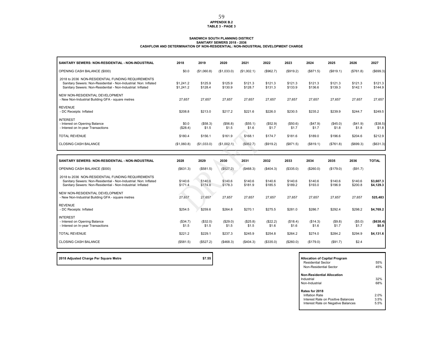# **APPENDIX B.2 TABLE 3 - PAGE 3**

# SANDWICH SOUTH PLANNING DISTRICT<br>SANITARY SENITARY SENITARY SEWERS 2018 - 2036<br>CASHFLOW AND DETERMINATION OF NON-RESIDENTIAL: NON-INDUSTRIAL DEVELOPMENT CHARGE

| SANITARY SEWERS: NON-RESIDENTIAL - NON-INDUSTRIAL                                                                                                                                    | 2018                   | 2019               | 2020               | 2021               | 2022               | 2023               | 2024               | 2025               | 2026               | 2027                   |
|--------------------------------------------------------------------------------------------------------------------------------------------------------------------------------------|------------------------|--------------------|--------------------|--------------------|--------------------|--------------------|--------------------|--------------------|--------------------|------------------------|
| OPENING CASH BALANCE (\$000)                                                                                                                                                         | \$0.0                  | (\$1,060.8)        | (\$1,033.0)        | (\$1,002.1)        | (\$962.7)          | (\$919.2)          | (\$871.5)          | (\$819.1)          | (\$761.8)          | (\$699.3)              |
| 2018 to 2036 NON-RESIDENTIAL FUNDING REQUIREMENTS<br>Sanitary Sewers: Non-Residential - Non-Industrial: Non: Inflated<br>Sanitary Sewers: Non-Residential - Non-Industrial: Inflated | \$1,241.2<br>\$1,241.2 | \$125.9<br>\$128.4 | \$125.9<br>\$130.9 | \$121.3<br>\$128.7 | \$121.3<br>\$131.3 | \$121.3<br>\$133.9 | \$121.3<br>\$136.6 | \$121.3<br>\$139.3 | \$121.3<br>\$142.1 | \$121.3<br>\$144.9     |
| NEW NON-RESIDENTIAL DEVELOPMENT<br>- New Non-Industrial Building GFA - square metres                                                                                                 | 27.657                 | 27.657             | 27.657             | 27.657             | 27,657             | 27,657             | 27,657             | 27,657             | 27,657             | 27,657                 |
| <b>REVENUE</b><br>- DC Receipts: Inflated                                                                                                                                            | \$208.8                | \$213.0            | \$217.2            | \$221.6            | \$226.0            | \$230.5            | \$235.2            | \$239.9            | \$244.7            | \$249.5                |
| <b>INTEREST</b><br>- Interest on Opening Balance<br>- Interest on In-year Transactions                                                                                               | \$0.0<br>(\$28.4)      | (\$58.3)<br>\$1.5  | (\$56.8)<br>\$1.5  | (\$55.1)<br>\$1.6  | (\$52.9)<br>\$1.7  | (\$50.6)<br>\$1.7  | (\$47.9)<br>\$1.7  | (\$45.0)<br>\$1.8  | (\$41.9)<br>\$1.8  | (\$38.5)<br>\$1.8      |
| <b>TOTAL REVENUE</b>                                                                                                                                                                 | \$180.4                | \$156.1            | \$161.9            | \$168.1            | \$174.7            | \$181.6            | \$189.0            | \$196.6            | \$204.6            | \$212.9                |
| CLOSING CASH BALANCE                                                                                                                                                                 | (\$1,060.8)            | (\$1,033.0)        | (\$1,002.1)        | (\$962.7)          | (\$919.2)          | (\$871.5)          | (\$819.1)          | (\$761.8)          | (\$699.3)          | (\$631.3)              |
|                                                                                                                                                                                      |                        |                    |                    |                    |                    |                    |                    |                    |                    |                        |
|                                                                                                                                                                                      |                        |                    |                    |                    |                    |                    |                    |                    |                    |                        |
| SANITARY SEWERS: NON-RESIDENTIAL - NON-INDUSTRIAL                                                                                                                                    | 2028                   | 2029               | 2030               | 2031               | 2032               | 2033               | 2034               | 2035               | 2036               | <b>TOTAL</b>           |
| OPENING CASH BALANCE (\$000)                                                                                                                                                         | (\$631.3)              | (\$581.5)          | (\$527.2)          | (\$468.3)          | (\$404.3)          | (\$335.0)          | (\$260.0)          | (\$179.0)          | (\$91.7)           |                        |
| 2018 to 2036 NON-RESIDENTIAL FUNDING REQUIREMENTS<br>Sanitary Sewers: Non-Residential - Non-Industrial: Non: Inflated<br>Sanitary Sewers: Non-Residential - Non-Industrial: Inflated | \$140.6<br>\$171.4     | \$140.6<br>\$174.8 | \$140.6<br>\$178.3 | \$140.6<br>\$181.9 | \$140.6<br>\$185.5 | \$140.6<br>\$189.2 | \$140.6<br>\$193.0 | \$140.6<br>\$196.9 | \$140.6<br>\$200.8 | \$3,607.3<br>\$4,129.3 |
| NEW NON-RESIDENTIAL DEVELOPMENT<br>- New Non-Industrial Building GFA - square metres                                                                                                 | 27,657                 | 27,657             | 27,657             | 27,657             | 27,657             | 27,657             | 27,657             | 27,657             | 27,657             | 525,483                |
| <b>REVENUE</b><br>- DC Receipts: Inflated                                                                                                                                            | \$254.5                | \$259.6            | \$264.8            | \$270.1            | \$275.5            | \$281.0            | \$286.7            | \$292.4            | \$298.2            | \$4,769.2              |
| <b>INTEREST</b><br>- Interest on Opening Balance<br>- Interest on In-year Transactions                                                                                               | (\$34.7)<br>\$1.5      | (\$32.0)<br>\$1.5  | (\$29.0)<br>\$1.5  | (\$25.8)<br>\$1.5  | (\$22.2)<br>\$1.6  | (\$18.4)<br>\$1.6  | (\$14.3)<br>\$1.6  | (\$9.8)<br>\$1.7   | (\$5.0)<br>\$1.7   | (\$638.4)<br>\$0.9     |
| <b>TOTAL REVENUE</b>                                                                                                                                                                 | \$221.2                | \$229.1            | \$237.3            | \$245.9            | \$254.8            | \$264.2            | \$274.0            | \$284.2            | \$294.9            | \$4,131.6              |

| \$7.55 | <b>Allocation of Capital Program</b> |
|--------|--------------------------------------|
|        |                                      |

Г

| <b>Allocation of Capital Program</b><br>Residential Sector<br>Non-Residential Sector | 55%<br>45% |
|--------------------------------------------------------------------------------------|------------|
| <b>Non-Residential Allocation</b><br>Industrial                                      | 32%        |
|                                                                                      |            |
| Non-Industrial                                                                       | 68%        |
| Rates for 2018                                                                       |            |
| Inflation Rate                                                                       | 2.0%       |
| Interest Rate on Positive Balances                                                   | 3.5%       |
| Interest Rate on Negative Balances                                                   | 5.5%       |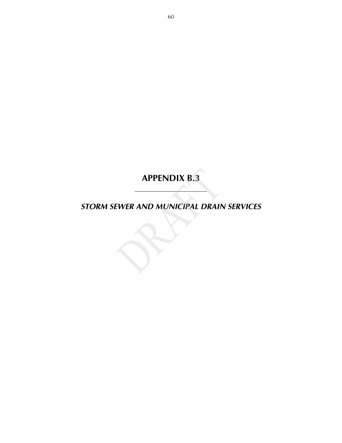*STORM SEWER AND MUNICIPAL DRAIN SERVICES*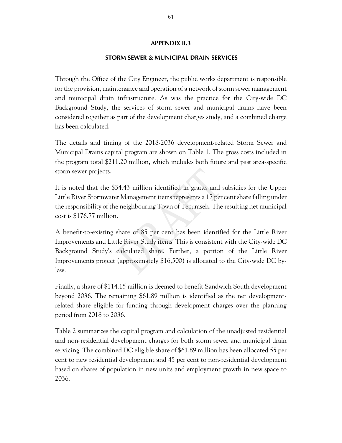## **STORM SEWER & MUNICIPAL DRAIN SERVICES**

Through the Office of the City Engineer, the public works department is responsible for the provision, maintenance and operation of a network of storm sewer management and municipal drain infrastructure. As was the practice for the City-wide DC Background Study, the services of storm sewer and municipal drains have been considered together as part of the development charges study, and a combined charge has been calculated.

The details and timing of the 2018-2036 development-related Storm Sewer and Municipal Drains capital program are shown on Table 1. The gross costs included in the program total \$211.20 million, which includes both future and past area-specific storm sewer projects.

It is noted that the \$34.43 million identified in grants and subsidies for the Upper Little River Stormwater Management items represents a 17 per cent share falling under the responsibility of the neighbouring Town of Tecumseh. The resulting net municipal cost is \$176.77 million.

A benefit-to-existing share of 85 per cent has been identified for the Little River Improvements and Little River Study items. This is consistent with the City-wide DC Background Study's calculated share. Further, a portion of the Little River Improvements project (approximately \$16,500) is allocated to the City-wide DC bylaw.

Finally, a share of \$114.15 million is deemed to benefit Sandwich South development beyond 2036. The remaining \$61.89 million is identified as the net developmentrelated share eligible for funding through development charges over the planning period from 2018 to 2036.

Table 2 summarizes the capital program and calculation of the unadjusted residential and non-residential development charges for both storm sewer and municipal drain servicing. The combined DC eligible share of \$61.89 million has been allocated 55 per cent to new residential development and 45 per cent to non-residential development based on shares of population in new units and employment growth in new space to 2036.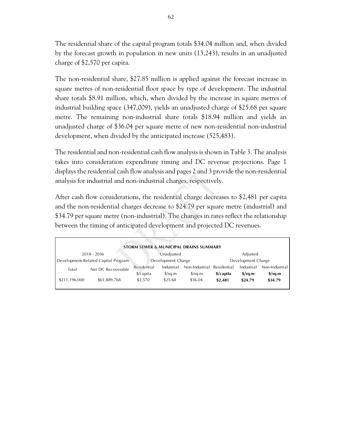The residential share of the capital program totals \$34.04 million and, when divided by the forecast growth in population in new units (13,243), results in an unadjusted charge of \$2,570 per capita.

The non-residential share, \$27.85 million is applied against the forecast increase in square metres of non-residential floor space by type of development. The industrial share totals \$8.91 million, which, when divided by the increase in square metres of industrial building space (347,009), yields an unadjusted charge of \$25.68 per square metre. The remaining non-industrial share totals \$18.94 million and yields an unadjusted charge of \$36.04 per square metre of new non-residential non-industrial development, when divided by the anticipated increase (525,483).

The residential and non-residential cash flow analysis is shown in Table 3. The analysis takes into consideration expenditure timing and DC revenue projections. Page 1 displays the residential cash flow analysis and pages 2 and 3 provide the non-residential analysis for industrial and non-industrial charges, respectively.

After cash flow considerations, the residential charge decreases to \$2,481 per capita and the non-residential charges decrease to \$24.79 per square metre (industrial) and \$34.79 per square metre (non-industrial). The changes in rates reflect the relationship between the timing of anticipated development and projected DC revenues.

|               |                                     |                      |                      | <b>STORM SEWER &amp; MUNICIPAL DRAINS SUMMARY</b> |             |                                  |                                  |
|---------------|-------------------------------------|----------------------|----------------------|---------------------------------------------------|-------------|----------------------------------|----------------------------------|
|               | 2018 - 2036                         |                      | Unadjusted           |                                                   |             | Adjusted                         |                                  |
|               | Development-Related Capital Program |                      | Development Charge   |                                                   |             | Development Charge               |                                  |
| Total         | Net DC Recoverable                  | Residential          | Industrial           | Non-Industrial                                    | Residential | Industrial                       | Non-Industrial                   |
|               |                                     | $\frac{1}{2}$ capita | $\frac{\sqrt{2}}{2}$ | $\frac{\sqrt{2}}{2}$                              | \$/capita   | $\frac{\text{S}}{\text{S}}$ sq.m | $\frac{\text{S}}{\text{S}}$ sq.m |
| \$211,196,000 | \$61,889,768                        | \$2,570              | \$25.68              | \$36.04                                           | \$2,481     | \$24.79                          | \$34.79                          |
|               |                                     |                      |                      |                                                   |             |                                  |                                  |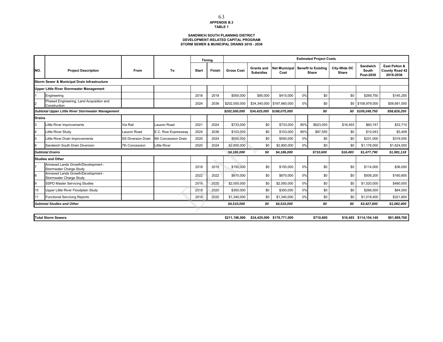#### **SANDWICH SOUTH PLANNING DISTRICT DEVELOPMENT-RELATED CAPITAL PROGRAM STORM SEWER & MUNICIPAL DRAINS 2018 - 2036**

|               |                                                               |                           |                      |              | Timina |                   |                                       |                              |     | <b>Estimated Project Costs</b>      |                       |                                |                                              |
|---------------|---------------------------------------------------------------|---------------------------|----------------------|--------------|--------|-------------------|---------------------------------------|------------------------------|-----|-------------------------------------|-----------------------|--------------------------------|----------------------------------------------|
| NO.           | <b>Project Description</b>                                    | From                      | To                   | <b>Start</b> | Finish | <b>Gross Cost</b> | <b>Grants and</b><br><b>Subsidies</b> | <b>Net Municipal</b><br>Cost |     | <b>Benefit to Existing</b><br>Share | City-Wide DC<br>Share | Sandwich<br>South<br>Post-2036 | East Pelton &<br>County Road 42<br>2018-2036 |
|               | Storm Sewer & Municipal Drain Infrastructure                  |                           |                      |              |        |                   |                                       |                              |     |                                     |                       |                                |                                              |
|               | <b>Upper Little River Stormwater Management</b>               |                           |                      |              |        |                   |                                       |                              |     |                                     |                       |                                |                                              |
|               | Engineering                                                   |                           |                      | 2018         | 2018   | \$500,000         | \$85,000                              | \$415,000                    | 0%  | \$0                                 | \$0                   | \$269.750                      | \$145,250                                    |
| I2            | Phased Engineering, Land Acquisition and<br>Construction      |                           |                      | 2024         | 2036   | \$202,000,000     |                                       | \$34,340,000 \$167,660,000   | 0%  | \$0                                 |                       | \$0 \$108,979,000              | \$58,681,000                                 |
|               | Subtotal Upper Little River Stormwater Management             |                           |                      |              |        | \$202,500,000     |                                       | \$34,425,000 \$168,075,000   |     | \$0                                 |                       | \$0 \$109,248,750              | \$58,826,250                                 |
| <b>Drains</b> |                                                               |                           |                      |              |        |                   |                                       |                              |     |                                     |                       |                                |                                              |
| 3             | Little River Improvements                                     | Via Rail                  | Lauzon Road          | 2021         | 2024   | \$733,000         | \$0                                   | \$733,000                    | 85% | \$623,050                           | \$16,493              | \$60,747                       | \$32,710                                     |
| 4             | Little River Study                                            | Lauzon Road               | E.C. Row Expressway  | 2024         | 2036   | \$103,000         | \$0                                   | \$103,000                    | 85% | \$87,550                            | \$0                   | \$10,043                       | \$5,408                                      |
| 5             | Little River Drain Improvements                               | <b>SS Diversion Drain</b> | 6th Concession Drain | 2020         | 2024   | \$550,000         | \$0                                   | \$550,000                    | 0%  | \$0                                 | \$0                   | \$231,000                      | \$319,000                                    |
| 6             | Sandwich South Drain Diversion                                | 7th Concession            | <b>Little River</b>  | 2020         | 2024   | \$2,800,000       | \$0                                   | \$2,800,000                  | 0%  | \$0                                 | \$0                   | \$1,176,000                    | \$1,624,000                                  |
|               | <b>Subtotal Drains</b>                                        |                           |                      |              |        | \$4,186,000       | \$0                                   | \$4,186,000                  |     | \$710,600                           | \$16,493              | \$1,477,790                    | \$1,981,118                                  |
|               | <b>Studies and Other</b>                                      |                           |                      |              |        |                   |                                       |                              |     |                                     |                       |                                |                                              |
|               | Annexed Lands Growth/Development -<br>Stormwater Charge Study |                           |                      | 2018         | 2018   | \$150,000         | \$0                                   | \$150,000                    | 0%  | \$0                                 | \$0                   | \$114,000                      | \$36,000                                     |
| 8             | Annexed Lands Growth/Development -<br>Stormwater Charge Study |                           |                      | 2022         | 2022   | \$670,000         | \$0                                   | \$670,000                    | 0%  | \$0                                 | \$0                   | \$509,200                      | \$160,800                                    |
| 9             | SSPD Master Servicing Studies                                 |                           |                      | 2018         | 2020   | \$2,000,000       | \$0                                   | \$2,000,000                  | 0%  | \$0                                 | \$0                   | \$1,520,000                    | \$480,000                                    |
| 10            | Upper Little River Floodplain Study                           |                           |                      | 2018         | 2020   | \$350,000         | \$0                                   | \$350,000                    | 0%  | \$0                                 | \$0                   | \$266,000                      | \$84,000                                     |
|               | <b>Functional Servicing Reports</b>                           |                           |                      | 2018         | 2020   | \$1,340,000       | \$0                                   | \$1,340,000                  | 0%  | \$0                                 | \$0                   | \$1,018,400                    | \$321,600                                    |
|               | <b>Subtotal Studies and Other</b>                             |                           |                      |              |        | \$4,510,000       | \$0                                   | \$4,510,000                  |     | \$0                                 | \$0                   | \$3,427,600                    | \$1,082,400                                  |
|               |                                                               |                           |                      |              |        |                   |                                       |                              |     |                                     |                       |                                |                                              |
|               | <b>Total Storm Sewers</b>                                     |                           |                      |              |        | \$211.196.000     |                                       | \$34,425,000 \$176,771,000   |     | \$710,600                           |                       | \$16.493 \$114.154.140         | \$61,889,768                                 |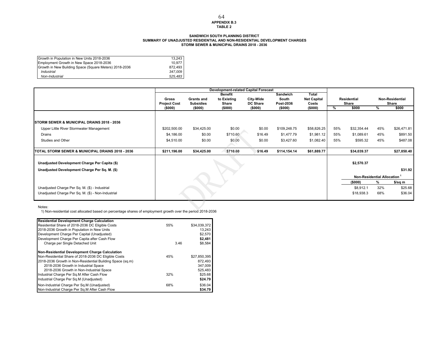#### **APPENDIX B.3 TABLE 2** 64

#### **SANDWICH SOUTH PLANNING DISTRICT SUMMARY OF UNADJUSTED RESIDENTIAL AND NON-RESIDENTIAL DEVELOPMENT CHARGES STORM SEWER & MUNICIPAL DRAINS 2018 - 2036**

| Growth in Population in New Units 2018-2036            | 13.243  |
|--------------------------------------------------------|---------|
| Employment Growth in New Space 2018-2036               | 10.977  |
| Growth in New Building Space (Square Meters) 2018-2036 | 872.493 |
| Industrial                                             | 347.009 |
| Non-Industrial                                         | 525.483 |

|                                                        |                     |                   | <b>Development-related Capital Forecast</b> |                  |                   |                             |      |                            |     |                        |
|--------------------------------------------------------|---------------------|-------------------|---------------------------------------------|------------------|-------------------|-----------------------------|------|----------------------------|-----|------------------------|
|                                                        | Gross               | <b>Grants and</b> | <b>Benefit</b><br>to Existing               | <b>City-Wide</b> | Sandwich<br>South | Total<br><b>Net Capital</b> |      | <b>Residential</b>         |     | <b>Non-Residential</b> |
|                                                        | <b>Project Cost</b> | <b>Subsidies</b>  | Share                                       | <b>DC Share</b>  | Post-2036         | Costs                       |      | Share                      |     | Share                  |
|                                                        | (\$000)             | (\$000)           | (5000)                                      | (\$000)          | (\$000)           | (\$000)                     | $\%$ | \$000                      | %   | \$000                  |
|                                                        |                     |                   |                                             |                  |                   |                             |      |                            |     |                        |
| <b>ISTORM SEWER &amp; MUNICIPAL DRAINS 2018 - 2036</b> |                     |                   |                                             |                  |                   |                             |      |                            |     |                        |
| Upper Little River Stormwater Management               | \$202,500.00        | \$34,425.00       | \$0.00                                      | \$0.00           | \$109,248.75      | \$58,826.25                 | 55%  | \$32,354.44                | 45% | \$26,471.81            |
| Drains                                                 | \$4,186.00          | \$0.00            | \$710.60                                    | \$16.49          | \$1,477.79        | \$1,981.12                  | 55%  | \$1,089.61                 | 45% | \$891.50               |
| Studies and Other                                      | \$4,510.00          | \$0.00            | \$0.00                                      | \$0.00           | \$3,427.60        | \$1,082.40                  | 55%  | \$595.32                   | 45% | \$487.08               |
|                                                        |                     |                   |                                             |                  |                   |                             |      |                            |     |                        |
| TOTAL STORM SEWER & MUNICIPAL DRAINS 2018 - 2036       | \$211,196.00        | \$34,425.00       | \$710.60                                    | \$16.49          | \$114,154.14      | \$61,889.77                 |      | \$34,039.37                |     | \$27,850.40            |
|                                                        |                     |                   |                                             |                  |                   |                             |      | \$2,570.37                 |     |                        |
| Unadjusted Development Charge Per Capita (\$)          |                     |                   |                                             |                  |                   |                             |      |                            |     |                        |
| Unadjusted Development Charge Per Sq. M. (\$)          |                     |                   |                                             |                  |                   |                             |      |                            |     | \$31.92                |
|                                                        |                     |                   |                                             |                  |                   |                             |      | Non-Residential Allocation |     |                        |
|                                                        |                     |                   |                                             |                  |                   |                             |      | (5000)                     | %   | \$/sq m                |
| Unadjusted Charge Per Sq. M. (\$) - Industrial         |                     |                   |                                             |                  |                   |                             |      | \$8,912.1                  | 32% | \$25.68                |
| Unadjusted Charge Per Sq. M. (\$) - Non-Industrial     |                     |                   |                                             |                  |                   |                             |      | \$18,938.3                 | 68% | \$36.04                |
|                                                        |                     |                   |                                             |                  |                   |                             |      |                            |     |                        |

#### Notes:

1) Non-residential cost allocated based on percentage shares of employment growth over the period 2018-2036

| <b>Residential Development Charge Calculation</b>         |      |              |
|-----------------------------------------------------------|------|--------------|
| Residential Share of 2018-2036 DC Eligible Costs          | 55%  | \$34,039,372 |
| 2018-2036 Growth in Population in New Units               |      | 13.243       |
| Development Charge Per Capital (Unadjusted)               |      | \$2,570      |
| Development Charge Per Capita after Cash Flow             |      | \$2,481      |
| Charge per Single Detached Unit                           | 3.46 | \$8,584      |
| Non-Residential Development Charge Calculation            |      |              |
| Non-Residential Share of 2018-2036 DC Eligible Costs      | 45%  | \$27,850,395 |
| 2018-2036 Growth in Non-Residential Building Space (sq.m) |      | 872.493      |
| 2018-2036 Growth in Industrial Space                      |      | 347.009      |
| 2018-2036 Growth in Non-Industrial Space                  |      | 525,483      |
| Industrial Charge Per Sq.M After Cash Flow                | 32%  | \$25.68      |
| Industrial Charge Per Sq.M (Unadjusted)                   |      | \$24.79      |
| Non-Industrial Charge Per Sq.M (Unadjusted)               | 68%  | \$36.04      |
| Non-Industrial Charge Per Sq.M After Cash Flow            |      | \$34.79      |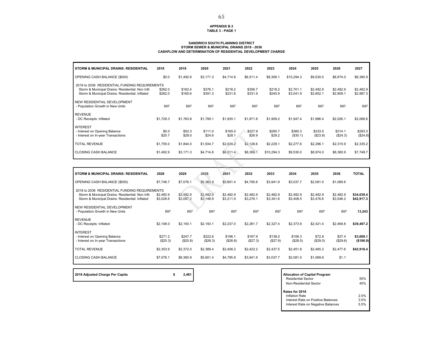#### **APPENDIX B.3TABLE 3 - PAGE 1**

#### **SANDWICH SOUTH PLANNING DISTRICT STORM SEWER & MUNICIPAL DRAINS 2018 - 2036CASHFLOW AND DETERMINATION OF RESIDENTIAL DEVELOPMENT CHARGE**

| <b>STORM &amp; MUNICIPAL DRAINS: RESIDENTIAL</b>                                                                                                     | 2018               | 2019               | 2020               | 2021               | 2022               | 2023               | 2024                   | 2025                   | 2026                   | 2027                   |
|------------------------------------------------------------------------------------------------------------------------------------------------------|--------------------|--------------------|--------------------|--------------------|--------------------|--------------------|------------------------|------------------------|------------------------|------------------------|
| OPENING CASH BALANCE (\$000)                                                                                                                         | \$0.0              | \$1,492.9          | \$3,171.3          | \$4,714.8          | \$6,511.4          | \$8,306.1          | \$10,294.3             | \$9,530.0              | \$8,974.0              | \$8,380.9              |
| 2018 to 2036 RESIDENTIAL FUNDING REQUIREMENTS<br>Storm & Municipal Drains: Residential: Non Infla<br>Storm & Municipal Drains: Residential: Inflated | \$262.0<br>\$262.0 | \$162.4<br>\$165.6 | \$376.1<br>\$391.3 | \$218.2<br>\$231.6 | \$306.7<br>\$331.9 | \$218.2<br>\$240.9 | \$2.701.1<br>\$3,041.9 | \$2,482.9<br>\$2,852.1 | \$2,482.9<br>\$2,909.1 | \$2,482.9<br>\$2,967.3 |
| NEW RESIDENTIAL DEVELOPMENT<br>- Population Growth in New Units                                                                                      | 697                | 697                | 697                | 697                | 697                | 697                | 697                    | 697                    | 697                    | 697                    |
| <b>REVENUE</b><br>- DC Receipts: Inflated                                                                                                            | \$1,729.3          | \$1,763.8          | \$1,799.1          | \$1,835.1          | \$1,871.8          | \$1,909.2          | \$1,947.4              | \$1,986.4              | \$2,026.1              | \$2,066.6              |
| <b>INTEREST</b><br>- Interest on Opening Balance<br>- Interest on In-year Transactions                                                               | \$0.0<br>\$25.7    | \$52.3<br>\$28.0   | \$111.0<br>\$24.6  | \$165.0<br>\$28.1  | \$227.9<br>\$26.9  | \$290.7<br>\$29.2  | \$360.3<br>(\$30.1)    | \$333.5<br>(\$23.8)    | \$314.1<br>(\$24.3)    | \$293.3<br>(\$24.8)    |
| <b>TOTAL REVENUE</b>                                                                                                                                 | \$1,755.0          | \$1,844.0          | \$1,934.7          | \$2,028.2          | \$2,126.6          | \$2,229.1          | \$2,277.6              | \$2,296.1              | \$2,315.9              | \$2,335.2              |
| <b>CLOSING CASH BALANCE</b>                                                                                                                          | \$1,492.9          | \$3.171.3          | \$4,714.8          | \$6,511.4          | \$8,306.1          | \$10,294.3         | \$9,530.0              | \$8,974.0              | \$8,380.9              | \$7,748.7              |

| 2028                                          | 2029                   | 2030                   | 2031                   | 2032                   | 2033                   | 2034                   | 2035                   | 2036                   | <b>TOTAL</b>             |
|-----------------------------------------------|------------------------|------------------------|------------------------|------------------------|------------------------|------------------------|------------------------|------------------------|--------------------------|
| \$7,748.7                                     | \$7,076.1              | \$6,360.9              | \$5,601.4              | \$4,795.8              | \$3,941.9              | \$3,037.7              | \$2,081.0              | \$1,069.6              |                          |
| 2018 to 2036 RESIDENTIAL FUNDING REQUIREMENTS |                        |                        |                        |                        |                        |                        |                        |                        |                          |
| \$2,482.9<br>\$3,026.6                        | \$2,482.9<br>\$3,087.2 | \$2,482.9<br>\$3,148.9 | \$2,482.9<br>\$3,211.9 | \$2,482.9<br>\$3,276.1 | \$2,482.9<br>\$3,341.6 | \$2,482.9<br>\$3,408.5 | \$2,482.9<br>\$3,476.6 | \$2,482.9<br>\$3,546.2 | \$34,039.4<br>\$42,917.3 |
| 697                                           | 697                    | 697                    | 697                    | 697                    | 697                    | 697                    | 697                    | 697                    | 13,243                   |
|                                               |                        |                        |                        |                        |                        |                        |                        |                        |                          |
| \$2,108.0                                     | \$2,150.1              | \$2,193.1              | \$2,237.0              | \$2,281.7              | \$2,327.4              | \$2,373.9              | \$2,421.4              | \$2,469.8              | \$39,497.2               |
|                                               |                        |                        |                        |                        |                        |                        |                        |                        |                          |
| \$271.2<br>(\$25.3)                           | \$247.7<br>(\$25.8)    | \$222.6<br>(\$26.3)    | \$196.1<br>(\$26.8)    | \$167.9<br>(\$27.3)    | \$138.0<br>(\$27.9)    | \$106.3<br>(\$28.5)    | \$72.8<br>(\$29.0)     | \$37.4<br>(\$29.6)     | \$3,608.1<br>(\$186.9)   |
| \$2,353.9                                     | \$2,372.0              | \$2,389.4              | \$2,406.2              | \$2,422.2              | \$2,437.5              | \$2,451.8              | \$2,465.2              | \$2,477.6              | \$42,918.4               |
| \$7,076.1                                     | \$6,360.9              | \$5,601.4              | \$4,795.8              | \$3,941.9              | \$3,037.7              | \$2,081.0              | \$1,069.6              | \$1.1                  |                          |
|                                               |                        |                        |                        |                        |                        |                        |                        |                        |                          |

**2018 Adjusted Charge Per Capita 12,481** 

## Residential Sector 55%55%<br>45% Non-Residential Sector **Rates for 2018**Inflation Rate Inflation Rate 2.0% Interest Rate on Positive Balances 3.5% Interest Rate on Negative Balances 5.5%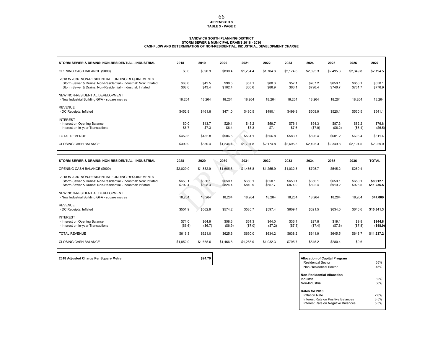#### **APPENDIX B.3 TABLE 3 - PAGE 2** 66

#### **SANDWICH SOUTH PLANNING DISTRICT STORM SEWER & MUNICIPAL DRAINS 2018 - 2036CASHFLOW AND DETERMINATION OF NON-RESIDENTIAL: INDUSTRIAL DEVELOPMENT CHARGE**

| STORM SEWER & DRAINS: NON-RESIDENTIAL - INDUSTRIAL                                                                                                                                     | 2018               | 2019               | 2020               | 2021               | 2022               | 2023               | 2024               | 2025               | 2026               | 2027                    |
|----------------------------------------------------------------------------------------------------------------------------------------------------------------------------------------|--------------------|--------------------|--------------------|--------------------|--------------------|--------------------|--------------------|--------------------|--------------------|-------------------------|
| OPENING CASH BALANCE (\$000)                                                                                                                                                           | \$0.0              | \$390.9            | \$830.4            | \$1.234.4          | \$1,704.8          | \$2.174.8          | \$2,695.3          | \$2.495.3          | \$2,349.8          | \$2,194.5               |
| 2018 to 2036 NON-RESIDENTIAL FUNDING REQUIREMENTS<br>Storm Sewer & Drains: Non-Residential - Industrial: Non: Inflated<br>Storm Sewer & Drains: Non-Residential - Industrial: Inflated | \$68.6<br>\$68.6   | \$42.5<br>\$43.4   | \$98.5<br>\$102.4  | \$57.1<br>\$60.6   | \$80.3<br>\$86.9   | \$57.1<br>\$63.1   | \$707.2<br>\$796.4 | \$650.1<br>\$746.7 | \$650.1<br>\$761.7 | \$650.1<br>\$776.9      |
| NEW NON-RESIDENTIAL DEVELOPMENT<br>- New Industrial Building GFA - square metres                                                                                                       | 18,264             | 18,264             | 18,264             | 18,264             | 18,264             | 18,264             | 18,264             | 18,264             | 18,264             | 18,264                  |
| <b>REVENUE</b><br>- DC Receipts: Inflated                                                                                                                                              | \$452.8            | \$461.8            | \$471.0            | \$480.5            | \$490.1            | \$499.9            | \$509.9            | \$520.1            | \$530.5            | \$541.1                 |
| <b>INTEREST</b><br>- Interest on Opening Balance<br>- Interest on In-year Transactions                                                                                                 | \$0.0<br>\$6.7     | \$13.7<br>\$7.3    | \$29.1<br>\$6.4    | \$43.2<br>\$7.3    | \$59.7<br>\$7.1    | \$76.1<br>\$7.6    | \$94.3<br>(\$7.9)  | \$87.3<br>(\$6.2)  | \$82.2<br>(\$6.4)  | \$76.8<br>(\$6.5)       |
| <b>TOTAL REVENUE</b>                                                                                                                                                                   | \$459.5            | \$482.8            | \$506.5            | \$531.1            | \$556.8            | \$583.7            | \$596.4            | \$601.2            | \$606.4            | \$611.4                 |
| <b>CLOSING CASH BALANCE</b>                                                                                                                                                            | \$390.9            | \$830.4            | \$1,234.4          | \$1,704.8          | \$2,174.8          | \$2,695.3          | \$2,495.3          | \$2,349.8          | \$2.194.5          | \$2,029.0               |
|                                                                                                                                                                                        |                    |                    |                    |                    |                    |                    |                    |                    |                    |                         |
|                                                                                                                                                                                        |                    |                    |                    |                    |                    |                    |                    |                    |                    |                         |
| STORM SEWER & DRAINS: NON-RESIDENTIAL - INDUSTRIAL                                                                                                                                     | 2028               | 2029               | 2030               | 2031               | 2032               | 2033               | 2034               | 2035               | 2036               | <b>TOTAL</b>            |
| OPENING CASH BALANCE (\$000)                                                                                                                                                           | \$2,029.0          | \$1,852.9          | \$1,665.6          | \$1,466.8          | \$1,255.9          | \$1.032.3          | \$795.7            | \$545.2            | \$280.4            |                         |
| 2018 to 2036 NON-RESIDENTIAL FUNDING REQUIREMENTS<br>Storm Sewer & Drains: Non-Residential - Industrial: Non: Inflated<br>Storm Sewer & Drains: Non-Residential - Industrial: Inflated | \$650.1<br>\$792.4 | \$650.1<br>\$808.3 | \$650.1<br>\$824.4 | \$650.1<br>\$840.9 | \$650.1<br>\$857.7 | \$650.1<br>\$874.9 | \$650.1<br>\$892.4 | \$650.1<br>\$910.2 | \$650.1<br>\$928.5 | \$8,912.1<br>\$11,236.5 |
| NEW NON-RESIDENTIAL DEVELOPMENT<br>- New Industrial Building GFA - square metres                                                                                                       | 18,264             | 18,264             | 18,264             | 18.264             | 18,264             | 18.264             | 18,264             | 18.264             | 18,264             | 347,009                 |
| <b>REVENUE</b><br>- DC Receipts: Inflated                                                                                                                                              | \$551.9            | \$562.9            | \$574.2            | \$585.7            | \$597.4            | \$609.4            | \$621.5            | \$634.0            | \$646.6            | \$10,341.3              |
| <b>INTEREST</b><br>- Interest on Opening Balance<br>- Interest on In-year Transactions                                                                                                 | \$71.0<br>(\$6.6)  | \$64.9<br>(\$6.7)  | \$58.3<br>(\$6.9)  | \$51.3<br>(\$7.0)  | \$44.0<br>(\$7.2)  | \$36.1<br>(\$7.3)  | \$27.8<br>(\$7.4)  | \$19.1<br>(\$7.6)  | \$9.8<br>(\$7.8)   | \$944.8<br>( \$48.9)    |
| <b>TOTAL REVENUE</b>                                                                                                                                                                   | \$616.3            | \$621.0            | \$625.6            | \$630.0            | \$634.2            | \$638.2            | \$641.9            | \$645.5            | \$648.7            | \$11,237.2              |

2018 Adjusted Charge Per Square Metre **<b>Allocation of Capital Program \$24.79 Allocation of Capital Program** 

Residential Sector 55% $r \hspace{1.5cm} 45\%$ Non-Residential Sector**Non-Residential Allocation**Industrial 32%**1** Non-Industrial**Rates for 2018** Inflation Rate 2.0% 3.5%Interest Rate on Positive Balances5.5% Interest Rate on Negative Balances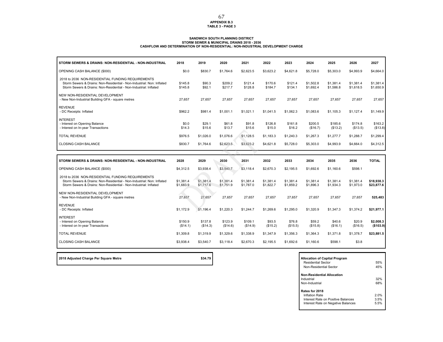# **APPENDIX B.3 TABLE 3 - PAGE 3** 67

# SANDWICH SOUTH PLANNING DISTRICT<br>STORM SEWER & MUNICIPAL DRAINS 2018 - 2036<br>CASHFLOW AND DETERMINATION OF NON-RESIDENTIAL: NON-INDUSTRIAL DEVELOPMENT CHARGE

| STORM SEWERS & DRAINS: NON-RESIDENTIAL - NON-INDUSTRIAL                                                                                                                                          | 2018                   | 2019                   | 2020                   | 2021                   | 2022                   | 2023                   | 2024                   | 2025                   | 2026                   | 2027                     |
|--------------------------------------------------------------------------------------------------------------------------------------------------------------------------------------------------|------------------------|------------------------|------------------------|------------------------|------------------------|------------------------|------------------------|------------------------|------------------------|--------------------------|
| OPENING CASH BALANCE (\$000)                                                                                                                                                                     | \$0.0                  | \$830.7                | \$1,764.6              | \$2,623.5              | \$3,623.2              | \$4,621.8              | \$5,728.0              | \$5,303.0              | \$4,993.9              | \$4,664.0                |
| 2018 to 2036 NON-RESIDENTIAL FUNDING REQUIREMENTS<br>Storm Sewers & Drains: Non-Residential - Non-Industrial: Non: Inflated<br>Storm Sewers & Drains: Non-Residential - Non-Industrial: Inflated | \$145.8<br>\$145.8     | \$90.3<br>\$92.1       | \$209.2<br>\$217.7     | \$121.4<br>\$128.8     | \$170.6<br>\$184.7     | \$121.4<br>\$134.1     | \$1,502.8<br>\$1,692.4 | \$1,381.4<br>\$1,586.8 | \$1,381.4<br>\$1,618.5 | \$1,381.4<br>\$1,650.9   |
| NEW NON-RESIDENTIAL DEVELOPMENT<br>- New Non-Industrial Building GFA - square metres                                                                                                             | 27,657                 | 27,657                 | 27,657                 | 27,657                 | 27,657                 | 27,657                 | 27,657                 | 27,657                 | 27,657                 | 27,657                   |
| <b>REVENUE</b><br>- DC Receipts: Inflated                                                                                                                                                        | \$962.2                | \$981.4                | \$1,001.1              | \$1,021.1              | \$1,041.5              | \$1,062.3              | \$1,083.6              | \$1,105.3              | \$1,127.4              | \$1,149.9                |
| <b>INTEREST</b><br>- Interest on Opening Balance<br>- Interest on In-year Transactions                                                                                                           | \$0.0<br>\$14.3        | \$29.1<br>\$15.6       | \$61.8<br>\$13.7       | \$91.8<br>\$15.6       | \$126.8<br>\$15.0      | \$161.8<br>\$16.2      | \$200.5<br>(\$16.7)    | \$185.6<br>(\$13.2)    | \$174.8<br>(\$13.5)    | \$163.2<br>(\$13.8)      |
| <b>TOTAL REVENUE</b>                                                                                                                                                                             | \$976.5                | \$1,026.0              | \$1,076.6              | \$1,128.5              | \$1.183.3              | \$1,240.3              | \$1,267.3              | \$1,277.7              | \$1,288.7              | \$1,299.4                |
| <b>CLOSING CASH BALANCE</b>                                                                                                                                                                      | \$830.7                | \$1,764.6              | \$2,623.5              | \$3,623.2              | \$4,621.8              | \$5,728.0              | \$5,303.0              | \$4,993.9              | \$4,664.0              | \$4,312.5                |
|                                                                                                                                                                                                  |                        |                        |                        |                        |                        |                        |                        |                        |                        |                          |
|                                                                                                                                                                                                  |                        |                        |                        |                        |                        |                        |                        |                        |                        |                          |
| STORM SEWERS & DRAINS: NON-RESIDENTIAL - NON-INDUSTRIAL                                                                                                                                          | 2028                   | 2029                   | 2030                   | 2031                   | 2032                   | 2033                   | 2034                   | 2035                   | 2036                   | <b>TOTAL</b>             |
| OPENING CASH BALANCE (\$000)                                                                                                                                                                     | \$4,312.5              | \$3,938.4              | \$3,540.7              | \$3.118.4              | \$2,670.3              | \$2,195.5              | \$1,692.6              | \$1,160.6              | \$598.1                |                          |
| 2018 to 2036 NON-RESIDENTIAL FUNDING REQUIREMENTS<br>Storm Sewers & Drains: Non-Residential - Non-Industrial: Non: Inflated<br>Storm Sewers & Drains: Non-Residential - Non-Industrial: Inflated | \$1,381.4<br>\$1,683.9 | \$1,381.4<br>\$1,717.6 | \$1,381.4<br>\$1,751.9 | \$1,381.4<br>\$1,787.0 | \$1,381.4<br>\$1,822.7 | \$1,381.4<br>\$1,859.2 | \$1,381.4<br>\$1,896.3 | \$1,381.4<br>\$1,934.3 | \$1,381.4<br>\$1,973.0 | \$18,938.3<br>\$23,877.6 |
| NEW NON-RESIDENTIAL DEVELOPMENT<br>- New Non-Industrial Building GFA - square metres                                                                                                             | 27,657                 | 27,657                 | 27,657                 | 27,657                 | 27,657                 | 27,657                 | 27,657                 | 27,657                 | 27,657                 | 525,483                  |
| <b>REVENUE</b><br>- DC Receipts: Inflated                                                                                                                                                        | \$1,172.9              | \$1,196.4              | \$1,220.3              | \$1,244.7              | \$1,269.6              | \$1,295.0              | \$1,320.9              | \$1,347.3              | \$1,374.2              | \$21,977.1               |
| <b>INTEREST</b><br>- Interest on Opening Balance<br>- Interest on In-year Transactions                                                                                                           | \$150.9<br>(\$14.1)    | \$137.8<br>(\$14.3)    | \$123.9<br>(\$14.6)    | \$109.1<br>(\$14.9)    | \$93.5<br>(\$15.2)     | \$76.8<br>(\$15.5)     | \$59.2<br>(\$15.8)     | \$40.6<br>(\$16.1)     | \$20.9<br>(\$16.5)     | \$2,008.3<br>( \$103.9)  |
| <b>TOTAL REVENUE</b>                                                                                                                                                                             | \$1,309.8              | \$1,319.9              | \$1,329.6              | \$1,338.9              | \$1,347.9              | \$1,356.3              | \$1,364.3              | \$1,371.8              | \$1,378.7              | \$23,881.5               |

| 2018 Adjusted Charge Per Square Metre | \$34.79 | <b>Allocation of Capital Program</b> |
|---------------------------------------|---------|--------------------------------------|
|                                       |         |                                      |

Г

| <b>Allocation of Capital Program</b><br>Residential Sector<br>Non-Residential Sector                         | 55%<br>45%           |
|--------------------------------------------------------------------------------------------------------------|----------------------|
| <b>Non-Residential Allocation</b><br>Industrial<br>Non-Industrial                                            | 32%<br>68%           |
| Rates for 2018<br>Inflation Rate<br>Interest Rate on Positive Balances<br>Interest Rate on Negative Balances | 2.0%<br>3.5%<br>5.5% |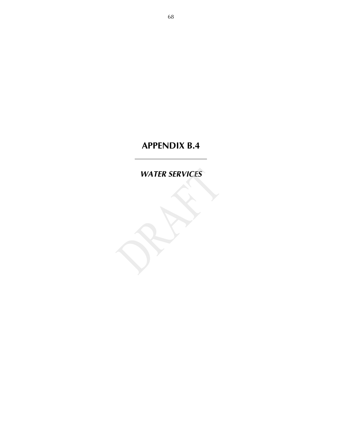*WATER SERVICES*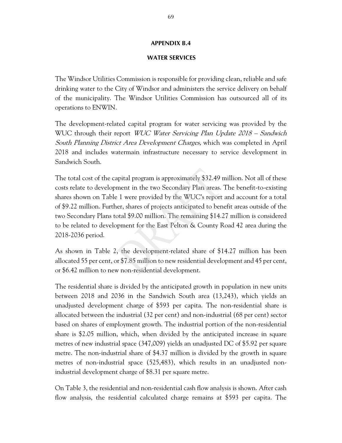## **WATER SERVICES**

The Windsor Utilities Commission is responsible for providing clean, reliable and safe drinking water to the City of Windsor and administers the service delivery on behalf of the municipality. The Windsor Utilities Commission has outsourced all of its operations to ENWIN.

The development-related capital program for water servicing was provided by the WUC through their report *WUC Water Servicing Plan Update 2018 – Sandwich* South Planning District Area Development Charges, which was completed in April 2018 and includes watermain infrastructure necessary to service development in Sandwich South.

The total cost of the capital program is approximately \$32.49 million. Not all of these costs relate to development in the two Secondary Plan areas. The benefit-to-existing shares shown on Table 1 were provided by the WUC's report and account for a total of \$9.22 million. Further, shares of projects anticipated to benefit areas outside of the two Secondary Plans total \$9.00 million. The remaining \$14.27 million is considered to be related to development for the East Pelton & County Road 42 area during the 2018-2036 period.

As shown in Table 2, the development-related share of \$14.27 million has been allocated 55 per cent, or \$7.85 million to new residential development and 45 per cent, or \$6.42 million to new non-residential development.

The residential share is divided by the anticipated growth in population in new units between 2018 and 2036 in the Sandwich South area (13,243), which yields an unadjusted development charge of \$593 per capita. The non-residential share is allocated between the industrial (32 per cent) and non-industrial (68 per cent) sector based on shares of employment growth. The industrial portion of the non-residential share is \$2.05 million, which, when divided by the anticipated increase in square metres of new industrial space (347,009) yields an unadjusted DC of \$5.92 per square metre. The non-industrial share of \$4.37 million is divided by the growth in square metres of non-industrial space (525,483), which results in an unadjusted nonindustrial development charge of \$8.31 per square metre.

On Table 3, the residential and non-residential cash flow analysis is shown. After cash flow analysis, the residential calculated charge remains at \$593 per capita. The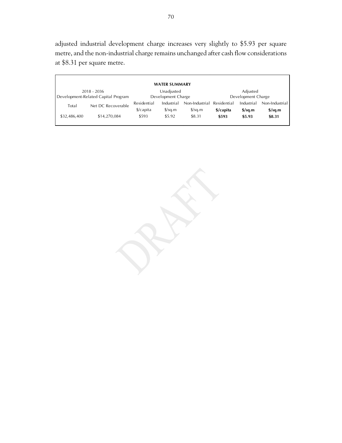adjusted industrial development charge increases very slightly to \$5.93 per square metre, and the non-industrial charge remains unchanged after cash flow considerations at \$8.31 per square metre.

|              |                                                      |                                     | <b>WATER SUMMARY</b>               |                                        |                                |                                  |                                                    |  |  |
|--------------|------------------------------------------------------|-------------------------------------|------------------------------------|----------------------------------------|--------------------------------|----------------------------------|----------------------------------------------------|--|--|
|              | $2018 - 2036$<br>Development-Related Capital Program |                                     | Unadjusted<br>Development Charge   |                                        | Adjusted<br>Development Charge |                                  |                                                    |  |  |
| Total        | Net DC Recoverable                                   | Residential<br>$\frac{2}{2}$ capita | Industrial<br>$\frac{\sqrt{2}}{2}$ | Non-Industrial<br>$\frac{\sqrt{2}}{2}$ | Residential<br>\$/capita       | Industrial<br>$\frac{1}{2}$ sq.m | Non-Industrial<br>$\frac{\text{S}}{\text{S}}$ sq.m |  |  |
| \$32,486,400 | \$14,270,084                                         | \$593                               | \$5.92                             | \$8.31                                 | \$593                          | \$5.93                           | \$8.31                                             |  |  |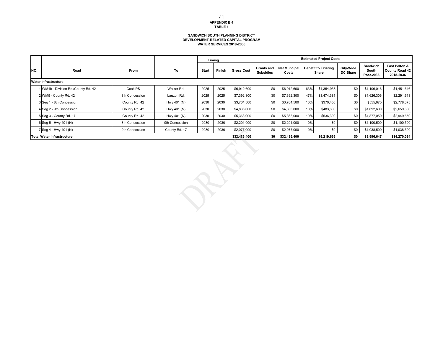### **SANDWICH SOUTH PLANNING DISTRICT DEVELOPMENT-RELATED CAPITAL PROGRAM WATER SERVICES 2018-2036**

|                                                                                                               |                                     |                |                |              | Timing |                   |                                | <b>Estimated Project Costs</b> |     |                                     |                              |                                |                                                     |  |
|---------------------------------------------------------------------------------------------------------------|-------------------------------------|----------------|----------------|--------------|--------|-------------------|--------------------------------|--------------------------------|-----|-------------------------------------|------------------------------|--------------------------------|-----------------------------------------------------|--|
| INO.                                                                                                          | Road                                | <b>From</b>    | To             | <b>Start</b> | Finish | <b>Gross Cost</b> | Grants and<br><b>Subsidies</b> | <b>Net Muncipal</b><br>Costs   |     | <b>Benefit to Existing</b><br>Share | City-Wide<br><b>DC Share</b> | Sandwich<br>South<br>Post-2036 | East Pelton &<br><b>County Road 42</b><br>2018-2036 |  |
|                                                                                                               | Water Infrastructure                |                |                |              |        |                   |                                |                                |     |                                     |                              |                                |                                                     |  |
|                                                                                                               | 1 WM1b - Division Rd./County Rd. 42 | Cook PS        | Walker Rd.     | 2025         | 2025   | \$6,912,600       | \$0                            | \$6,912,600                    | 63% | \$4,354,938                         | \$0                          | \$1,106,016                    | \$1,451,646                                         |  |
|                                                                                                               | 2 WM5 - County Rd. 42               | 8th Concession | Lauzon Rd.     | 2025         | 2025   | \$7,392,300       | \$0                            | \$7,392,300                    | 47% | \$3,474,381                         | \$0                          | \$1,626,306                    | \$2,291,613                                         |  |
|                                                                                                               | 3 Seg 1 - 8th Concession            | County Rd. 42  | Hwy 401 (N)    | 2030         | 2030   | \$3,704,500       | \$0                            | \$3,704,500                    | 10% | \$370,450                           | \$0                          | \$555,675                      | \$2,778,375                                         |  |
|                                                                                                               | 4 Seg 2 - 9th Concession            | County Rd. 42  | Hwy 401 (N)    | 2030         | 2030   | \$4,836,000       | \$0                            | \$4,836,000                    | 10% | \$483,600                           | \$0                          | \$1,692,600                    | \$2,659,800                                         |  |
|                                                                                                               | 5 Seq 3 - County Rd. 17             | County Rd. 42  | Hwy 401 (N)    | 2030         | 2030   | \$5,363,000       | \$0                            | \$5,363,000                    | 10% | \$536,300                           | \$0                          | \$1,877,050                    | \$2,949,650                                         |  |
|                                                                                                               | 6 Seq 5 - Hwy 401 (N)               | 8th Concession | 9th Concession | 2030         | 2030   | \$2,201,000       | \$0                            | \$2,201,000                    | 0%  | \$0                                 | \$0                          | \$1,100,500                    | \$1,100,500                                         |  |
|                                                                                                               | 7 Seg 4 - Hwy 401 (N)               | 9th Concession | County Rd. 17  | 2030         | 2030   | \$2,077,000       | \$0                            | \$2,077,000                    | 0%  | \$0                                 | \$0                          | \$1,038,500                    | \$1.038.500                                         |  |
| <b>Total Water Infrastructure</b><br>\$0<br>\$32.486.400<br>\$0<br>\$8,996.647<br>\$32,486,400<br>\$9.219.669 |                                     |                |                |              |        |                   |                                |                                |     |                                     |                              | \$14.270.084                   |                                                     |  |

**APPENDIX B.4 TABLE 1** 71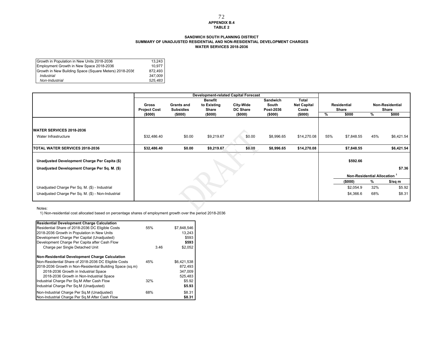### **APPENDIX B.4TABLE 2** 72

### **WATER SERVICES 2018-2036 SANDWICH SOUTH PLANNING DISTRICTSUMMARY OF UNADJUSTED RESIDENTIAL AND NON-RESIDENTIAL DEVELOPMENT CHARGES**

| Growth in Population in New Units 2018-2036            | 13.243  |
|--------------------------------------------------------|---------|
| Employment Growth in New Space 2018-2036               | 10.977  |
| Growth in New Building Space (Square Meters) 2018-2036 | 872.493 |
| Industrial                                             | 347.009 |
| Non-Industrial                                         | 525.483 |

|                                                    |                     |                   | <b>Development-related Capital Forecast</b> |                 |            |                    |     |                                   |     |                        |
|----------------------------------------------------|---------------------|-------------------|---------------------------------------------|-----------------|------------|--------------------|-----|-----------------------------------|-----|------------------------|
|                                                    |                     |                   | <b>Benefit</b>                              |                 | Sandwich   | Total              |     |                                   |     |                        |
|                                                    | <b>Gross</b>        | <b>Grants and</b> | to Existing                                 | City-Wide       | South      | <b>Net Capital</b> |     | Residential                       |     | <b>Non-Residential</b> |
|                                                    | <b>Project Cost</b> | <b>Subsidies</b>  | Share                                       | <b>DC Share</b> | Post-2036  | Costs              |     | Share                             |     | Share                  |
|                                                    | (\$000)             | (\$000)           | (\$000)                                     | (\$000)         | (\$000)    | (\$000)            | %   | \$000                             | %   | \$000                  |
|                                                    |                     |                   |                                             |                 |            |                    |     |                                   |     |                        |
| <b>IWATER SERVICES 2018-2036</b>                   |                     |                   |                                             |                 |            |                    |     |                                   |     |                        |
| Water Infrastructure                               | \$32,486.40         | \$0.00            | \$9,219.67                                  | \$0.00          | \$8,996.65 | \$14,270.08        | 55% | \$7,848.55                        | 45% | \$6,421.54             |
|                                                    |                     |                   |                                             |                 |            |                    |     |                                   |     |                        |
| TOTAL WATER SERVICES 2018-2036                     | \$32,486.40         | \$0.00            | \$9,219.67                                  | \$0.00          | \$8,996.65 | \$14,270.08        |     | \$7,848.55                        |     | \$6,421.54             |
| Unadjusted Development Charge Per Capita (\$)      |                     |                   |                                             |                 |            |                    |     | \$592.66                          |     |                        |
|                                                    |                     |                   |                                             |                 |            |                    |     |                                   |     |                        |
| Unadjusted Development Charge Per Sq. M. (\$)      |                     |                   |                                             |                 |            |                    |     |                                   |     | \$7.36                 |
|                                                    |                     |                   |                                             |                 |            |                    |     | <b>Non-Residential Allocation</b> |     |                        |
|                                                    |                     |                   |                                             |                 |            |                    |     | (\$000)                           | %   | \$/sq m                |
| Unadjusted Charge Per Sq. M. (\$) - Industrial     |                     |                   |                                             |                 |            |                    |     | \$2,054.9                         | 32% | \$5.92                 |
| Unadjusted Charge Per Sq. M. (\$) - Non-Industrial |                     |                   |                                             |                 |            |                    |     | \$4,366.6                         | 68% | \$8.31                 |
|                                                    |                     |                   |                                             |                 |            |                    |     |                                   |     |                        |

Notes:

1) Non-residential cost allocated based on percentage shares of employment growth over the period 2018-2036

| <b>Residential Development Charge Calculation</b>         |      |             |
|-----------------------------------------------------------|------|-------------|
| Residential Share of 2018-2036 DC Eligible Costs          | 55%  | \$7,848,546 |
| 2018-2036 Growth in Population in New Units               |      | 13,243      |
| Development Charge Per Capital (Unadjusted)               |      | \$593       |
| Development Charge Per Capita after Cash Flow             |      | \$593       |
| Charge per Single Detached Unit                           | 3.46 | \$2,052     |
| Non-Residential Development Charge Calculation            |      |             |
| Non-Residential Share of 2018-2036 DC Eligible Costs      | 45%  | \$6,421,538 |
| 2018-2036 Growth in Non-Residential Building Space (sq.m) |      | 872.493     |
| 2018-2036 Growth in Industrial Space                      |      | 347,009     |
| 2018-2036 Growth in Non-Industrial Space                  |      | 525.483     |
| Industrial Charge Per Sq.M After Cash Flow                | 32%  | \$5.92      |
| Industrial Charge Per Sq.M (Unadjusted)                   |      | \$5.93      |
| Non-Industrial Charge Per Sq.M (Unadjusted)               | 68%  | \$8.31      |
| Non-Industrial Charge Per Sq.M After Cash Flow            |      | \$8.31      |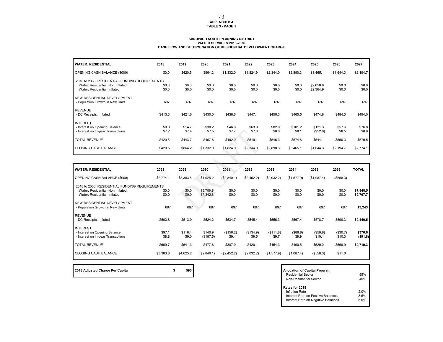### **APPENDIX B.4TABLE 3 - PAGE 1**

### **SANDWICH SOUTH PLANNING DISTRICT WATER SERVICES 2018-2036 CASHFLOW AND DETERMINATION OF RESIDENTIAL DEVELOPMENT CHARGE**

| <b>WATER: RESIDENTIAL</b>                                                                                         | 2018           | 2019            | 2020            | 2021            | 2022            | 2023            | 2024             | 2025                   | 2026            | 2027            |
|-------------------------------------------------------------------------------------------------------------------|----------------|-----------------|-----------------|-----------------|-----------------|-----------------|------------------|------------------------|-----------------|-----------------|
| OPENING CASH BALANCE (\$000)                                                                                      | \$0.0          | \$420.5         | \$864.2         | \$1,332.0       | \$1,824.9       | \$2,344.0       | \$2,890.3        | \$3,465.1              | \$1,644.3       | \$2,194.7       |
| 2018 to 2036 RESIDENTIAL FUNDING REQUIREMENTS<br>Water: Residential: Non Inflated<br>Water: Residential: Inflated | \$0.0<br>\$0.0 | \$0.0<br>\$0.0  | \$0.0<br>\$0.0  | \$0.0<br>\$0.0  | \$0.0<br>\$0.0  | \$0.0<br>\$0.0  | \$0.0<br>\$0.0   | \$2,058.8<br>\$2,364.9 | \$0.0<br>\$0.0  | \$0.0<br>\$0.0  |
| NEW RESIDENTIAL DEVELOPMENT<br>- Population Growth in New Units                                                   | 697            | 697             | 697             | 697             | 697             | 697             | 697              | 697                    | 697             | 697             |
| <b>REVENUE</b><br>- DC Receipts: Inflated                                                                         | \$413.3        | \$421.6         | \$430.0         | \$438.6         | \$447.4         | \$456.3         | \$465.5          | \$474.8                | \$484.3         | \$494.0         |
| <b>INTEREST</b><br>- Interest on Opening Balance<br>- Interest on In-year Transactions                            | \$0.0<br>\$7.2 | \$14.7<br>\$7.4 | \$30.2<br>\$7.5 | \$46.6<br>\$7.7 | \$63.9<br>\$7.8 | \$82.0<br>\$8.0 | \$101.2<br>\$8.1 | \$121.3<br>(\$52.0)    | \$57.6<br>\$8.5 | \$76.8<br>\$8.6 |
| <b>TOTAL REVENUE</b>                                                                                              | \$420.5        | \$443.7         | \$467.8         | \$492.9         | \$519.1         | \$546.3         | \$574.8          | \$544.1                | \$550.3         | \$579.5         |
| <b>CLOSING CASH BALANCE</b>                                                                                       | \$420.5        | \$864.2         | \$1,332.0       | \$1,824.9       | \$2,344.0       | \$2,890.3       | \$3,465.1        | \$1,644.3              | \$2,194.7       | \$2,774.1       |

| <b>WATER: RESIDENTIAL</b>                     | 2028      | 2029      | 2030        | 2031        | 2032        | 2033        | 2034        | 2035        | 2036      | <b>TOTAL</b> |
|-----------------------------------------------|-----------|-----------|-------------|-------------|-------------|-------------|-------------|-------------|-----------|--------------|
| OPENING CASH BALANCE (\$000)                  | \$2,774.1 | \$3,383.8 | \$4,025.2   | (\$2,840.1) | (\$2,452.2) | (\$2,032.2) | (\$1,577.9) | (\$1,087.4) | (\$558.3) |              |
| 2018 to 2036 RESIDENTIAL FUNDING REQUIREMENTS |           |           |             |             |             |             |             |             |           |              |
| Water: Residential: Non Inflated              | \$0.0     | \$0.0     | \$5,789.8   | \$0.0       | \$0.0       | \$0.0       | \$0.0       | \$0.0       | \$0.0     | \$7,848.5    |
| Water: Residential: Inflated                  | \$0.0     | \$0.0     | \$7,342.8   | \$0.0       | \$0.0       | \$0.0       | \$0.0       | \$0.0       | \$0.0     | \$9,707.7    |
|                                               |           |           |             |             |             |             |             |             |           |              |
| NEW RESIDENTIAL DEVELOPMENT                   | 697       | 697       | 697         | 697         | 697         | 697         | 697         | 697         | 697       |              |
| - Population Growth in New Units              |           |           |             |             |             |             |             |             |           | 13,243       |
| <b>REVENUE</b>                                |           |           |             |             |             |             |             |             |           |              |
| - DC Receipts: Inflated                       | \$503.8   | \$513.9   | \$524.2     | \$534.7     | \$545.4     | \$556.3     | \$567.4     | \$578.7     | \$590.3   | \$9,440.5    |
|                                               |           |           |             |             |             |             |             |             |           |              |
| <b>INTEREST</b>                               |           |           |             |             |             |             |             |             |           |              |
| - Interest on Opening Balance                 | \$97.1    | \$118.4   | \$140.9     | (\$156.2)   | (\$134.9)   | (\$111.8)   | (\$86.8)    | (\$59.8)    | (\$30.7)  | \$370.6      |
| - Interest on In-year Transactions            | \$8.8     | \$9.0     | (\$187.5)   | \$9.4       | \$9.5       | \$9.7       | \$9.9       | \$10.1      | \$10.3    | ( \$91.8)    |
| <b>TOTAL REVENUE</b>                          | \$609.7   | \$641.3   | \$477.6     | \$387.9     | \$420.1     | \$454.3     | \$490.5     | \$529.0     | \$569.9   | \$9,719.3    |
|                                               |           |           |             |             |             |             |             |             |           |              |
| <b>CLOSING CASH BALANCE</b>                   | \$3,383.8 | \$4,025.2 | (\$2,840.1) | (\$2,452.2) | (\$2,032.2) | (\$1,577.9) | (\$1,087.4) | (\$558.3)   | \$11.6    |              |
|                                               |           |           |             |             |             |             |             |             |           |              |

**2018 Adjusted Charge Per Capita 12018 Adjusted Charge Programs** 

| <b>Allocation of Capital Program</b><br>Residential Sector<br>Non-Residential Sector                                | 55%<br>45%          |
|---------------------------------------------------------------------------------------------------------------------|---------------------|
| Rates for 2018<br><b>Inflation Rate</b><br>Interest Rate on Positive Balances<br>Interest Rate on Negative Balances | 20%<br>3.5%<br>5.5% |

**r** 

73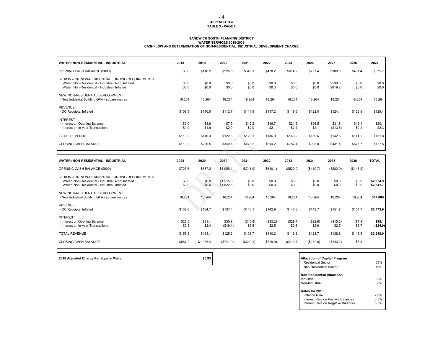#### **APPENDIX B.4 TABLE 3 - PAGE 2**

#### **SANDWICH SOUTH PLANNING DISTRICT WATER SERVICES 2018-2036CASHFLOW AND DETERMINATION OF NON-RESIDENTIAL: INDUSTRIAL DEVELOPMENT CHARGE**

| <b>WATER: NON-RESIDENTIAL - INDUSTRIAL</b>                                                                                                               | 2018            | 2019            | 2020                   | 2021              | 2022              | 2023              | 2024              | 2025               | 2026             | 2027                   |
|----------------------------------------------------------------------------------------------------------------------------------------------------------|-----------------|-----------------|------------------------|-------------------|-------------------|-------------------|-------------------|--------------------|------------------|------------------------|
| OPENING CASH BALANCE (\$000)                                                                                                                             | \$0.0           | \$110.2         | \$226.5                | \$349.1           | \$478.2           | \$614.2           | \$757.4           | \$908.0            | \$431.4          | \$575.7                |
| 2018 to 2036 NON-RESIDENTIAL FUNDING REQUIREMENTS<br>Water: Non-Residential - Industrial: Non: Inflated<br>Water: Non-Residential - Industrial: Inflated | \$0.0<br>\$0.0  | \$0.0<br>\$0.0  | \$0.0<br>\$0.0         | \$0.0<br>\$0.0    | \$0.0<br>\$0.0    | \$0.0<br>\$0.0    | \$0.0<br>\$0.0    | \$539.0<br>\$619.2 | \$0.0<br>\$0.0   | \$0.0<br>\$0.0         |
| NEW NON-RESIDENTIAL DEVELOPMENT<br>- New Industrial Building GFA - square metres                                                                         | 18,264          | 18,264          | 18,264                 | 18,264            | 18,264            | 18,264            | 18,264            | 18,264             | 18,264           | 18,264                 |
| <b>REVENUE</b><br>- DC Receipts: Inflated                                                                                                                | \$108.3         | \$110.5         | \$112.7                | \$114.9           | \$117.2           | \$119.6           | \$122.0           | \$124.4            | \$126.9          | \$129.4                |
| <b>INTEREST</b><br>- Interest on Opening Balance<br>- Interest on In-year Transactions                                                                   | \$0.0<br>\$1.9  | \$3.9<br>\$1.9  | \$7.9<br>\$2.0         | \$12.2<br>\$2.0   | \$16.7<br>\$2.1   | \$21.5<br>\$2.1   | \$26.5<br>\$2.1   | \$31.8<br>(\$13.6) | \$15.1<br>\$2.2  | \$20.1<br>\$2.3        |
| <b>TOTAL REVENUE</b>                                                                                                                                     | \$110.2         | \$116.3         | \$122.6                | \$129.1           | \$136.0           | \$143.2           | \$150.6           | \$142.6            | \$144.2          | \$151.8                |
| CLOSING CASH BALANCE                                                                                                                                     | \$110.2         | \$226.5         | \$349.1                | \$478.2           | \$614.2           | \$757.4           | \$908.0           | \$431.4            | \$575.7          | \$727.5                |
|                                                                                                                                                          |                 |                 |                        |                   |                   |                   |                   |                    |                  |                        |
|                                                                                                                                                          |                 |                 |                        |                   |                   |                   |                   |                    |                  |                        |
| <b>WATER: NON-RESIDENTIAL - INDUSTRIAL</b>                                                                                                               | 2028            | 2029            | 2030                   | 2031              | 2032              | 2033              | 2034              | 2035               | 2036             | <b>TOTAL</b>           |
| OPENING CASH BALANCE (\$000)                                                                                                                             | \$727.5         | \$887.2         | \$1,055.4              | (\$741.9)         | (\$640.1)         | (\$529.9)         | (\$410.7)         | (\$282.0)          | (\$143.2)        |                        |
| 2018 to 2036 NON-RESIDENTIAL FUNDING REQUIREMENTS<br>Water: Non-Residential - Industrial: Non: Inflated<br>Water: Non-Residential - Industrial: Inflated | \$0.0<br>\$0.0  | \$0.0<br>\$0.0  | \$1,515.9<br>\$1,922.5 | \$0.0<br>\$0.0    | \$0.0<br>\$0.0    | \$0.0<br>\$0.0    | \$0.0<br>\$0.0    | \$0.0<br>\$0.0     | \$0.0<br>\$0.0   | \$2,054.9<br>\$2,541.7 |
| NEW NON-RESIDENTIAL DEVELOPMENT<br>- New Industrial Building GFA - square metres                                                                         | 18,264          | 18,264          | 18,264                 | 18.264            | 18,264            | 18,264            | 18,264            | 18,264             | 18,264           | 347,009                |
| <b>REVENUE</b><br>- DC Receipts: Inflated                                                                                                                | \$132.0         | \$134.7         | \$137.4                | \$140.1           | \$142.9           | \$145.8           | \$148.7           | \$151.7            | \$154.7          | \$2,473.9              |
| <b>INTEREST</b><br>- Interest on Opening Balance<br>- Interest on In-year Transactions                                                                   | \$25.5<br>\$2.3 | \$31.1<br>\$2.4 | \$36.9<br>(\$49.1)     | (\$40.8)<br>\$2.5 | (\$35.2)<br>\$2.5 | (\$29.1)<br>\$2.6 | (\$22.6)<br>\$2.6 | (\$15.5)<br>\$2.7  | (\$7.9)<br>\$2.7 | \$98.1<br>(\$24.0)     |
| <b>TOTAL REVENUE</b>                                                                                                                                     | \$159.8         | \$168.1         | \$125.2                | \$101.7           | \$110.2           | \$119.2           | \$128.7           | \$138.8            | \$149.5          | \$2,548.0              |

2018 Adjusted Charge Per Square Metre **<b>80.000 <b>Adjusted** Charge Per Square Metre and Studies and Studies and Studies and Studies and Studies and Allocation of Capital Program

Residential Sector 55% $r \hspace{1.5cm} 45\%$ Non-Residential Sector**Non-Residential Allocation**Industrial 32%**1** Non-Industrial**Rates for 2018** Inflation Rate 2.0% 3.5%Interest Rate on Positive Balances5.5% Interest Rate on Negative Balances

### 74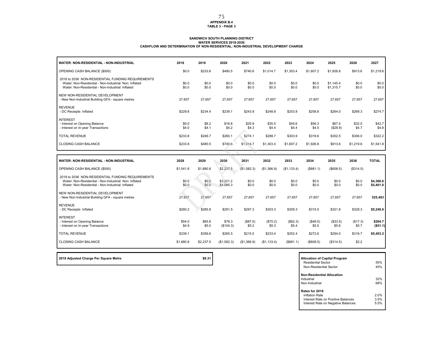## **APPENDIX B.4 TABLE 3 - PAGE 3** 75

# SANDWICH SOUTH PLANNING DISTRICT<br>WATER SERVICES 2018-2036<br>CASHFLOW AND DETERMINATION OF NON-RESIDENTIAL: NON-INDUSTRIAL DEVELOPMENT CHARGE

| WATER: NON-RESIDENTIAL - NON-INDUSTRIAL                                                                                                                          | 2018            | 2019            | 2020                   | 2021              | 2022              | 2023              | 2024              | 2025                   | 2026              | 2027                   |
|------------------------------------------------------------------------------------------------------------------------------------------------------------------|-----------------|-----------------|------------------------|-------------------|-------------------|-------------------|-------------------|------------------------|-------------------|------------------------|
| OPENING CASH BALANCE (\$000)                                                                                                                                     | \$0.0           | \$233.8         | \$480.5                | \$740.6           | \$1,014.7         | \$1,303.4         | \$1,607.2         | \$1,926.8              | \$913.6           | \$1,219.6              |
| 2018 to 2036 NON-RESIDENTIAL FUNDING REQUIREMENTS<br>Water: Non-Residential - Non-Industrial: Non: Inflated<br>Water: Non-Residential - Non-Industrial: Inflated | \$0.0<br>\$0.0  | \$0.0<br>\$0.0  | \$0.0<br>\$0.0         | \$0.0<br>\$0.0    | \$0.0<br>\$0.0    | \$0.0<br>\$0.0    | \$0.0<br>\$0.0    | \$1,145.4<br>\$1,315.7 | \$0.0<br>\$0.0    | \$0.0<br>\$0.0         |
| NEW NON-RESIDENTIAL DEVELOPMENT<br>- New Non-Industrial Building GFA - square metres                                                                             | 27.657          | 27.657          | 27,657                 | 27.657            | 27,657            | 27,657            | 27,657            | 27,657                 | 27.657            | 27,657                 |
| <b>REVENUE</b><br>- DC Receipts: Inflated                                                                                                                        | \$229.8         | \$234.4         | \$239.1                | \$243.9           | \$248.8           | \$253.8           | \$258.8           | \$264.0                | \$269.3           | \$274.7                |
| <b>INTEREST</b><br>- Interest on Opening Balance<br>- Interest on In-year Transactions                                                                           | \$0.0<br>\$4.0  | \$8.2<br>\$4.1  | \$16.8<br>\$4.2        | \$25.9<br>\$4.3   | \$35.5<br>\$4.4   | \$45.6<br>\$4.4   | \$56.3<br>\$4.5   | \$67.4<br>(\$28.9)     | \$32.0<br>\$4.7   | \$42.7<br>\$4.8        |
| <b>TOTAL REVENUE</b>                                                                                                                                             | \$233.8         | \$246.7         | \$260.1                | \$274.1           | \$288.7           | \$303.9           | \$319.6           | \$302.5                | \$306.0           | \$322.2                |
| CLOSING CASH BALANCE                                                                                                                                             | \$233.8         | \$480.5         | \$740.6                | \$1,014.7         | \$1,303.4         | \$1,607.2         | \$1,926.8         | \$913.6                | \$1,219.6         | \$1,541.8              |
|                                                                                                                                                                  |                 |                 |                        |                   |                   |                   |                   |                        |                   |                        |
|                                                                                                                                                                  |                 |                 |                        |                   |                   |                   |                   |                        |                   |                        |
| WATER: NON-RESIDENTIAL - NON-INDUSTRIAL                                                                                                                          | 2028            | 2029            | 2030                   | 2031              | 2032              | 2033              | 2034              | 2035                   | 2036              | <b>TOTAL</b>           |
| OPENING CASH BALANCE (\$000)                                                                                                                                     | \$1,541.8       | \$1,880.8       | \$2,237.5              | (\$1,582.3)       | (\$1,366.9)       | (\$1,133.4)       | (\$881.1)         | (\$608.5)              | (\$314.5)         |                        |
| 2018 to 2036 NON-RESIDENTIAL FUNDING REQUIREMENTS<br>Water: Non-Residential - Non-Industrial: Non: Inflated<br>Water: Non-Residential - Non-Industrial: Inflated | \$0.0<br>\$0.0  | \$0.0<br>\$0.0  | \$3,221.2<br>\$4,085.3 | \$0.0<br>\$0.0    | \$0.0<br>\$0.0    | \$0.0<br>\$0.0    | \$0.0<br>\$0.0    | \$0.0<br>\$0.0         | \$0.0<br>\$0.0    | \$4,366.6<br>\$5,401.0 |
| NEW NON-RESIDENTIAL DEVELOPMENT<br>- New Non-Industrial Building GFA - square metres                                                                             | 27,657          | 27,657          | 27,657                 | 27,657            | 27,657            | 27,657            | 27,657            | 27,657                 | 27,657            | 525,483                |
| <b>REVENUE</b><br>- DC Receipts: Inflated                                                                                                                        | \$280.2         | \$285.8         | \$291.5                | \$297.3           | \$303.3           | \$309.3           | \$315.5           | \$321.8                | \$328.3           | \$5,249.6              |
| <b>INTEREST</b><br>- Interest on Opening Balance<br>- Interest on In-year Transactions                                                                           | \$54.0<br>\$4.9 | \$65.8<br>\$5.0 | \$78.3<br>(\$104.3)    | (\$87.0)<br>\$5.2 | (\$75.2)<br>\$5.3 | (\$62.3)<br>\$5.4 | (\$48.5)<br>\$5.5 | (\$33.5)<br>\$5.6      | (\$17.3)<br>\$5.7 | \$204.7<br>(\$51.1)    |
| <b>TOTAL REVENUE</b>                                                                                                                                             | \$339.1         | \$356.6         | \$265.5                | \$215.5           | \$233.4           | \$252.4           | \$272.6           | \$294.0                | \$316.7           | \$5,403.2              |

**2018 Adjusted Charge Per Square Metre \$8.31** 

| <b>Allocation of Capital Program</b><br>Residential Sector<br>Non-Residential Sector                         | 55%<br>45%           |
|--------------------------------------------------------------------------------------------------------------|----------------------|
| <b>Non-Residential Allocation</b><br>Industrial                                                              | 32%                  |
| Non-Industrial                                                                                               | 68%                  |
| Rates for 2018<br>Inflation Rate<br>Interest Rate on Positive Balances<br>Interest Rate on Negative Balances | 2.0%<br>3.5%<br>5.5% |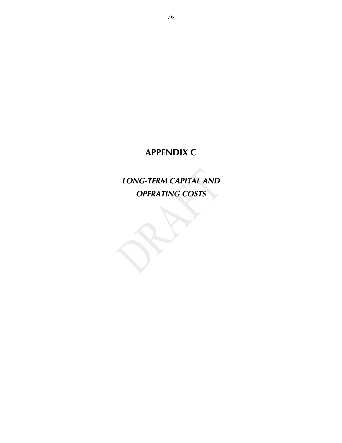## **APPENDIX C**

*LONG-TERM CAPITAL AND OPERATING COSTS*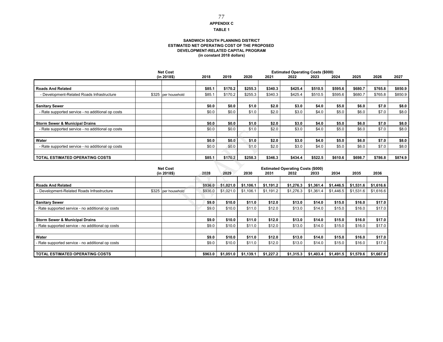### **APPENDIX C** 77

#### **TABLE 1**

### **SANDWICH SOUTH PLANNING DISTRICT ESTIMATED NET OPERATING COST OF THE PROPOSED DEVELOPMENT-RELATED CAPITAL PROGRAM (in constant 2018 dollars)**

|                                                   | <b>Net Cost</b>     |        |         |         |         |         |         |         |         |         |         |
|---------------------------------------------------|---------------------|--------|---------|---------|---------|---------|---------|---------|---------|---------|---------|
|                                                   | (in 2018\$)         | 2018   | 2019    | 2020    | 2021    | 2022    | 2023    | 2024    | 2025    | 2026    | 2027    |
|                                                   |                     |        |         |         |         |         |         |         |         |         |         |
| <b>Roads And Related</b>                          |                     | \$85.1 | \$170.2 | \$255.3 | \$340.3 | \$425.4 | \$510.5 | \$595.6 | \$680.7 | \$765.8 | \$850.9 |
| - Development-Related Roads Infrastructure        | \$325 per household | \$85.1 | \$170.2 | \$255.3 | \$340.3 | \$425.4 | \$510.5 | \$595.6 | \$680.7 | \$765.8 | \$850.9 |
|                                                   |                     |        |         |         |         |         |         |         |         |         |         |
| <b>Sanitary Sewer</b>                             |                     | \$0.0  | \$0.0   | \$1.0   | \$2.0   | \$3.0   | \$4.0   | \$5.0   | \$6.0   | \$7.0   | \$8.0   |
| - Rate supported service - no additional op costs |                     | \$0.0  | \$0.0   | \$1.0   | \$2.0   | \$3.0   | \$4.0   | \$5.0   | \$6.0   | \$7.0   | \$8.0   |
|                                                   |                     |        |         |         |         |         |         |         |         |         |         |
| <b>Storm Sewer &amp; Municipal Drains</b>         |                     | \$0.0  | \$0.0   | \$1.0   | \$2.0   | \$3.0   | \$4.0   | \$5.0   | \$6.0   | \$7.0   | \$8.0   |
| - Rate supported service - no additional op costs |                     | \$0.0  | \$0.0   | \$1.0   | \$2.0   | \$3.0   | \$4.0   | \$5.0   | \$6.0   | \$7.0   | \$8.0   |
|                                                   |                     |        |         |         |         |         |         |         |         |         |         |
| Water                                             |                     | \$0.0  | \$0.0\$ | \$1.0   | \$2.0   | \$3.0   | \$4.0   | \$5.0   | \$6.0   | \$7.0   | \$8.0   |
| - Rate supported service - no additional op costs |                     | \$0.0  | \$0.0   | \$1.0   | \$2.0   | \$3.0   | \$4.0   | \$5.0   | \$6.0   | \$7.0   | \$8.0   |
|                                                   |                     |        |         |         |         |         |         |         |         |         |         |
| <b>TOTAL ESTIMATED OPERATING COSTS</b>            |                     | \$85.1 | \$170.2 | \$258.3 | \$346.3 | \$434.4 | \$522.5 | \$610.6 | \$698.7 | \$786.8 | \$874.9 |

|                                                   | <b>Net Cost</b> |                     |         |           | <b>Estimated Operating Costs (\$000)</b> |           |           |           |           |           |           |
|---------------------------------------------------|-----------------|---------------------|---------|-----------|------------------------------------------|-----------|-----------|-----------|-----------|-----------|-----------|
|                                                   |                 | (in 2018\$)         | 2028    | 2029      | 2030                                     | 2031      | 2032      | 2033      | 2034      | 2035      | 2036      |
|                                                   |                 |                     |         |           |                                          |           |           |           |           |           |           |
| <b>Roads And Related</b>                          |                 |                     | \$936.0 | \$1,021.0 | \$1.106.1                                | \$1.191.2 | \$1,276.3 | \$1,361.4 | \$1.446.5 | \$1,531.6 | \$1,616.6 |
| - Development-Related Roads Infrastructure        |                 | \$325 per household | \$936.0 | \$1,021.0 | \$1,106.1                                | \$1,191.2 | \$1,276.3 | \$1,361.4 | \$1,446.5 | \$1,531.6 | \$1,616.6 |
|                                                   |                 |                     |         |           |                                          |           |           |           |           |           |           |
| <b>Sanitary Sewer</b>                             |                 |                     | \$9.0   | \$10.0    | \$11.0                                   | \$12.0    | \$13.0    | \$14.0    | \$15.0    | \$16.0    | \$17.0    |
| - Rate supported service - no additional op costs |                 |                     | \$9.0   | \$10.0    | \$11.0                                   | \$12.0    | \$13.0    | \$14.0    | \$15.0    | \$16.0    | \$17.0    |
|                                                   |                 |                     |         |           |                                          |           |           |           |           |           |           |
| <b>Storm Sewer &amp; Municipal Drains</b>         |                 |                     | \$9.0   | \$10.0    | \$11.0                                   | \$12.0    | \$13.0    | \$14.0    | \$15.0    | \$16.0    | \$17.0    |
| - Rate supported service - no additional op costs |                 |                     | \$9.0   | \$10.0    | \$11.0                                   | \$12.0    | \$13.0    | \$14.0    | \$15.0    | \$16.0    | \$17.0    |
|                                                   |                 |                     |         |           |                                          |           |           |           |           |           |           |
| Water                                             |                 |                     | \$9.0   | \$10.0    | \$11.0                                   | \$12.0    | \$13.0    | \$14.0    | \$15.0    | \$16.0    | \$17.0    |
| - Rate supported service - no additional op costs |                 |                     | \$9.0   | \$10.0    | \$11.0                                   | \$12.0    | \$13.0    | \$14.0    | \$15.0    | \$16.0    | \$17.0    |
|                                                   |                 |                     |         |           |                                          |           |           |           |           |           |           |
| <b>TOTAL ESTIMATED OPERATING COSTS</b>            |                 |                     | \$963.0 | \$1.051.0 | \$1.139.1                                | \$1.227.2 | \$1,315.3 | \$1,403.4 | \$1,491.5 | \$1,579.6 | \$1,667.6 |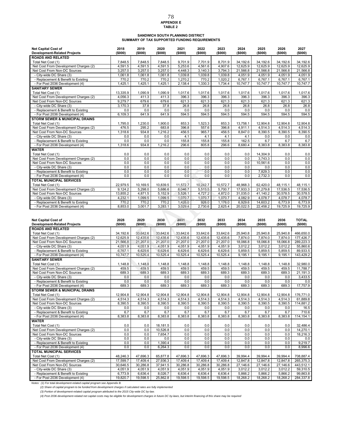### **APPENDIX E TABLE 2**  78

## SANDWICH SOUTH PLANNING DISTRICT<br>SUMMARY OF TAX SUPPORTED FUNDING REQUIREMENTS

| <b>Net Capital Cost of</b><br><b>Development-Related Projects</b> | 2018<br>(\$000) | 2019<br>(\$000) | 2020<br>(\$000) | 2021<br>(\$000) | 2022<br>(\$000) | 2023<br>(\$000) | 2024<br>(\$000) | 2025<br>(\$000) | 2026<br>(\$000) | 2027<br>(\$000) |
|-------------------------------------------------------------------|-----------------|-----------------|-----------------|-----------------|-----------------|-----------------|-----------------|-----------------|-----------------|-----------------|
| <b>ROADS AND RELATED</b>                                          |                 |                 |                 |                 |                 |                 |                 |                 |                 |                 |
| Total Net Cost (1)                                                | 7,848.5         | 7,848.5         | 7,848.5         | 9,701.9         | 7,701.9         | 8.701.9         | 34,192.6        | 34,192.6        | 34,192.6        | 34,192.6        |
| Net Cost From Development Charges (2)                             | 4,591.5         | 4,591.5         | 4,591.5         | 5,253.6         | 4,561.6         | 4,907.6         | 12,625.9        | 12.625.9        | 12.625.9        | 12,625.9        |
| Net Cost From Non-DC Sources                                      | 3,257.0         | 3,257.0         | 3,257.0         | 4,448.3         | 3,140.3         | 3,794.3         | 21,566.8        | 21.566.8        | 21,566.8        | 21,566.8        |
| - City-wide DC Share (3)                                          | 1,061.8         | 1,061.8         | 1,061.8         | 1,039.8         | 1,039.8         | 1,039.8         | 4,051.9         | 4,051.9         | 4,051.9         | 4,051.9         |
| - Replacement & Benefit to Existing                               | 770.2           | 770.2           | 770.2           | 1,270.2         | 770.2           | 1.020.2         | 6.767.1         | 6.767.1         | 6,767.1         | 6,767.1         |
| - For Post 2036 Development (4)                                   | 1,425.1         | 1,425.1         | 1,425.1         | 2,138.4         | 1,330.3         | 1,734.4         | 10,747.7        | 10,747.7        | 10,747.7        | 10,747.7        |
| <b>SANITARY SEWER</b>                                             |                 |                 |                 |                 |                 |                 |                 |                 |                 |                 |
| Total Net Cost (1)                                                | 13,335.9        | 1,090.9         | 1,090.9         | 1,017.6         | 1,017.6         | 1,017.6         | 1,017.6         | 1,017.6         | 1,017.6         | 1,017.6         |
| Net Cost From Development Charges (2)                             | 4,056.3         | 411.3           | 411.3           | 396.3           | 396.3           | 396.3           | 396.3           | 396.3           | 396.3           | 396.3           |
| Net Cost From Non-DC Sources                                      | 9,279.7         | 679.6           | 679.6           | 621.3           | 621.3           | 621.3           | 621.3           | 621.3           | 621.3           | 621.3           |
| - City-wide DC Share (3)                                          | 3.170.3         | 37.8            | 37.8            | 26.8            | 26.8            | 26.8            | 26.8            | 26.8            | 26.8            | 26.8            |
| - Replacement & Benefit to Existing                               | 0.0             | 0.0             | 0.0             | 0.0             | 0.0             | 0.0             | 0.0             | 0.0             | 0.0             | 0.0             |
| - For Post 2036 Development (4)                                   | 6,109.3         | 641.9           | 641.9           | 594.5           | 594.5           | 594.5           | 594.5           | 594.5           | 594.5           | 594.5           |
| <b>STORM SEWER &amp; MUNICIPAL DRAINS</b>                         |                 |                 |                 |                 |                 |                 |                 |                 |                 |                 |
| Total Net Cost (1)                                                | 1,795.0         | 1,230.0         | 1,900.0         | 853.3           | 1,523.3         | 853.3           | 13,758.1        | 12,904.8        | 12,904.8        | 12,904.8        |
| Net Cost From Development Charges (2)                             | 476.5           | 295.2           | 683.8           | 396.8           | 557.6           | 396.8           | 4,911.1         | 4,514.3         | 4,514.3         | 4,514.3         |
| Net Cost From Non-DC Sources                                      | 1,318.6         | 934.8           | 1,216.2         | 456.5           | 965.7           | 456.5           | 8,847.0         | 8,390.5         | 8,390.5         | 8,390.5         |
| - City-wide DC Share (3)                                          | 0.0             | 0.0             | 0.0             | 4.1             | 4.1             | 4.1             | 4.1             | 0.0             | 0.0             | 0.0             |
| - Replacement & Benefit to Existing                               | 0.0             | 0.0             | 0.0             | 155.8           | 155.8           | 155.8           | 162.5           | 6.7             | 6.7             | 6.7             |
| - For Post 2036 Development (4)                                   | 1,318.6         | 934.8           | 1,216.2         | 296.6           | 805.8           | 296.6           | 8,680.4         | 8,383.8         | 8,383.8         | 8,383.8         |
| <b>WATER</b>                                                      |                 |                 |                 |                 |                 |                 |                 |                 |                 |                 |
| Total Net Cost (1)                                                | 0.0             | 0.0             | 0.0             | 0.0             | 0.0             | 0.0             | 0.0             | 14,304.9        | 0.0             | 0.0             |
| Net Cost From Development Charges (2)                             | 0.0             | 0.0             | 0.0             | 0.0             | 0.0             | 0.0             | 0.0             | 3,743.3         | 0.0             | 0.0             |
| Net Cost From Non-DC Sources                                      | 0.0             | 0.0             | 0.0             | 0.0             | 0.0             | 0.0             | 0.0             | 10,561.6        | 0.0             | 0.0             |
| - City-wide DC Share (3)                                          | 0.0             | 0.0             | 0.0             | 0.0             | 0.0             | 0.0             | 0.0             | 0.0             | 0.0             | 0.0             |
| - Replacement & Benefit to Existing                               | 0.0             | 0.0             | 0.0             | 0.0             | 0.0             | 0.0             | 0.0             | 7.829.3         | 0.0             | 0.0             |
| - For Post 2036 Development (4)                                   | 0.0             | 0.0             | 0.0             | 0.0             | 0.0             | 0.0             | 0.0             | 2,732.3         | 0.0             | 0.0             |
| <b>TOTAL MUNICIPAL SERVICES</b>                                   |                 |                 |                 |                 |                 |                 |                 |                 |                 |                 |
| Total Net Cost (1)                                                | 22,979.5        | 10,169.5        | 10.839.5        | 11,572.7        | 10,242.7        | 10,572.7        | 48,968.3        | 62,420.0        | 48,115.1        | 48,115.1        |
| Net Cost From Development Charges (2)                             | 9,124.2         | 5,298.0         | 5,686.6         | 6,046.7         | 5,515.5         | 5,700.7         | 17,933.3        | 21,279.8        | 17,536.5        | 17,536.5        |
| Net Cost From Non-DC Sources                                      | 13,855.2        | 4,871.5         | 5,152.9         | 5,526.1         | 4,727.2         | 4,872.0         | 31,035.0        | 41,140.2        | 30,578.5        | 30,578.5        |
| - City-wide DC Share (3)                                          | 4,232.1         | 1,099.5         | 1,099.5         | 1,070.7         | 1,070.7         | 1,070.7         | 4,082.9         | 4.078.7         | 4,078.7         | 4,078.7         |
| - Replacement & Benefit to Existing                               | 770.2           | 770.2           | 770.2           | 1,426.0         | 926.0           | 1.176.0         | 6.929.6         | 14,603.2        | 6.773.9         | 6,773.9         |
| - For Post 2036 Development (4)                                   | 8,853.0         | 3,001.7         | 3,283.1         | 3,029.4         | 2,730.6         | 2,625.4         | 20,022.5        | 22,458.2        | 19,725.9        | 19,725.9        |

| <b>ROADS AND RELATED</b><br>33,642.6<br>33,642.6<br>33,642.6<br>466,650.0<br>Total Net Cost (1)<br>34,192.6<br>33,642.6<br>33,642.6<br>25,940.8<br>25,940.8<br>25,940.8<br>Net Cost From Development Charges (2)<br>12,625.9<br>12,435.6<br>12,435.6<br>12,435.6<br>12,435.6<br>12,435.6<br>7,874.0<br>7,874.0<br>7,874.0<br>177,426.7<br>21,207.0<br>18,066.8<br>Net Cost From Non-DC Sources<br>21,566.8<br>21,207.0<br>21,207.0<br>21,207.0<br>21,207.0<br>18,066.8<br>18,066.8<br>289,223.3<br>4,051.9<br>4,051.9<br>3,012.2<br>4,051.9<br>4,051.9<br>4,051.9<br>4,051.9<br>3,012.2<br>3,012.2<br>55,860.6<br>- City-wide DC Share (3)<br>6,629.6<br>- Replacement & Benefit to Existing<br>6,767.1<br>6,629.6<br>6,629.6<br>6,629.6<br>6,629.6<br>5,859.5<br>5,859.5<br>5,859.5<br>89,933.5<br>10,525.4<br>10,525.4<br>10,525.4<br>10,525.4<br>- For Post 2036 Development (4)<br>10,747.7<br>10,525.4<br>9,195.1<br>9,195.1<br>9,195.1<br>143,429.2<br><b>SANITARY SEWER</b><br>Total Net Cost (1)<br>1,148.8<br>1,148.8<br>1,148.8<br>1,148.8<br>32,980.0<br>1,148.8<br>1,148.8<br>1,148.8<br>1,148.8<br>1,148.8<br>459.5<br>Net Cost From Development Charges (2)<br>459.5<br>459.5<br>459.5<br>459.5<br>459.5<br>459.5<br>459.5<br>459.5<br>11,788.7<br>689.3<br>689.3<br>689.3<br>689.3<br>689.3<br>689.3<br>689.3<br>689.3<br>689.3<br>Net Cost From Non-DC Sources<br>21,191.3<br>0.0<br>0.0<br>- City-wide DC Share (3)<br>0.0<br>0.0<br>0.0<br>0.0<br>0.0<br>0.0<br>0.0<br>3,433.5<br>0.0<br>0.0<br>0.0<br>0.0<br>0.0<br>0.0<br>- Replacement & Benefit to Existing<br>0.0<br>0.0<br>0.0<br>689.3<br>689.3<br>689.3<br>689.3<br>689.3<br>689.3<br>689.3<br>689.3<br>689.3<br>17,757.9<br>- For Post 2036 Development (4)<br><b>STORM SEWER &amp; MUNICIPAL DRAINS</b><br>Total Net Cost (1)<br>12,904.8<br>12,904.8<br>12,904.8<br>12,904.8<br>12,904.8<br>12,904.8<br>12,904.8<br>12,904.8<br>12,904.8<br>Net Cost From Development Charges (2)<br>4,514.3<br>4,514.3<br>4,514.3<br>4,514.3<br>4,514.3<br>4,514.3<br>4,514.3<br>4,514.3<br>4,514.3 | <b>Net Capital Cost of</b><br><b>Development-Related Projects</b> | 2028<br>(\$000) | 2029<br>(5000) | 2030<br>(\$000) | 2031<br>(\$000) | 2032<br>(\$000) | 2033<br>(\$000) | 2034<br>(\$000) | 2035<br>(\$000) | 2036<br>(\$000) | <b>TOTAL</b><br>(\$000) |
|-------------------------------------------------------------------------------------------------------------------------------------------------------------------------------------------------------------------------------------------------------------------------------------------------------------------------------------------------------------------------------------------------------------------------------------------------------------------------------------------------------------------------------------------------------------------------------------------------------------------------------------------------------------------------------------------------------------------------------------------------------------------------------------------------------------------------------------------------------------------------------------------------------------------------------------------------------------------------------------------------------------------------------------------------------------------------------------------------------------------------------------------------------------------------------------------------------------------------------------------------------------------------------------------------------------------------------------------------------------------------------------------------------------------------------------------------------------------------------------------------------------------------------------------------------------------------------------------------------------------------------------------------------------------------------------------------------------------------------------------------------------------------------------------------------------------------------------------------------------------------------------------------------------------------------------------------------------------------------------------------------------------------------------------------------------------|-------------------------------------------------------------------|-----------------|----------------|-----------------|-----------------|-----------------|-----------------|-----------------|-----------------|-----------------|-------------------------|
|                                                                                                                                                                                                                                                                                                                                                                                                                                                                                                                                                                                                                                                                                                                                                                                                                                                                                                                                                                                                                                                                                                                                                                                                                                                                                                                                                                                                                                                                                                                                                                                                                                                                                                                                                                                                                                                                                                                                                                                                                                                                   |                                                                   |                 |                |                 |                 |                 |                 |                 |                 |                 |                         |
|                                                                                                                                                                                                                                                                                                                                                                                                                                                                                                                                                                                                                                                                                                                                                                                                                                                                                                                                                                                                                                                                                                                                                                                                                                                                                                                                                                                                                                                                                                                                                                                                                                                                                                                                                                                                                                                                                                                                                                                                                                                                   |                                                                   |                 |                |                 |                 |                 |                 |                 |                 |                 |                         |
|                                                                                                                                                                                                                                                                                                                                                                                                                                                                                                                                                                                                                                                                                                                                                                                                                                                                                                                                                                                                                                                                                                                                                                                                                                                                                                                                                                                                                                                                                                                                                                                                                                                                                                                                                                                                                                                                                                                                                                                                                                                                   |                                                                   |                 |                |                 |                 |                 |                 |                 |                 |                 |                         |
|                                                                                                                                                                                                                                                                                                                                                                                                                                                                                                                                                                                                                                                                                                                                                                                                                                                                                                                                                                                                                                                                                                                                                                                                                                                                                                                                                                                                                                                                                                                                                                                                                                                                                                                                                                                                                                                                                                                                                                                                                                                                   |                                                                   |                 |                |                 |                 |                 |                 |                 |                 |                 |                         |
|                                                                                                                                                                                                                                                                                                                                                                                                                                                                                                                                                                                                                                                                                                                                                                                                                                                                                                                                                                                                                                                                                                                                                                                                                                                                                                                                                                                                                                                                                                                                                                                                                                                                                                                                                                                                                                                                                                                                                                                                                                                                   |                                                                   |                 |                |                 |                 |                 |                 |                 |                 |                 |                         |
|                                                                                                                                                                                                                                                                                                                                                                                                                                                                                                                                                                                                                                                                                                                                                                                                                                                                                                                                                                                                                                                                                                                                                                                                                                                                                                                                                                                                                                                                                                                                                                                                                                                                                                                                                                                                                                                                                                                                                                                                                                                                   |                                                                   |                 |                |                 |                 |                 |                 |                 |                 |                 |                         |
|                                                                                                                                                                                                                                                                                                                                                                                                                                                                                                                                                                                                                                                                                                                                                                                                                                                                                                                                                                                                                                                                                                                                                                                                                                                                                                                                                                                                                                                                                                                                                                                                                                                                                                                                                                                                                                                                                                                                                                                                                                                                   |                                                                   |                 |                |                 |                 |                 |                 |                 |                 |                 |                         |
|                                                                                                                                                                                                                                                                                                                                                                                                                                                                                                                                                                                                                                                                                                                                                                                                                                                                                                                                                                                                                                                                                                                                                                                                                                                                                                                                                                                                                                                                                                                                                                                                                                                                                                                                                                                                                                                                                                                                                                                                                                                                   |                                                                   |                 |                |                 |                 |                 |                 |                 |                 |                 |                         |
|                                                                                                                                                                                                                                                                                                                                                                                                                                                                                                                                                                                                                                                                                                                                                                                                                                                                                                                                                                                                                                                                                                                                                                                                                                                                                                                                                                                                                                                                                                                                                                                                                                                                                                                                                                                                                                                                                                                                                                                                                                                                   |                                                                   |                 |                |                 |                 |                 |                 |                 |                 |                 |                         |
|                                                                                                                                                                                                                                                                                                                                                                                                                                                                                                                                                                                                                                                                                                                                                                                                                                                                                                                                                                                                                                                                                                                                                                                                                                                                                                                                                                                                                                                                                                                                                                                                                                                                                                                                                                                                                                                                                                                                                                                                                                                                   |                                                                   |                 |                |                 |                 |                 |                 |                 |                 |                 |                         |
|                                                                                                                                                                                                                                                                                                                                                                                                                                                                                                                                                                                                                                                                                                                                                                                                                                                                                                                                                                                                                                                                                                                                                                                                                                                                                                                                                                                                                                                                                                                                                                                                                                                                                                                                                                                                                                                                                                                                                                                                                                                                   |                                                                   |                 |                |                 |                 |                 |                 |                 |                 |                 |                         |
|                                                                                                                                                                                                                                                                                                                                                                                                                                                                                                                                                                                                                                                                                                                                                                                                                                                                                                                                                                                                                                                                                                                                                                                                                                                                                                                                                                                                                                                                                                                                                                                                                                                                                                                                                                                                                                                                                                                                                                                                                                                                   |                                                                   |                 |                |                 |                 |                 |                 |                 |                 |                 |                         |
|                                                                                                                                                                                                                                                                                                                                                                                                                                                                                                                                                                                                                                                                                                                                                                                                                                                                                                                                                                                                                                                                                                                                                                                                                                                                                                                                                                                                                                                                                                                                                                                                                                                                                                                                                                                                                                                                                                                                                                                                                                                                   |                                                                   |                 |                |                 |                 |                 |                 |                 |                 |                 |                         |
|                                                                                                                                                                                                                                                                                                                                                                                                                                                                                                                                                                                                                                                                                                                                                                                                                                                                                                                                                                                                                                                                                                                                                                                                                                                                                                                                                                                                                                                                                                                                                                                                                                                                                                                                                                                                                                                                                                                                                                                                                                                                   |                                                                   |                 |                |                 |                 |                 |                 |                 |                 |                 | 0.0                     |
|                                                                                                                                                                                                                                                                                                                                                                                                                                                                                                                                                                                                                                                                                                                                                                                                                                                                                                                                                                                                                                                                                                                                                                                                                                                                                                                                                                                                                                                                                                                                                                                                                                                                                                                                                                                                                                                                                                                                                                                                                                                                   |                                                                   |                 |                |                 |                 |                 |                 |                 |                 |                 |                         |
|                                                                                                                                                                                                                                                                                                                                                                                                                                                                                                                                                                                                                                                                                                                                                                                                                                                                                                                                                                                                                                                                                                                                                                                                                                                                                                                                                                                                                                                                                                                                                                                                                                                                                                                                                                                                                                                                                                                                                                                                                                                                   |                                                                   |                 |                |                 |                 |                 |                 |                 |                 |                 |                         |
|                                                                                                                                                                                                                                                                                                                                                                                                                                                                                                                                                                                                                                                                                                                                                                                                                                                                                                                                                                                                                                                                                                                                                                                                                                                                                                                                                                                                                                                                                                                                                                                                                                                                                                                                                                                                                                                                                                                                                                                                                                                                   |                                                                   |                 |                |                 |                 |                 |                 |                 |                 |                 | 176,771.0               |
|                                                                                                                                                                                                                                                                                                                                                                                                                                                                                                                                                                                                                                                                                                                                                                                                                                                                                                                                                                                                                                                                                                                                                                                                                                                                                                                                                                                                                                                                                                                                                                                                                                                                                                                                                                                                                                                                                                                                                                                                                                                                   |                                                                   |                 |                |                 |                 |                 |                 |                 |                 |                 | 61,889.8                |
|                                                                                                                                                                                                                                                                                                                                                                                                                                                                                                                                                                                                                                                                                                                                                                                                                                                                                                                                                                                                                                                                                                                                                                                                                                                                                                                                                                                                                                                                                                                                                                                                                                                                                                                                                                                                                                                                                                                                                                                                                                                                   | Net Cost From Non-DC Sources                                      | 8,390.5         | 8,390.5        | 8,390.5         | 8,390.5         | 8,390.5         | 8,390.5         | 8,390.5         | 8,390.5         | 8,390.5         | 114,881.2               |
| 0.0<br>0.0<br>- City-wide DC Share (3)<br>0.0<br>0.0<br>0.0<br>0.0<br>0.0<br>0.0<br>0.0                                                                                                                                                                                                                                                                                                                                                                                                                                                                                                                                                                                                                                                                                                                                                                                                                                                                                                                                                                                                                                                                                                                                                                                                                                                                                                                                                                                                                                                                                                                                                                                                                                                                                                                                                                                                                                                                                                                                                                           |                                                                   |                 |                |                 |                 |                 |                 |                 |                 |                 | 16.5                    |
| 6.7<br>6.7<br>6.7<br>6.7<br>6.7<br>6.7<br>6.7<br>6.7<br>6.7<br>- Replacement & Benefit to Existing                                                                                                                                                                                                                                                                                                                                                                                                                                                                                                                                                                                                                                                                                                                                                                                                                                                                                                                                                                                                                                                                                                                                                                                                                                                                                                                                                                                                                                                                                                                                                                                                                                                                                                                                                                                                                                                                                                                                                                |                                                                   |                 |                |                 |                 |                 |                 |                 |                 |                 | 710.6                   |
| 8,383.8<br>8,383.8<br>8,383.8<br>8,383.8<br>8,383.8<br>8,383.8<br>8,383.8<br>8,383.8<br>8,383.8<br>- For Post 2036 Development (4)                                                                                                                                                                                                                                                                                                                                                                                                                                                                                                                                                                                                                                                                                                                                                                                                                                                                                                                                                                                                                                                                                                                                                                                                                                                                                                                                                                                                                                                                                                                                                                                                                                                                                                                                                                                                                                                                                                                                |                                                                   |                 |                |                 |                 |                 |                 |                 |                 |                 | 114, 154.1              |
| <b>WATER</b>                                                                                                                                                                                                                                                                                                                                                                                                                                                                                                                                                                                                                                                                                                                                                                                                                                                                                                                                                                                                                                                                                                                                                                                                                                                                                                                                                                                                                                                                                                                                                                                                                                                                                                                                                                                                                                                                                                                                                                                                                                                      |                                                                   |                 |                |                 |                 |                 |                 |                 |                 |                 |                         |
| 0.0<br>0.0<br>0.0<br>0.0<br>0.0<br>Total Net Cost (1)<br>18,181.5<br>0.0<br>0.0<br>0.0                                                                                                                                                                                                                                                                                                                                                                                                                                                                                                                                                                                                                                                                                                                                                                                                                                                                                                                                                                                                                                                                                                                                                                                                                                                                                                                                                                                                                                                                                                                                                                                                                                                                                                                                                                                                                                                                                                                                                                            |                                                                   |                 |                |                 |                 |                 |                 |                 |                 |                 | 32,486.4                |
| 0.0<br>0.0<br>10,526.8<br>0.0<br>0.0<br>0.0<br>0.0<br>Net Cost From Development Charges (2)<br>0.0<br>0.0                                                                                                                                                                                                                                                                                                                                                                                                                                                                                                                                                                                                                                                                                                                                                                                                                                                                                                                                                                                                                                                                                                                                                                                                                                                                                                                                                                                                                                                                                                                                                                                                                                                                                                                                                                                                                                                                                                                                                         |                                                                   |                 |                |                 |                 |                 |                 |                 |                 |                 | 14,270.1                |
| 0.0<br>0.0<br>7,654.7<br>0.0<br>0.0<br>0.0<br>0.0<br>Net Cost From Non-DC Sources<br>0.0<br>0.0                                                                                                                                                                                                                                                                                                                                                                                                                                                                                                                                                                                                                                                                                                                                                                                                                                                                                                                                                                                                                                                                                                                                                                                                                                                                                                                                                                                                                                                                                                                                                                                                                                                                                                                                                                                                                                                                                                                                                                   |                                                                   |                 |                |                 |                 |                 |                 |                 |                 |                 | 18,216.3                |
| 0.0<br>0.0<br>0.0<br>0.0<br>0.0<br>0.0<br>- City-wide DC Share (3)<br>0.0<br>0.0<br>0.0                                                                                                                                                                                                                                                                                                                                                                                                                                                                                                                                                                                                                                                                                                                                                                                                                                                                                                                                                                                                                                                                                                                                                                                                                                                                                                                                                                                                                                                                                                                                                                                                                                                                                                                                                                                                                                                                                                                                                                           |                                                                   |                 |                |                 |                 |                 |                 |                 |                 |                 | 0.0                     |
| 0.0<br>1,390.4<br>0.0<br>0.0<br>0.0<br>0.0<br>- Replacement & Benefit to Existing<br>0.0<br>0.0<br>0.0                                                                                                                                                                                                                                                                                                                                                                                                                                                                                                                                                                                                                                                                                                                                                                                                                                                                                                                                                                                                                                                                                                                                                                                                                                                                                                                                                                                                                                                                                                                                                                                                                                                                                                                                                                                                                                                                                                                                                            |                                                                   |                 |                |                 |                 |                 |                 |                 |                 |                 | 9,219.7                 |
| 0.0<br>0.0<br>6,264.3<br>0.0<br>0.0<br>0.0<br>0.0<br>- For Post 2036 Development (4)<br>0.0<br>0.0                                                                                                                                                                                                                                                                                                                                                                                                                                                                                                                                                                                                                                                                                                                                                                                                                                                                                                                                                                                                                                                                                                                                                                                                                                                                                                                                                                                                                                                                                                                                                                                                                                                                                                                                                                                                                                                                                                                                                                |                                                                   |                 |                |                 |                 |                 |                 |                 |                 |                 | 8,996.6                 |
| <b>TOTAL MUNICIPAL SERVICES</b>                                                                                                                                                                                                                                                                                                                                                                                                                                                                                                                                                                                                                                                                                                                                                                                                                                                                                                                                                                                                                                                                                                                                                                                                                                                                                                                                                                                                                                                                                                                                                                                                                                                                                                                                                                                                                                                                                                                                                                                                                                   |                                                                   |                 |                |                 |                 |                 |                 |                 |                 |                 |                         |
| 48,246.3<br>47,696.3<br>47,696.3<br>39,994.4<br>39,994.4<br>Total Net Cost (1)<br>65,877.8<br>47,696.3<br>47,696.3<br>39,994.4                                                                                                                                                                                                                                                                                                                                                                                                                                                                                                                                                                                                                                                                                                                                                                                                                                                                                                                                                                                                                                                                                                                                                                                                                                                                                                                                                                                                                                                                                                                                                                                                                                                                                                                                                                                                                                                                                                                                    |                                                                   |                 |                |                 |                 |                 |                 |                 |                 |                 | 708,887.4               |
| 17,599.7<br>17,409.4<br>27,936.3<br>17,409.4<br>17,409.4<br>12,847.8<br>12,847.8<br>Net Cost From Development Charges (2)<br>17,409.4<br>12,847.8                                                                                                                                                                                                                                                                                                                                                                                                                                                                                                                                                                                                                                                                                                                                                                                                                                                                                                                                                                                                                                                                                                                                                                                                                                                                                                                                                                                                                                                                                                                                                                                                                                                                                                                                                                                                                                                                                                                 |                                                                   |                 |                |                 |                 |                 |                 |                 |                 |                 | 265,375.3               |
| 30,286.8<br>37,941.5<br>30,286.8<br>27,146.6<br>Net Cost From Non-DC Sources<br>30,646.5<br>30,286.8<br>30,286.8<br>27,146.6<br>27,146.6                                                                                                                                                                                                                                                                                                                                                                                                                                                                                                                                                                                                                                                                                                                                                                                                                                                                                                                                                                                                                                                                                                                                                                                                                                                                                                                                                                                                                                                                                                                                                                                                                                                                                                                                                                                                                                                                                                                          |                                                                   |                 |                |                 |                 |                 |                 |                 |                 |                 | 443,512.1               |
| 4,051.9<br>4,051.9<br>4,051.9<br>3,012.2<br>3,012.2<br>- City-wide DC Share (3)<br>4,051.9<br>4,051.9<br>4,051.9<br>3,012.2                                                                                                                                                                                                                                                                                                                                                                                                                                                                                                                                                                                                                                                                                                                                                                                                                                                                                                                                                                                                                                                                                                                                                                                                                                                                                                                                                                                                                                                                                                                                                                                                                                                                                                                                                                                                                                                                                                                                       |                                                                   |                 |                |                 |                 |                 |                 |                 |                 |                 | 59,310.5                |
| 6,636.4<br>8,026.7<br>6,636.4<br>6,636.4<br>5,866.2<br>5,866.2<br>5,866.2<br>- Replacement & Benefit to Existing<br>6,773.9<br>6,636.4                                                                                                                                                                                                                                                                                                                                                                                                                                                                                                                                                                                                                                                                                                                                                                                                                                                                                                                                                                                                                                                                                                                                                                                                                                                                                                                                                                                                                                                                                                                                                                                                                                                                                                                                                                                                                                                                                                                            |                                                                   |                 |                |                 |                 |                 |                 |                 |                 |                 | 99,863.8                |
| 19,598.5<br>25,862.8<br>19,598.5<br>19,598.5<br>18,268.2<br>- For Post 2036 Development (4)<br>19,820.7<br>19,598.5<br>18,268.2<br>18,268.2                                                                                                                                                                                                                                                                                                                                                                                                                                                                                                                                                                                                                                                                                                                                                                                                                                                                                                                                                                                                                                                                                                                                                                                                                                                                                                                                                                                                                                                                                                                                                                                                                                                                                                                                                                                                                                                                                                                       |                                                                   |                 |                |                 |                 |                 |                 |                 |                 |                 | 284,337.8               |

*Notes: (1) For total development-related capital program see Appendix B.* 

(2) Share of capital program to be funded from development charges if calculated rates are fully implemented<br>(3) Portion of development-related capital program attributed to the 2015 City-wide DC by-law.<br>(4) Post 2036 deve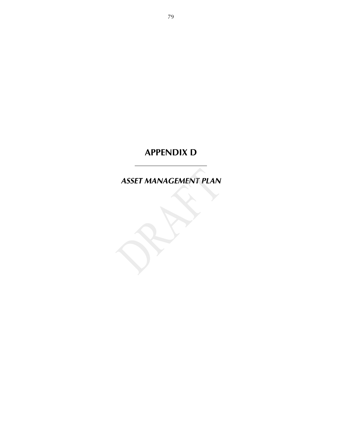## **APPENDIX D**

*ASSET MANAGEMENT PLAN*